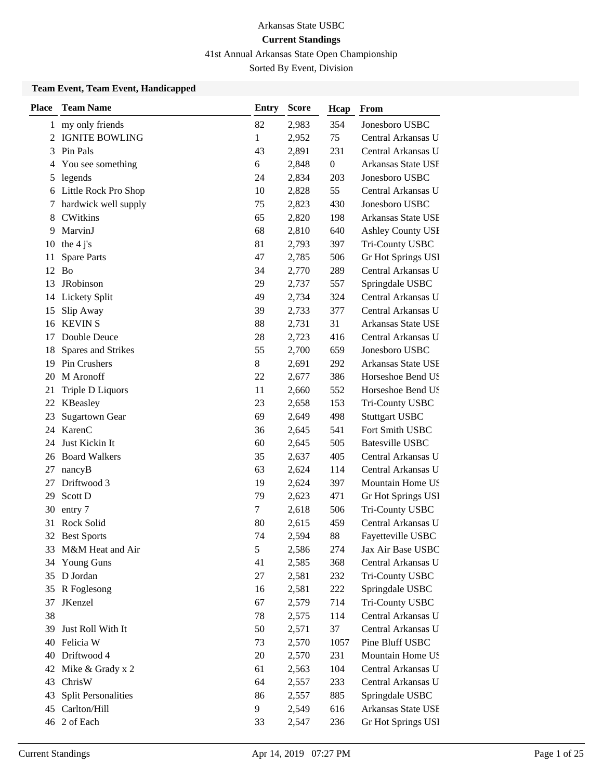# 41st Annual Arkansas State Open Championship

Sorted By Event, Division

### **Team Event, Team Event, Handicapped**

| <b>Place</b> | <b>Team Name</b>           | Entry | <b>Score</b> | Hcap           | From                      |
|--------------|----------------------------|-------|--------------|----------------|---------------------------|
|              | 1 my only friends          | 82    | 2,983        | 354            | Jonesboro USBC            |
| 2            | <b>IGNITE BOWLING</b>      | 1     | 2,952        | 75             | Central Arkansas U        |
| 3            | Pin Pals                   | 43    | 2,891        | 231            | Central Arkansas U        |
| 4            | You see something          | 6     | 2,848        | $\overline{0}$ | Arkansas State USE        |
| 5            | legends                    | 24    | 2,834        | 203            | Jonesboro USBC            |
|              | 6 Little Rock Pro Shop     | 10    | 2,828        | 55             | Central Arkansas U        |
| 7            | hardwick well supply       | 75    | 2,823        | 430            | Jonesboro USBC            |
| 8            | <b>CWitkins</b>            | 65    | 2,820        | 198            | Arkansas State USE        |
| 9            | MarvinJ                    | 68    | 2,810        | 640            | Ashley County USI         |
| 10           | the $4j's$                 | 81    | 2,793        | 397            | Tri-County USBC           |
| 11           | <b>Spare Parts</b>         | 47    | 2,785        | 506            | Gr Hot Springs USI        |
| 12           | <b>Bo</b>                  | 34    | 2,770        | 289            | Central Arkansas U        |
| 13           | JRobinson                  | 29    | 2,737        | 557            | Springdale USBC           |
| 14           | Lickety Split              | 49    | 2,734        | 324            | Central Arkansas U        |
| 15           | Slip Away                  | 39    | 2,733        | 377            | Central Arkansas U        |
| 16           | <b>KEVIN S</b>             | 88    | 2,731        | 31             | Arkansas State USE        |
| 17           | Double Deuce               | 28    | 2,723        | 416            | Central Arkansas U        |
| 18           | Spares and Strikes         | 55    | 2,700        | 659            | Jonesboro USBC            |
| 19           | Pin Crushers               | 8     | 2,691        | 292            | <b>Arkansas State USE</b> |
| 20           | M Aronoff                  | 22    | 2,677        | 386            | Horseshoe Bend US         |
| 21           | Triple D Liquors           | 11    | 2,660        | 552            | Horseshoe Bend US         |
| 22           | KBeasley                   | 23    | 2,658        | 153            | Tri-County USBC           |
| 23           | <b>Sugartown Gear</b>      | 69    | 2,649        | 498            | <b>Stuttgart USBC</b>     |
| 24           | KarenC                     | 36    | 2,645        | 541            | Fort Smith USBC           |
| 24           | Just Kickin It             | 60    | 2,645        | 505            | <b>Batesville USBC</b>    |
|              | 26 Board Walkers           | 35    | 2,637        | 405            | Central Arkansas U        |
| 27           | nancyB                     | 63    | 2,624        | 114            | Central Arkansas U        |
| 27           | Driftwood 3                | 19    | 2,624        | 397            | Mountain Home US          |
| 29           | Scott D                    | 79    | 2,623        | 471            | Gr Hot Springs USI        |
| 30           | entry 7                    | 7     | 2,618        | 506            | Tri-County USBC           |
| 31           | Rock Solid                 | 80    | 2,615        | 459            | Central Arkansas U        |
| 32           | <b>Best Sports</b>         | 74    | 2,594        | 88             | Fayetteville USBC         |
| 33           | M&M Heat and Air           | 5     | 2,586        | 274            | Jax Air Base USBC         |
| 34           | <b>Young Guns</b>          | 41    | 2,585        | 368            | Central Arkansas U        |
| 35           | D Jordan                   | 27    | 2,581        | 232            | Tri-County USBC           |
| 35           | R Foglesong                | 16    | 2,581        | 222            | Springdale USBC           |
| 37           | JKenzel                    | 67    | 2,579        | 714            | Tri-County USBC           |
| 38           |                            | 78    | 2,575        | 114            | Central Arkansas U        |
| 39           | Just Roll With It          | 50    | 2,571        | 37             | Central Arkansas U        |
| 40           | Felicia W                  | 73    | 2,570        | 1057           | Pine Bluff USBC           |
| 40           | Driftwood 4                | 20    | 2,570        | 231            | Mountain Home US          |
| 42           | Mike & Grady x 2           | 61    | 2,563        | 104            | Central Arkansas U        |
| 43           | ChrisW                     | 64    | 2,557        | 233            | Central Arkansas U        |
| 43           | <b>Split Personalities</b> | 86    | 2,557        | 885            | Springdale USBC           |
| 45           | Carlton/Hill               | 9     | 2,549        | 616            | Arkansas State USE        |
|              | 46 2 of Each               | 33    | 2,547        | 236            | Gr Hot Springs USI        |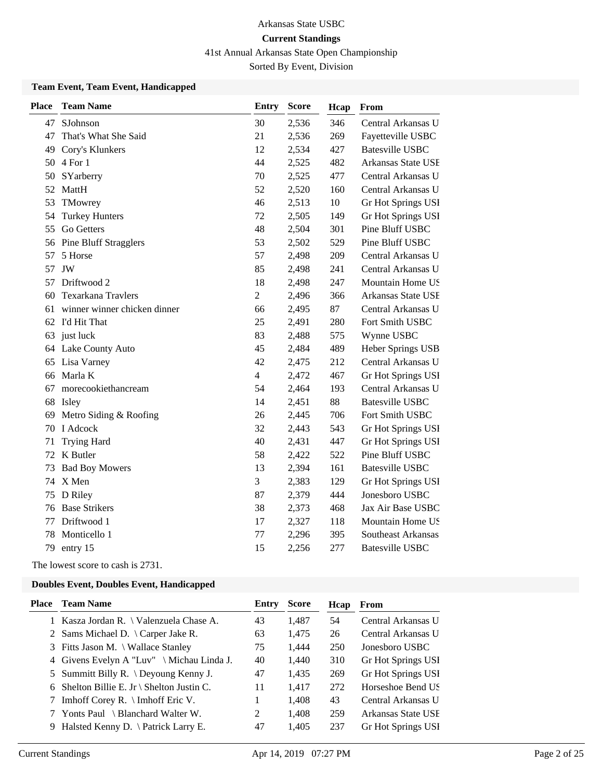41st Annual Arkansas State Open Championship

Sorted By Event, Division

### **Team Event, Team Event, Handicapped**

| <b>Place</b> | <b>Team Name</b>             | <b>Entry</b>   | <b>Score</b> | Hcap | From                   |
|--------------|------------------------------|----------------|--------------|------|------------------------|
| 47           | SJohnson                     | 30             | 2,536        | 346  | Central Arkansas U     |
| 47           | That's What She Said         | 21             | 2,536        | 269  | Fayetteville USBC      |
| 49           | Cory's Klunkers              | 12             | 2,534        | 427  | <b>Batesville USBC</b> |
| 50           | 4 For 1                      | 44             | 2,525        | 482  | Arkansas State USE     |
| 50           | SYarberry                    | 70             | 2,525        | 477  | Central Arkansas U     |
| 52           | MattH                        | 52             | 2,520        | 160  | Central Arkansas U     |
| 53           | TMowrey                      | 46             | 2,513        | 10   | Gr Hot Springs USI     |
| 54           | <b>Turkey Hunters</b>        | 72             | 2,505        | 149  | Gr Hot Springs USI     |
| 55           | Go Getters                   | 48             | 2,504        | 301  | Pine Bluff USBC        |
|              | 56 Pine Bluff Stragglers     | 53             | 2,502        | 529  | Pine Bluff USBC        |
| 57           | 5 Horse                      | 57             | 2,498        | 209  | Central Arkansas U     |
| 57           | JW                           | 85             | 2,498        | 241  | Central Arkansas U     |
| 57           | Driftwood 2                  | 18             | 2,498        | 247  | Mountain Home US       |
| 60           | Texarkana Travlers           | $\overline{2}$ | 2,496        | 366  | Arkansas State USE     |
| 61           | winner winner chicken dinner | 66             | 2,495        | 87   | Central Arkansas U     |
|              | 62 I'd Hit That              | 25             | 2,491        | 280  | Fort Smith USBC        |
| 63           | just luck                    | 83             | 2,488        | 575  | Wynne USBC             |
| 64           | Lake County Auto             | 45             | 2,484        | 489  | Heber Springs USB      |
| 65           | Lisa Varney                  | 42             | 2,475        | 212  | Central Arkansas U     |
| 66           | Marla K                      | $\overline{4}$ | 2,472        | 467  | Gr Hot Springs USI     |
| 67           | morecookiethancream          | 54             | 2,464        | 193  | Central Arkansas U     |
|              | 68 Isley                     | 14             | 2,451        | 88   | <b>Batesville USBC</b> |
| 69           | Metro Siding & Roofing       | 26             | 2,445        | 706  | Fort Smith USBC        |
| 70           | I Adcock                     | 32             | 2,443        | 543  | Gr Hot Springs USI     |
| 71           | <b>Trying Hard</b>           | 40             | 2,431        | 447  | Gr Hot Springs USI     |
|              | 72 K Butler                  | 58             | 2,422        | 522  | Pine Bluff USBC        |
| 73           | <b>Bad Boy Mowers</b>        | 13             | 2,394        | 161  | <b>Batesville USBC</b> |
|              | 74 X Men                     | 3              | 2,383        | 129  | Gr Hot Springs USI     |
| 75           | D Riley                      | 87             | 2,379        | 444  | Jonesboro USBC         |
| 76           | <b>Base Strikers</b>         | 38             | 2,373        | 468  | Jax Air Base USBC      |
| 77           | Driftwood 1                  | 17             | 2,327        | 118  | Mountain Home US       |
| 78           | Monticello 1                 | 77             | 2,296        | 395  | Southeast Arkansas     |
| 79           | entry 15                     | 15             | 2,256        | 277  | <b>Batesville USBC</b> |

The lowest score to cash is 2731.

| Place | <b>Team Name</b>                                        | Entry | <b>Score</b> | Hcap | <b>From</b>        |
|-------|---------------------------------------------------------|-------|--------------|------|--------------------|
|       | 1 Kasza Jordan R. \ Valenzuela Chase A.                 | 43    | 1,487        | 54   | Central Arkansas U |
|       | 2 Sams Michael D. \ Carper Jake R.                      | 63    | 1,475        | 26   | Central Arkansas U |
|       | 3 Fitts Jason M. \ Wallace Stanley                      | 75    | 1.444        | 250  | Jonesboro USBC     |
|       | 4 Givens Evelyn A "Luv" $\hat{\text{Michael}}$ Linda J. | 40    | 1,440        | 310  | Gr Hot Springs USI |
|       | 5 Summitt Billy R. $\Omega$ Deyoung Kenny J.            | 47    | 1,435        | 269  | Gr Hot Springs USI |
|       | 6 Shelton Billie E. Jr \ Shelton Justin C.              | 11    | 1,417        | 272  | Horseshoe Bend US  |
|       | 7 Imhoff Corey R. \ Imhoff Eric V.                      |       | 1,408        | 43   | Central Arkansas U |
|       | 7 Yonts Paul \ Blanchard Walter W.                      | 2     | 1,408        | 259  | Arkansas State USE |
|       | 9 Halsted Kenny D. \ Patrick Larry E.                   | 47    | 1.405        | 237  | Gr Hot Springs USI |
|       |                                                         |       |              |      |                    |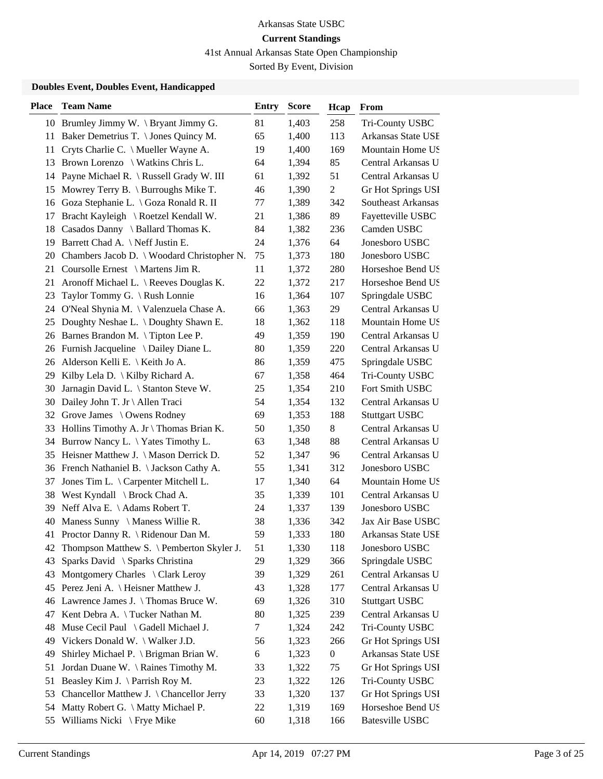41st Annual Arkansas State Open Championship

Sorted By Event, Division

| <b>Place</b> | <b>Team Name</b>                              | <b>Entry</b> | <b>Score</b> | Hcap             | From                      |
|--------------|-----------------------------------------------|--------------|--------------|------------------|---------------------------|
|              | 10 Brumley Jimmy W. \ Bryant Jimmy G.         | 81           | 1,403        | 258              | Tri-County USBC           |
| 11           | Baker Demetrius T. \ Jones Quincy M.          | 65           | 1,400        | 113              | Arkansas State USE        |
| 11           | Cryts Charlie C. \ Mueller Wayne A.           | 19           | 1,400        | 169              | Mountain Home US          |
| 13           | Brown Lorenzo \ Watkins Chris L.              | 64           | 1,394        | 85               | Central Arkansas U        |
| 14           | Payne Michael R. \ Russell Grady W. III       | 61           | 1,392        | 51               | Central Arkansas U        |
| 15           | Mowrey Terry B. $\setminus$ Burroughs Mike T. | 46           | 1,390        | $\overline{c}$   | Gr Hot Springs USI        |
| 16           | Goza Stephanie L. \ Goza Ronald R. II         | 77           | 1,389        | 342              | <b>Southeast Arkansas</b> |
| 17           | Bracht Kayleigh \ Roetzel Kendall W.          | 21           | 1,386        | 89               | Fayetteville USBC         |
| 18           | Casados Danny \ Ballard Thomas K.             | 84           | 1,382        | 236              | Camden USBC               |
| 19           | Barrett Chad A. \ Neff Justin E.              | 24           | 1,376        | 64               | Jonesboro USBC            |
| 20           | Chambers Jacob D. \ Woodard Christopher N.    | 75           | 1,373        | 180              | Jonesboro USBC            |
| 21           | Coursolle Ernest $\setminus$ Martens Jim R.   | 11           | 1,372        | 280              | Horseshoe Bend US         |
| 21           | Aronoff Michael L. \ Reeves Douglas K.        | 22           | 1,372        | 217              | Horseshoe Bend US         |
| 23           | Taylor Tommy G. \ Rush Lonnie                 | 16           | 1,364        | 107              | Springdale USBC           |
| 24.          | O'Neal Shynia M. \ Valenzuela Chase A.        | 66           | 1,363        | 29               | Central Arkansas U        |
| 25           | Doughty Neshae L. \ Doughty Shawn E.          | 18           | 1,362        | 118              | Mountain Home US          |
| 26           | Barnes Brandon M. \Tipton Lee P.              | 49           | 1,359        | 190              | Central Arkansas U        |
| 26           | Furnish Jacqueline \ Dailey Diane L.          | 80           | 1,359        | 220              | Central Arkansas U        |
| 26           | Alderson Kelli E. \ Keith Jo A.               | 86           | 1,359        | 475              | Springdale USBC           |
| 29           | Kilby Lela D. \ Kilby Richard A.              | 67           | 1,358        | 464              | Tri-County USBC           |
| 30           | Jarnagin David L. \ Stanton Steve W.          | 25           | 1,354        | 210              | Fort Smith USBC           |
| 30           | Dailey John T. Jr \ Allen Traci               | 54           | 1,354        | 132              | Central Arkansas U        |
| 32           | Grove James \ Owens Rodney                    | 69           | 1,353        | 188              | <b>Stuttgart USBC</b>     |
| 33           | Hollins Timothy A. Jr \ Thomas Brian K.       | 50           | 1,350        | 8                | Central Arkansas U        |
| 34           | Burrow Nancy L. \ Yates Timothy L.            | 63           | 1,348        | 88               | Central Arkansas U        |
| 35           | Heisner Matthew J. \ Mason Derrick D.         | 52           | 1,347        | 96               | Central Arkansas U        |
| 36           | French Nathaniel B. \ Jackson Cathy A.        | 55           | 1,341        | 312              | Jonesboro USBC            |
| 37           | Jones Tim L. \ Carpenter Mitchell L.          | 17           | 1,340        | 64               | Mountain Home US          |
| 38           | West Kyndall \ Brock Chad A.                  | 35           | 1,339        | 101              | Central Arkansas U        |
| 39           | Neff Alva E. \Adams Robert T.                 | 24           | 1,337        | 139              | Jonesboro USBC            |
| 40           | Maness Sunny \ Maness Willie R.               | 38           | 1,336        | 342              | Jax Air Base USBC         |
|              | 41 Proctor Danny R. \ Ridenour Dan M.         | 59           | 1,333        | 180              | Arkansas State USE        |
| 42           | Thompson Matthew S. \ Pemberton Skyler J.     | 51           | 1,330        | 118              | Jonesboro USBC            |
| 43           | Sparks David \ Sparks Christina               | 29           | 1,329        | 366              | Springdale USBC           |
| 43           | Montgomery Charles \ Clark Leroy              | 39           | 1,329        | 261              | Central Arkansas U        |
| 45           | Perez Jeni A. \ Heisner Matthew J.            | 43           | 1,328        | 177              | Central Arkansas U        |
| 46           | Lawrence James J. \Thomas Bruce W.            | 69           | 1,326        | 310              | <b>Stuttgart USBC</b>     |
| 47           | Kent Debra A. \Tucker Nathan M.               | 80           | 1,325        | 239              | Central Arkansas U        |
| 48           | Muse Cecil Paul \ Gadell Michael J.           | $\tau$       | 1,324        | 242              | Tri-County USBC           |
| 49           | Vickers Donald W. \ Walker J.D.               | 56           | 1,323        | 266              | Gr Hot Springs USI        |
| 49           | Shirley Michael P. \ Brigman Brian W.         | 6            | 1,323        | $\boldsymbol{0}$ | Arkansas State USE        |
| 51           | Jordan Duane W. \ Raines Timothy M.           | 33           | 1,322        | 75               | Gr Hot Springs USI        |
| 51           | Beasley Kim J. \Parrish Roy M.                | 23           | 1,322        | 126              | Tri-County USBC           |
| 53           | Chancellor Matthew J. \ Chancellor Jerry      | 33           | 1,320        | 137              | Gr Hot Springs USI        |
| 54           | Matty Robert G. \ Matty Michael P.            | 22           | 1,319        | 169              | Horseshoe Bend US         |
| 55           | Williams Nicki \ Frye Mike                    | 60           | 1,318        | 166              | <b>Batesville USBC</b>    |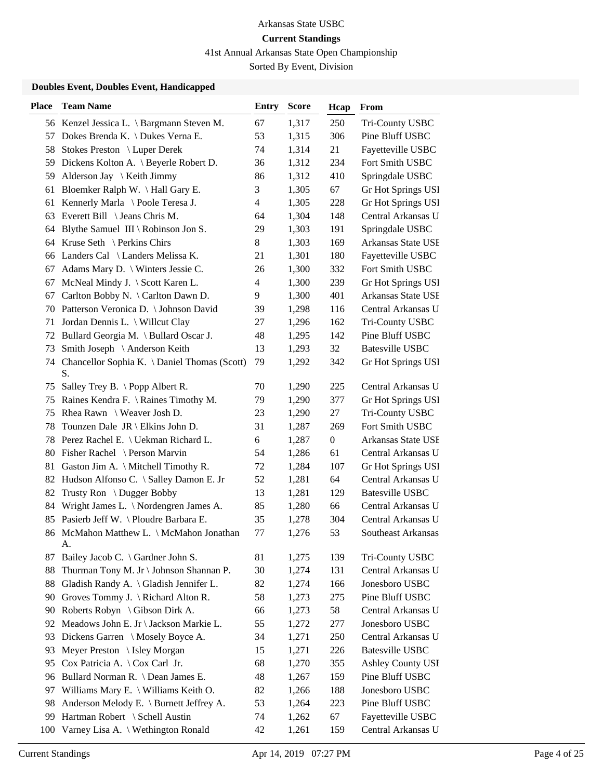41st Annual Arkansas State Open Championship

Sorted By Event, Division

| 1,317<br>56 Kenzel Jessica L. \ Bargmann Steven M.<br>67<br>250<br>Tri-County USBC<br>53<br>1,315<br>306<br>Dokes Brenda K. \ Dukes Verna E.<br>Pine Bluff USBC<br>57<br>Stokes Preston \ Luper Derek<br>74<br>1,314<br>21<br>Fayetteville USBC<br>58<br>Dickens Kolton A. \ Beyerle Robert D.<br>36<br>1,312<br>234<br>Fort Smith USBC<br>59<br>Alderson Jay \ Keith Jimmy<br>86<br>1,312<br>410<br>Springdale USBC<br>59<br>3<br>Bloemker Ralph W. \Hall Gary E.<br>1,305<br>67<br>Gr Hot Springs USI<br>61<br>$\overline{\mathbf{4}}$<br>Kennerly Marla \ Poole Teresa J.<br>1,305<br>228<br>Gr Hot Springs USI<br>61<br>1,304<br>Central Arkansas U<br>63 Everett Bill $\setminus$ Jeans Chris M.<br>64<br>148<br>1,303<br>Springdale USBC<br>Blythe Samuel III \ Robinson Jon S.<br>29<br>191<br>64<br>8<br>Arkansas State USE<br>64 Kruse Seth \ Perkins Chirs<br>1,303<br>169<br>180<br>Landers Cal \ Landers Melissa K.<br>21<br>1,301<br>Fayetteville USBC<br>66<br>1,300<br>332<br>Fort Smith USBC<br>Adams Mary D. \ Winters Jessie C.<br>26<br>67<br>239<br>McNeal Mindy J. \ Scott Karen L.<br>$\overline{\mathcal{L}}$<br>1,300<br>Gr Hot Springs USI<br>67<br>401<br>Arkansas State USE<br>Carlton Bobby N. \ Carlton Dawn D.<br>9<br>1,300<br>67<br>Patterson Veronica D. \ Johnson David<br>39<br>116<br>Central Arkansas U<br>1,298<br>70<br>Jordan Dennis L. \ Willcut Clay<br>27<br>1,296<br>162<br>Tri-County USBC<br>71<br>48<br>Bullard Georgia M. \ Bullard Oscar J.<br>1,295<br>142<br>Pine Bluff USBC<br>72<br>32<br><b>Batesville USBC</b><br>Smith Joseph \ Anderson Keith<br>13<br>1,293<br>73<br>Chancellor Sophia K. \ Daniel Thomas (Scott)<br>79<br>342<br>1,292<br>Gr Hot Springs USI<br>74<br>S.<br>70<br>225<br>Central Arkansas U<br>Salley Trey B. $\ \$ Popp Albert R.<br>1,290<br>75<br>1,290<br>377<br>Gr Hot Springs USI<br>Raines Kendra F. \ Raines Timothy M.<br>79<br>75<br>Rhea Rawn $\setminus$ Weaver Josh D.<br>23<br>1,290<br>27<br>Tri-County USBC<br>75<br>Fort Smith USBC<br>Tounzen Dale $JR \setminus E$ kins John D.<br>31<br>1,287<br>269<br>78<br>$\boldsymbol{0}$<br>78 Perez Rachel E. \ Uekman Richard L.<br>6<br>1,287<br>Arkansas State USE<br>Central Arkansas U<br>Fisher Rachel \ Person Marvin<br>54<br>1,286<br>61<br>80<br>Gaston Jim A. \ Mitchell Timothy R.<br>72<br>1,284<br>107<br>Gr Hot Springs USI<br>81<br>52<br>64<br>Central Arkansas U<br>Hudson Alfonso C. \ Salley Damon E. Jr<br>1,281<br>82<br>Trusty Ron \ Dugger Bobby<br>13<br>1,281<br><b>Batesville USBC</b><br>129<br>82<br>Wright James L. \ Nordengren James A.<br>1,280<br>Central Arkansas U<br>85<br>66<br>84<br>Pasierb Jeff W. \ Ploudre Barbara E.<br>304<br>Central Arkansas U<br>35<br>1,278<br>85<br>53<br>86 McMahon Matthew L. \ McMahon Jonathan<br>77<br>1,276<br>Southeast Arkansas<br>A.<br>81<br>1,275<br>139<br>Tri-County USBC<br>Bailey Jacob C. $\setminus$ Gardner John S.<br>87<br>Thurman Tony M. Jr \ Johnson Shannan P.<br>1,274<br>131<br>Central Arkansas U<br>30<br>88<br>Gladish Randy A. \ Gladish Jennifer L.<br>1,274<br>Jonesboro USBC<br>88<br>82<br>166<br>58<br>1,273<br>Pine Bluff USBC<br>Groves Tommy J. \ Richard Alton R.<br>275<br>90<br>58<br>Roberts Robyn \ Gibson Dirk A.<br>1,273<br>66<br>Central Arkansas U<br>90<br>1,272<br>277<br>Jonesboro USBC<br>Meadows John E. Jr \ Jackson Markie L.<br>55<br>92<br>1,271<br>250<br>Central Arkansas U<br>Dickens Garren \ Mosely Boyce A.<br>34<br>93<br>1,271<br><b>Batesville USBC</b><br>Meyer Preston \ Isley Morgan<br>15<br>226<br>93<br>Cox Patricia A. \ Cox Carl Jr.<br>68<br>1,270<br>355<br><b>Ashley County USI</b><br>95<br>Pine Bluff USBC<br>Bullard Norman R. \ Dean James E.<br>48<br>1,267<br>159<br>96<br>97 | Place | <b>Team Name</b>                     | <b>Entry</b> | <b>Score</b> | Hcap | From           |
|--------------------------------------------------------------------------------------------------------------------------------------------------------------------------------------------------------------------------------------------------------------------------------------------------------------------------------------------------------------------------------------------------------------------------------------------------------------------------------------------------------------------------------------------------------------------------------------------------------------------------------------------------------------------------------------------------------------------------------------------------------------------------------------------------------------------------------------------------------------------------------------------------------------------------------------------------------------------------------------------------------------------------------------------------------------------------------------------------------------------------------------------------------------------------------------------------------------------------------------------------------------------------------------------------------------------------------------------------------------------------------------------------------------------------------------------------------------------------------------------------------------------------------------------------------------------------------------------------------------------------------------------------------------------------------------------------------------------------------------------------------------------------------------------------------------------------------------------------------------------------------------------------------------------------------------------------------------------------------------------------------------------------------------------------------------------------------------------------------------------------------------------------------------------------------------------------------------------------------------------------------------------------------------------------------------------------------------------------------------------------------------------------------------------------------------------------------------------------------------------------------------------------------------------------------------------------------------------------------------------------------------------------------------------------------------------------------------------------------------------------------------------------------------------------------------------------------------------------------------------------------------------------------------------------------------------------------------------------------------------------------------------------------------------------------------------------------------------------------------------------------------------------------------------------------------------------------------------------------------------------------------------------------------------------------------------------------------------------------------------------------------------------------------------------------------------------------------------------------------------------------------------------------------------------------------------------------------------------------------------------------------------------------------------------------------------------------------------------------------------------------------------------|-------|--------------------------------------|--------------|--------------|------|----------------|
|                                                                                                                                                                                                                                                                                                                                                                                                                                                                                                                                                                                                                                                                                                                                                                                                                                                                                                                                                                                                                                                                                                                                                                                                                                                                                                                                                                                                                                                                                                                                                                                                                                                                                                                                                                                                                                                                                                                                                                                                                                                                                                                                                                                                                                                                                                                                                                                                                                                                                                                                                                                                                                                                                                                                                                                                                                                                                                                                                                                                                                                                                                                                                                                                                                                                                                                                                                                                                                                                                                                                                                                                                                                                                                                                                                          |       |                                      |              |              |      |                |
|                                                                                                                                                                                                                                                                                                                                                                                                                                                                                                                                                                                                                                                                                                                                                                                                                                                                                                                                                                                                                                                                                                                                                                                                                                                                                                                                                                                                                                                                                                                                                                                                                                                                                                                                                                                                                                                                                                                                                                                                                                                                                                                                                                                                                                                                                                                                                                                                                                                                                                                                                                                                                                                                                                                                                                                                                                                                                                                                                                                                                                                                                                                                                                                                                                                                                                                                                                                                                                                                                                                                                                                                                                                                                                                                                                          |       |                                      |              |              |      |                |
|                                                                                                                                                                                                                                                                                                                                                                                                                                                                                                                                                                                                                                                                                                                                                                                                                                                                                                                                                                                                                                                                                                                                                                                                                                                                                                                                                                                                                                                                                                                                                                                                                                                                                                                                                                                                                                                                                                                                                                                                                                                                                                                                                                                                                                                                                                                                                                                                                                                                                                                                                                                                                                                                                                                                                                                                                                                                                                                                                                                                                                                                                                                                                                                                                                                                                                                                                                                                                                                                                                                                                                                                                                                                                                                                                                          |       |                                      |              |              |      |                |
|                                                                                                                                                                                                                                                                                                                                                                                                                                                                                                                                                                                                                                                                                                                                                                                                                                                                                                                                                                                                                                                                                                                                                                                                                                                                                                                                                                                                                                                                                                                                                                                                                                                                                                                                                                                                                                                                                                                                                                                                                                                                                                                                                                                                                                                                                                                                                                                                                                                                                                                                                                                                                                                                                                                                                                                                                                                                                                                                                                                                                                                                                                                                                                                                                                                                                                                                                                                                                                                                                                                                                                                                                                                                                                                                                                          |       |                                      |              |              |      |                |
|                                                                                                                                                                                                                                                                                                                                                                                                                                                                                                                                                                                                                                                                                                                                                                                                                                                                                                                                                                                                                                                                                                                                                                                                                                                                                                                                                                                                                                                                                                                                                                                                                                                                                                                                                                                                                                                                                                                                                                                                                                                                                                                                                                                                                                                                                                                                                                                                                                                                                                                                                                                                                                                                                                                                                                                                                                                                                                                                                                                                                                                                                                                                                                                                                                                                                                                                                                                                                                                                                                                                                                                                                                                                                                                                                                          |       |                                      |              |              |      |                |
|                                                                                                                                                                                                                                                                                                                                                                                                                                                                                                                                                                                                                                                                                                                                                                                                                                                                                                                                                                                                                                                                                                                                                                                                                                                                                                                                                                                                                                                                                                                                                                                                                                                                                                                                                                                                                                                                                                                                                                                                                                                                                                                                                                                                                                                                                                                                                                                                                                                                                                                                                                                                                                                                                                                                                                                                                                                                                                                                                                                                                                                                                                                                                                                                                                                                                                                                                                                                                                                                                                                                                                                                                                                                                                                                                                          |       |                                      |              |              |      |                |
|                                                                                                                                                                                                                                                                                                                                                                                                                                                                                                                                                                                                                                                                                                                                                                                                                                                                                                                                                                                                                                                                                                                                                                                                                                                                                                                                                                                                                                                                                                                                                                                                                                                                                                                                                                                                                                                                                                                                                                                                                                                                                                                                                                                                                                                                                                                                                                                                                                                                                                                                                                                                                                                                                                                                                                                                                                                                                                                                                                                                                                                                                                                                                                                                                                                                                                                                                                                                                                                                                                                                                                                                                                                                                                                                                                          |       |                                      |              |              |      |                |
|                                                                                                                                                                                                                                                                                                                                                                                                                                                                                                                                                                                                                                                                                                                                                                                                                                                                                                                                                                                                                                                                                                                                                                                                                                                                                                                                                                                                                                                                                                                                                                                                                                                                                                                                                                                                                                                                                                                                                                                                                                                                                                                                                                                                                                                                                                                                                                                                                                                                                                                                                                                                                                                                                                                                                                                                                                                                                                                                                                                                                                                                                                                                                                                                                                                                                                                                                                                                                                                                                                                                                                                                                                                                                                                                                                          |       |                                      |              |              |      |                |
|                                                                                                                                                                                                                                                                                                                                                                                                                                                                                                                                                                                                                                                                                                                                                                                                                                                                                                                                                                                                                                                                                                                                                                                                                                                                                                                                                                                                                                                                                                                                                                                                                                                                                                                                                                                                                                                                                                                                                                                                                                                                                                                                                                                                                                                                                                                                                                                                                                                                                                                                                                                                                                                                                                                                                                                                                                                                                                                                                                                                                                                                                                                                                                                                                                                                                                                                                                                                                                                                                                                                                                                                                                                                                                                                                                          |       |                                      |              |              |      |                |
|                                                                                                                                                                                                                                                                                                                                                                                                                                                                                                                                                                                                                                                                                                                                                                                                                                                                                                                                                                                                                                                                                                                                                                                                                                                                                                                                                                                                                                                                                                                                                                                                                                                                                                                                                                                                                                                                                                                                                                                                                                                                                                                                                                                                                                                                                                                                                                                                                                                                                                                                                                                                                                                                                                                                                                                                                                                                                                                                                                                                                                                                                                                                                                                                                                                                                                                                                                                                                                                                                                                                                                                                                                                                                                                                                                          |       |                                      |              |              |      |                |
|                                                                                                                                                                                                                                                                                                                                                                                                                                                                                                                                                                                                                                                                                                                                                                                                                                                                                                                                                                                                                                                                                                                                                                                                                                                                                                                                                                                                                                                                                                                                                                                                                                                                                                                                                                                                                                                                                                                                                                                                                                                                                                                                                                                                                                                                                                                                                                                                                                                                                                                                                                                                                                                                                                                                                                                                                                                                                                                                                                                                                                                                                                                                                                                                                                                                                                                                                                                                                                                                                                                                                                                                                                                                                                                                                                          |       |                                      |              |              |      |                |
|                                                                                                                                                                                                                                                                                                                                                                                                                                                                                                                                                                                                                                                                                                                                                                                                                                                                                                                                                                                                                                                                                                                                                                                                                                                                                                                                                                                                                                                                                                                                                                                                                                                                                                                                                                                                                                                                                                                                                                                                                                                                                                                                                                                                                                                                                                                                                                                                                                                                                                                                                                                                                                                                                                                                                                                                                                                                                                                                                                                                                                                                                                                                                                                                                                                                                                                                                                                                                                                                                                                                                                                                                                                                                                                                                                          |       |                                      |              |              |      |                |
|                                                                                                                                                                                                                                                                                                                                                                                                                                                                                                                                                                                                                                                                                                                                                                                                                                                                                                                                                                                                                                                                                                                                                                                                                                                                                                                                                                                                                                                                                                                                                                                                                                                                                                                                                                                                                                                                                                                                                                                                                                                                                                                                                                                                                                                                                                                                                                                                                                                                                                                                                                                                                                                                                                                                                                                                                                                                                                                                                                                                                                                                                                                                                                                                                                                                                                                                                                                                                                                                                                                                                                                                                                                                                                                                                                          |       |                                      |              |              |      |                |
|                                                                                                                                                                                                                                                                                                                                                                                                                                                                                                                                                                                                                                                                                                                                                                                                                                                                                                                                                                                                                                                                                                                                                                                                                                                                                                                                                                                                                                                                                                                                                                                                                                                                                                                                                                                                                                                                                                                                                                                                                                                                                                                                                                                                                                                                                                                                                                                                                                                                                                                                                                                                                                                                                                                                                                                                                                                                                                                                                                                                                                                                                                                                                                                                                                                                                                                                                                                                                                                                                                                                                                                                                                                                                                                                                                          |       |                                      |              |              |      |                |
|                                                                                                                                                                                                                                                                                                                                                                                                                                                                                                                                                                                                                                                                                                                                                                                                                                                                                                                                                                                                                                                                                                                                                                                                                                                                                                                                                                                                                                                                                                                                                                                                                                                                                                                                                                                                                                                                                                                                                                                                                                                                                                                                                                                                                                                                                                                                                                                                                                                                                                                                                                                                                                                                                                                                                                                                                                                                                                                                                                                                                                                                                                                                                                                                                                                                                                                                                                                                                                                                                                                                                                                                                                                                                                                                                                          |       |                                      |              |              |      |                |
|                                                                                                                                                                                                                                                                                                                                                                                                                                                                                                                                                                                                                                                                                                                                                                                                                                                                                                                                                                                                                                                                                                                                                                                                                                                                                                                                                                                                                                                                                                                                                                                                                                                                                                                                                                                                                                                                                                                                                                                                                                                                                                                                                                                                                                                                                                                                                                                                                                                                                                                                                                                                                                                                                                                                                                                                                                                                                                                                                                                                                                                                                                                                                                                                                                                                                                                                                                                                                                                                                                                                                                                                                                                                                                                                                                          |       |                                      |              |              |      |                |
|                                                                                                                                                                                                                                                                                                                                                                                                                                                                                                                                                                                                                                                                                                                                                                                                                                                                                                                                                                                                                                                                                                                                                                                                                                                                                                                                                                                                                                                                                                                                                                                                                                                                                                                                                                                                                                                                                                                                                                                                                                                                                                                                                                                                                                                                                                                                                                                                                                                                                                                                                                                                                                                                                                                                                                                                                                                                                                                                                                                                                                                                                                                                                                                                                                                                                                                                                                                                                                                                                                                                                                                                                                                                                                                                                                          |       |                                      |              |              |      |                |
|                                                                                                                                                                                                                                                                                                                                                                                                                                                                                                                                                                                                                                                                                                                                                                                                                                                                                                                                                                                                                                                                                                                                                                                                                                                                                                                                                                                                                                                                                                                                                                                                                                                                                                                                                                                                                                                                                                                                                                                                                                                                                                                                                                                                                                                                                                                                                                                                                                                                                                                                                                                                                                                                                                                                                                                                                                                                                                                                                                                                                                                                                                                                                                                                                                                                                                                                                                                                                                                                                                                                                                                                                                                                                                                                                                          |       |                                      |              |              |      |                |
|                                                                                                                                                                                                                                                                                                                                                                                                                                                                                                                                                                                                                                                                                                                                                                                                                                                                                                                                                                                                                                                                                                                                                                                                                                                                                                                                                                                                                                                                                                                                                                                                                                                                                                                                                                                                                                                                                                                                                                                                                                                                                                                                                                                                                                                                                                                                                                                                                                                                                                                                                                                                                                                                                                                                                                                                                                                                                                                                                                                                                                                                                                                                                                                                                                                                                                                                                                                                                                                                                                                                                                                                                                                                                                                                                                          |       |                                      |              |              |      |                |
|                                                                                                                                                                                                                                                                                                                                                                                                                                                                                                                                                                                                                                                                                                                                                                                                                                                                                                                                                                                                                                                                                                                                                                                                                                                                                                                                                                                                                                                                                                                                                                                                                                                                                                                                                                                                                                                                                                                                                                                                                                                                                                                                                                                                                                                                                                                                                                                                                                                                                                                                                                                                                                                                                                                                                                                                                                                                                                                                                                                                                                                                                                                                                                                                                                                                                                                                                                                                                                                                                                                                                                                                                                                                                                                                                                          |       |                                      |              |              |      |                |
|                                                                                                                                                                                                                                                                                                                                                                                                                                                                                                                                                                                                                                                                                                                                                                                                                                                                                                                                                                                                                                                                                                                                                                                                                                                                                                                                                                                                                                                                                                                                                                                                                                                                                                                                                                                                                                                                                                                                                                                                                                                                                                                                                                                                                                                                                                                                                                                                                                                                                                                                                                                                                                                                                                                                                                                                                                                                                                                                                                                                                                                                                                                                                                                                                                                                                                                                                                                                                                                                                                                                                                                                                                                                                                                                                                          |       |                                      |              |              |      |                |
|                                                                                                                                                                                                                                                                                                                                                                                                                                                                                                                                                                                                                                                                                                                                                                                                                                                                                                                                                                                                                                                                                                                                                                                                                                                                                                                                                                                                                                                                                                                                                                                                                                                                                                                                                                                                                                                                                                                                                                                                                                                                                                                                                                                                                                                                                                                                                                                                                                                                                                                                                                                                                                                                                                                                                                                                                                                                                                                                                                                                                                                                                                                                                                                                                                                                                                                                                                                                                                                                                                                                                                                                                                                                                                                                                                          |       |                                      |              |              |      |                |
|                                                                                                                                                                                                                                                                                                                                                                                                                                                                                                                                                                                                                                                                                                                                                                                                                                                                                                                                                                                                                                                                                                                                                                                                                                                                                                                                                                                                                                                                                                                                                                                                                                                                                                                                                                                                                                                                                                                                                                                                                                                                                                                                                                                                                                                                                                                                                                                                                                                                                                                                                                                                                                                                                                                                                                                                                                                                                                                                                                                                                                                                                                                                                                                                                                                                                                                                                                                                                                                                                                                                                                                                                                                                                                                                                                          |       |                                      |              |              |      |                |
|                                                                                                                                                                                                                                                                                                                                                                                                                                                                                                                                                                                                                                                                                                                                                                                                                                                                                                                                                                                                                                                                                                                                                                                                                                                                                                                                                                                                                                                                                                                                                                                                                                                                                                                                                                                                                                                                                                                                                                                                                                                                                                                                                                                                                                                                                                                                                                                                                                                                                                                                                                                                                                                                                                                                                                                                                                                                                                                                                                                                                                                                                                                                                                                                                                                                                                                                                                                                                                                                                                                                                                                                                                                                                                                                                                          |       |                                      |              |              |      |                |
|                                                                                                                                                                                                                                                                                                                                                                                                                                                                                                                                                                                                                                                                                                                                                                                                                                                                                                                                                                                                                                                                                                                                                                                                                                                                                                                                                                                                                                                                                                                                                                                                                                                                                                                                                                                                                                                                                                                                                                                                                                                                                                                                                                                                                                                                                                                                                                                                                                                                                                                                                                                                                                                                                                                                                                                                                                                                                                                                                                                                                                                                                                                                                                                                                                                                                                                                                                                                                                                                                                                                                                                                                                                                                                                                                                          |       |                                      |              |              |      |                |
|                                                                                                                                                                                                                                                                                                                                                                                                                                                                                                                                                                                                                                                                                                                                                                                                                                                                                                                                                                                                                                                                                                                                                                                                                                                                                                                                                                                                                                                                                                                                                                                                                                                                                                                                                                                                                                                                                                                                                                                                                                                                                                                                                                                                                                                                                                                                                                                                                                                                                                                                                                                                                                                                                                                                                                                                                                                                                                                                                                                                                                                                                                                                                                                                                                                                                                                                                                                                                                                                                                                                                                                                                                                                                                                                                                          |       |                                      |              |              |      |                |
|                                                                                                                                                                                                                                                                                                                                                                                                                                                                                                                                                                                                                                                                                                                                                                                                                                                                                                                                                                                                                                                                                                                                                                                                                                                                                                                                                                                                                                                                                                                                                                                                                                                                                                                                                                                                                                                                                                                                                                                                                                                                                                                                                                                                                                                                                                                                                                                                                                                                                                                                                                                                                                                                                                                                                                                                                                                                                                                                                                                                                                                                                                                                                                                                                                                                                                                                                                                                                                                                                                                                                                                                                                                                                                                                                                          |       |                                      |              |              |      |                |
|                                                                                                                                                                                                                                                                                                                                                                                                                                                                                                                                                                                                                                                                                                                                                                                                                                                                                                                                                                                                                                                                                                                                                                                                                                                                                                                                                                                                                                                                                                                                                                                                                                                                                                                                                                                                                                                                                                                                                                                                                                                                                                                                                                                                                                                                                                                                                                                                                                                                                                                                                                                                                                                                                                                                                                                                                                                                                                                                                                                                                                                                                                                                                                                                                                                                                                                                                                                                                                                                                                                                                                                                                                                                                                                                                                          |       |                                      |              |              |      |                |
|                                                                                                                                                                                                                                                                                                                                                                                                                                                                                                                                                                                                                                                                                                                                                                                                                                                                                                                                                                                                                                                                                                                                                                                                                                                                                                                                                                                                                                                                                                                                                                                                                                                                                                                                                                                                                                                                                                                                                                                                                                                                                                                                                                                                                                                                                                                                                                                                                                                                                                                                                                                                                                                                                                                                                                                                                                                                                                                                                                                                                                                                                                                                                                                                                                                                                                                                                                                                                                                                                                                                                                                                                                                                                                                                                                          |       |                                      |              |              |      |                |
|                                                                                                                                                                                                                                                                                                                                                                                                                                                                                                                                                                                                                                                                                                                                                                                                                                                                                                                                                                                                                                                                                                                                                                                                                                                                                                                                                                                                                                                                                                                                                                                                                                                                                                                                                                                                                                                                                                                                                                                                                                                                                                                                                                                                                                                                                                                                                                                                                                                                                                                                                                                                                                                                                                                                                                                                                                                                                                                                                                                                                                                                                                                                                                                                                                                                                                                                                                                                                                                                                                                                                                                                                                                                                                                                                                          |       |                                      |              |              |      |                |
|                                                                                                                                                                                                                                                                                                                                                                                                                                                                                                                                                                                                                                                                                                                                                                                                                                                                                                                                                                                                                                                                                                                                                                                                                                                                                                                                                                                                                                                                                                                                                                                                                                                                                                                                                                                                                                                                                                                                                                                                                                                                                                                                                                                                                                                                                                                                                                                                                                                                                                                                                                                                                                                                                                                                                                                                                                                                                                                                                                                                                                                                                                                                                                                                                                                                                                                                                                                                                                                                                                                                                                                                                                                                                                                                                                          |       |                                      |              |              |      |                |
|                                                                                                                                                                                                                                                                                                                                                                                                                                                                                                                                                                                                                                                                                                                                                                                                                                                                                                                                                                                                                                                                                                                                                                                                                                                                                                                                                                                                                                                                                                                                                                                                                                                                                                                                                                                                                                                                                                                                                                                                                                                                                                                                                                                                                                                                                                                                                                                                                                                                                                                                                                                                                                                                                                                                                                                                                                                                                                                                                                                                                                                                                                                                                                                                                                                                                                                                                                                                                                                                                                                                                                                                                                                                                                                                                                          |       |                                      |              |              |      |                |
|                                                                                                                                                                                                                                                                                                                                                                                                                                                                                                                                                                                                                                                                                                                                                                                                                                                                                                                                                                                                                                                                                                                                                                                                                                                                                                                                                                                                                                                                                                                                                                                                                                                                                                                                                                                                                                                                                                                                                                                                                                                                                                                                                                                                                                                                                                                                                                                                                                                                                                                                                                                                                                                                                                                                                                                                                                                                                                                                                                                                                                                                                                                                                                                                                                                                                                                                                                                                                                                                                                                                                                                                                                                                                                                                                                          |       |                                      |              |              |      |                |
|                                                                                                                                                                                                                                                                                                                                                                                                                                                                                                                                                                                                                                                                                                                                                                                                                                                                                                                                                                                                                                                                                                                                                                                                                                                                                                                                                                                                                                                                                                                                                                                                                                                                                                                                                                                                                                                                                                                                                                                                                                                                                                                                                                                                                                                                                                                                                                                                                                                                                                                                                                                                                                                                                                                                                                                                                                                                                                                                                                                                                                                                                                                                                                                                                                                                                                                                                                                                                                                                                                                                                                                                                                                                                                                                                                          |       |                                      |              |              |      |                |
|                                                                                                                                                                                                                                                                                                                                                                                                                                                                                                                                                                                                                                                                                                                                                                                                                                                                                                                                                                                                                                                                                                                                                                                                                                                                                                                                                                                                                                                                                                                                                                                                                                                                                                                                                                                                                                                                                                                                                                                                                                                                                                                                                                                                                                                                                                                                                                                                                                                                                                                                                                                                                                                                                                                                                                                                                                                                                                                                                                                                                                                                                                                                                                                                                                                                                                                                                                                                                                                                                                                                                                                                                                                                                                                                                                          |       |                                      |              |              |      |                |
|                                                                                                                                                                                                                                                                                                                                                                                                                                                                                                                                                                                                                                                                                                                                                                                                                                                                                                                                                                                                                                                                                                                                                                                                                                                                                                                                                                                                                                                                                                                                                                                                                                                                                                                                                                                                                                                                                                                                                                                                                                                                                                                                                                                                                                                                                                                                                                                                                                                                                                                                                                                                                                                                                                                                                                                                                                                                                                                                                                                                                                                                                                                                                                                                                                                                                                                                                                                                                                                                                                                                                                                                                                                                                                                                                                          |       |                                      |              |              |      |                |
|                                                                                                                                                                                                                                                                                                                                                                                                                                                                                                                                                                                                                                                                                                                                                                                                                                                                                                                                                                                                                                                                                                                                                                                                                                                                                                                                                                                                                                                                                                                                                                                                                                                                                                                                                                                                                                                                                                                                                                                                                                                                                                                                                                                                                                                                                                                                                                                                                                                                                                                                                                                                                                                                                                                                                                                                                                                                                                                                                                                                                                                                                                                                                                                                                                                                                                                                                                                                                                                                                                                                                                                                                                                                                                                                                                          |       |                                      |              |              |      |                |
|                                                                                                                                                                                                                                                                                                                                                                                                                                                                                                                                                                                                                                                                                                                                                                                                                                                                                                                                                                                                                                                                                                                                                                                                                                                                                                                                                                                                                                                                                                                                                                                                                                                                                                                                                                                                                                                                                                                                                                                                                                                                                                                                                                                                                                                                                                                                                                                                                                                                                                                                                                                                                                                                                                                                                                                                                                                                                                                                                                                                                                                                                                                                                                                                                                                                                                                                                                                                                                                                                                                                                                                                                                                                                                                                                                          |       |                                      |              |              |      |                |
|                                                                                                                                                                                                                                                                                                                                                                                                                                                                                                                                                                                                                                                                                                                                                                                                                                                                                                                                                                                                                                                                                                                                                                                                                                                                                                                                                                                                                                                                                                                                                                                                                                                                                                                                                                                                                                                                                                                                                                                                                                                                                                                                                                                                                                                                                                                                                                                                                                                                                                                                                                                                                                                                                                                                                                                                                                                                                                                                                                                                                                                                                                                                                                                                                                                                                                                                                                                                                                                                                                                                                                                                                                                                                                                                                                          |       |                                      |              |              |      |                |
|                                                                                                                                                                                                                                                                                                                                                                                                                                                                                                                                                                                                                                                                                                                                                                                                                                                                                                                                                                                                                                                                                                                                                                                                                                                                                                                                                                                                                                                                                                                                                                                                                                                                                                                                                                                                                                                                                                                                                                                                                                                                                                                                                                                                                                                                                                                                                                                                                                                                                                                                                                                                                                                                                                                                                                                                                                                                                                                                                                                                                                                                                                                                                                                                                                                                                                                                                                                                                                                                                                                                                                                                                                                                                                                                                                          |       |                                      |              |              |      |                |
|                                                                                                                                                                                                                                                                                                                                                                                                                                                                                                                                                                                                                                                                                                                                                                                                                                                                                                                                                                                                                                                                                                                                                                                                                                                                                                                                                                                                                                                                                                                                                                                                                                                                                                                                                                                                                                                                                                                                                                                                                                                                                                                                                                                                                                                                                                                                                                                                                                                                                                                                                                                                                                                                                                                                                                                                                                                                                                                                                                                                                                                                                                                                                                                                                                                                                                                                                                                                                                                                                                                                                                                                                                                                                                                                                                          |       |                                      |              |              |      |                |
|                                                                                                                                                                                                                                                                                                                                                                                                                                                                                                                                                                                                                                                                                                                                                                                                                                                                                                                                                                                                                                                                                                                                                                                                                                                                                                                                                                                                                                                                                                                                                                                                                                                                                                                                                                                                                                                                                                                                                                                                                                                                                                                                                                                                                                                                                                                                                                                                                                                                                                                                                                                                                                                                                                                                                                                                                                                                                                                                                                                                                                                                                                                                                                                                                                                                                                                                                                                                                                                                                                                                                                                                                                                                                                                                                                          |       |                                      |              |              |      |                |
|                                                                                                                                                                                                                                                                                                                                                                                                                                                                                                                                                                                                                                                                                                                                                                                                                                                                                                                                                                                                                                                                                                                                                                                                                                                                                                                                                                                                                                                                                                                                                                                                                                                                                                                                                                                                                                                                                                                                                                                                                                                                                                                                                                                                                                                                                                                                                                                                                                                                                                                                                                                                                                                                                                                                                                                                                                                                                                                                                                                                                                                                                                                                                                                                                                                                                                                                                                                                                                                                                                                                                                                                                                                                                                                                                                          |       |                                      |              |              |      |                |
|                                                                                                                                                                                                                                                                                                                                                                                                                                                                                                                                                                                                                                                                                                                                                                                                                                                                                                                                                                                                                                                                                                                                                                                                                                                                                                                                                                                                                                                                                                                                                                                                                                                                                                                                                                                                                                                                                                                                                                                                                                                                                                                                                                                                                                                                                                                                                                                                                                                                                                                                                                                                                                                                                                                                                                                                                                                                                                                                                                                                                                                                                                                                                                                                                                                                                                                                                                                                                                                                                                                                                                                                                                                                                                                                                                          |       | Williams Mary E. \ Williams Keith O. | 82           | 1,266        | 188  | Jonesboro USBC |
| Pine Bluff USBC<br>Anderson Melody E. \ Burnett Jeffrey A.<br>53<br>1,264<br>223<br>98                                                                                                                                                                                                                                                                                                                                                                                                                                                                                                                                                                                                                                                                                                                                                                                                                                                                                                                                                                                                                                                                                                                                                                                                                                                                                                                                                                                                                                                                                                                                                                                                                                                                                                                                                                                                                                                                                                                                                                                                                                                                                                                                                                                                                                                                                                                                                                                                                                                                                                                                                                                                                                                                                                                                                                                                                                                                                                                                                                                                                                                                                                                                                                                                                                                                                                                                                                                                                                                                                                                                                                                                                                                                                   |       |                                      |              |              |      |                |
| Hartman Robert \ Schell Austin<br>67<br>Fayetteville USBC<br>74<br>1,262<br>99                                                                                                                                                                                                                                                                                                                                                                                                                                                                                                                                                                                                                                                                                                                                                                                                                                                                                                                                                                                                                                                                                                                                                                                                                                                                                                                                                                                                                                                                                                                                                                                                                                                                                                                                                                                                                                                                                                                                                                                                                                                                                                                                                                                                                                                                                                                                                                                                                                                                                                                                                                                                                                                                                                                                                                                                                                                                                                                                                                                                                                                                                                                                                                                                                                                                                                                                                                                                                                                                                                                                                                                                                                                                                           |       |                                      |              |              |      |                |
| 42<br>Central Arkansas U<br>Varney Lisa A. \ Wethington Ronald<br>1,261<br>159<br>100                                                                                                                                                                                                                                                                                                                                                                                                                                                                                                                                                                                                                                                                                                                                                                                                                                                                                                                                                                                                                                                                                                                                                                                                                                                                                                                                                                                                                                                                                                                                                                                                                                                                                                                                                                                                                                                                                                                                                                                                                                                                                                                                                                                                                                                                                                                                                                                                                                                                                                                                                                                                                                                                                                                                                                                                                                                                                                                                                                                                                                                                                                                                                                                                                                                                                                                                                                                                                                                                                                                                                                                                                                                                                    |       |                                      |              |              |      |                |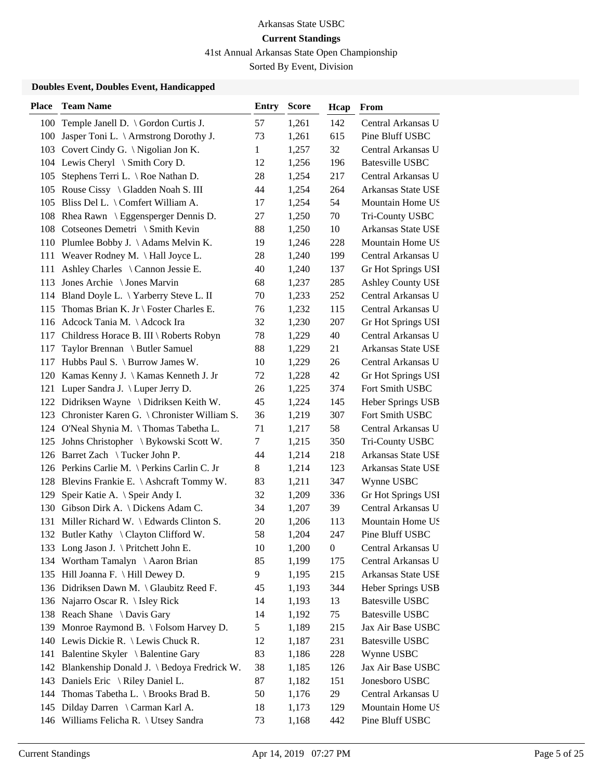41st Annual Arkansas State Open Championship

Sorted By Event, Division

| <b>Place</b> | <b>Team Name</b>                                | Entry        | <b>Score</b> | Hcap             | From                     |
|--------------|-------------------------------------------------|--------------|--------------|------------------|--------------------------|
|              | 100 Temple Janell D. \ Gordon Curtis J.         | 57           | 1,261        | 142              | Central Arkansas U       |
|              | 100 Jasper Toni L. \ Armstrong Dorothy J.       | 73           | 1,261        | 615              | Pine Bluff USBC          |
|              | 103 Covert Cindy G. \ Nigolian Jon K.           | $\mathbf{1}$ | 1,257        | 32               | Central Arkansas U       |
|              | 104 Lewis Cheryl \ Smith Cory D.                | 12           | 1,256        | 196              | <b>Batesville USBC</b>   |
| 105          | Stephens Terri L. $\setminus$ Roe Nathan D.     | 28           | 1,254        | 217              | Central Arkansas U       |
|              | 105 Rouse Cissy \ Gladden Noah S. III           | 44           | 1,254        | 264              | Arkansas State USE       |
|              | 105 Bliss Del L. \ Comfert William A.           | 17           | 1,254        | 54               | Mountain Home US         |
|              | 108 Rhea Rawn \ Eggensperger Dennis D.          | 27           | 1,250        | 70               | Tri-County USBC          |
|              | 108 Cotseones Demetri \ Smith Kevin             | 88           | 1,250        | 10               | Arkansas State USE       |
|              | 110 Plumlee Bobby J. \Adams Melvin K.           | 19           | 1,246        | 228              | Mountain Home US         |
|              | 111 Weaver Rodney M. \Hall Joyce L.             | 28           | 1,240        | 199              | Central Arkansas U       |
|              | 111 Ashley Charles \ Cannon Jessie E.           | 40           | 1,240        | 137              | Gr Hot Springs USI       |
| 113          | Jones Archie \ Jones Marvin                     | 68           | 1,237        | 285              | <b>Ashley County USI</b> |
|              | 114 Bland Doyle L. \Yarberry Steve L. II        | 70           | 1,233        | 252              | Central Arkansas U       |
|              | 115 Thomas Brian K. Jr \ Foster Charles E.      | 76           | 1,232        | 115              | Central Arkansas U       |
|              | 116 Adcock Tania M. \Adcock Ira                 | 32           | 1,230        | 207              | Gr Hot Springs USI       |
|              | 117 Childress Horace B. III \ Roberts Robyn     | 78           | 1,229        | 40               | Central Arkansas U       |
| 117          | Taylor Brennan \ Butler Samuel                  | 88           | 1,229        | 21               | Arkansas State USE       |
|              | 117 Hubbs Paul S. \ Burrow James W.             | 10           | 1,229        | 26               | Central Arkansas U       |
|              | 120 Kamas Kenny J. \ Kamas Kenneth J. Jr        | 72           | 1,228        | 42               | Gr Hot Springs USI       |
| 121          | Luper Sandra J. \ Luper Jerry D.                | 26           | 1,225        | 374              | Fort Smith USBC          |
|              | 122 Didriksen Wayne \ Didriksen Keith W.        | 45           | 1,224        | 145              | Heber Springs USB        |
|              | 123 Chronister Karen G. \ Chronister William S. | 36           | 1,219        | 307              | Fort Smith USBC          |
|              | 124 O'Neal Shynia M. \Thomas Tabetha L.         | 71           | 1,217        | 58               | Central Arkansas U       |
| 125          | Johns Christopher \ Bykowski Scott W.           | 7            | 1,215        | 350              | Tri-County USBC          |
|              | 126 Barret Zach \ Tucker John P.                | 44           | 1,214        | 218              | Arkansas State USE       |
|              | 126 Perkins Carlie M. \ Perkins Carlin C. Jr    | $8\,$        | 1,214        | 123              | Arkansas State USE       |
|              | 128 Blevins Frankie E. \ Ashcraft Tommy W.      | 83           | 1,211        | 347              | Wynne USBC               |
| 129          | Speir Katie A. \ Speir Andy I.                  | 32           | 1,209        | 336              | Gr Hot Springs USI       |
|              | 130 Gibson Dirk A. \ Dickens Adam C.            | 34           | 1,207        | 39               | Central Arkansas U       |
|              | 131 Miller Richard W. \ Edwards Clinton S.      | 20           | 1,206        | 113              | Mountain Home US         |
|              | 132 Butler Kathy \ Clayton Clifford W.          | 58           | 1,204        | 247              | Pine Bluff USBC          |
|              | 133 Long Jason J. \ Pritchett John E.           | 10           | 1,200        | $\boldsymbol{0}$ | Central Arkansas U       |
|              | 134 Wortham Tamalyn \Aaron Brian                | 85           | 1,199        | 175              | Central Arkansas U       |
|              | 135 Hill Joanna F. \ Hill Dewey D.              | 9            | 1,195        | 215              | Arkansas State USE       |
|              | 136 Didriksen Dawn M. \ Glaubitz Reed F.        | 45           | 1,193        | 344              | Heber Springs USB        |
|              | 136 Najarro Oscar R.   Isley Rick               | 14           | 1,193        | 13               | <b>Batesville USBC</b>   |
|              | 138 Reach Shane \ Davis Gary                    | 14           | 1,192        | 75               | <b>Batesville USBC</b>   |
|              | 139 Monroe Raymond B. \ Folsom Harvey D.        | 5            | 1,189        | 215              | Jax Air Base USBC        |
|              | 140 Lewis Dickie R. \ Lewis Chuck R.            | 12           | 1,187        | 231              | <b>Batesville USBC</b>   |
| 141          | Balentine Skyler \ Balentine Gary               | 83           | 1,186        | 228              | Wynne USBC               |
| 142          | Blankenship Donald J. \ Bedoya Fredrick W.      | 38           | 1,185        | 126              | Jax Air Base USBC        |
|              | 143 Daniels Eric \ Riley Daniel L.              | 87           | 1,182        | 151              | Jonesboro USBC           |
| 144          | Thomas Tabetha L. $\setminus$ Brooks Brad B.    | 50           | 1,176        | 29               | Central Arkansas U       |
| 145          | Dilday Darren \ Carman Karl A.                  | 18           | 1,173        | 129              | Mountain Home US         |
|              | 146 Williams Felicha R. \ Utsey Sandra          | 73           | 1,168        | 442              | Pine Bluff USBC          |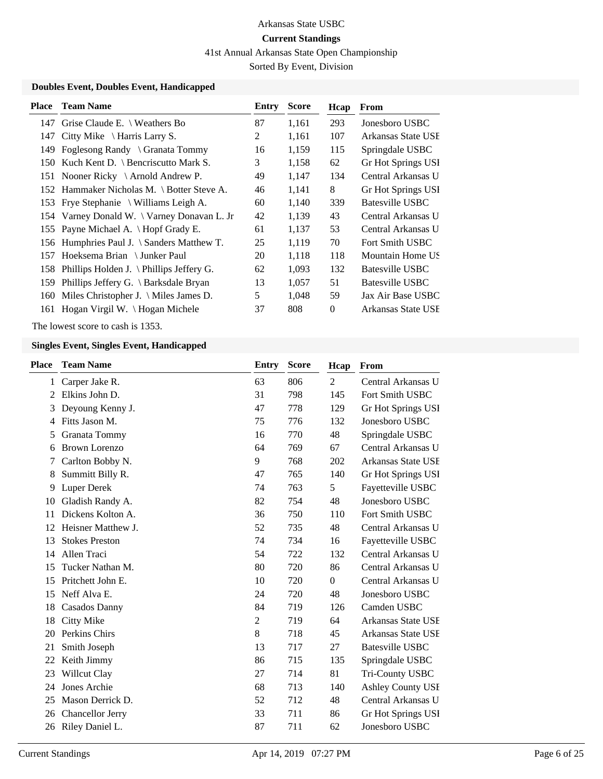41st Annual Arkansas State Open Championship

Sorted By Event, Division

### **Doubles Event, Doubles Event, Handicapped**

| Place | <b>Team Name</b>                                 | Entry | <b>Score</b> | Hcap     | From               |
|-------|--------------------------------------------------|-------|--------------|----------|--------------------|
| 147   | Grise Claude E. $\setminus$ Weathers Bo          | 87    | 1,161        | 293      | Jonesboro USBC     |
| 147   | Citty Mike $\setminus$ Harris Larry S.           | 2     | 1,161        | 107      | Arkansas State USE |
| 149   | Foglesong Randy \ Granata Tommy                  | 16    | 1,159        | 115      | Springdale USBC    |
| 150   | Kuch Kent D. $\setminus$ Bencriscutto Mark S.    | 3     | 1,158        | 62       | Gr Hot Springs USI |
| 151   | Nooner Ricky $\setminus$ Arnold Andrew P.        | 49    | 1,147        | 134      | Central Arkansas U |
|       | 152 Hammaker Nicholas M. \ Botter Steve A.       | 46    | 1,141        | 8        | Gr Hot Springs USI |
|       | 153 Frye Stephanie \ Williams Leigh A.           | 60    | 1,140        | 339      | Batesville USBC    |
|       | 154 Varney Donald W. \ Varney Donavan L. Jr      | 42    | 1,139        | 43       | Central Arkansas U |
|       | 155 Payne Michael A. \ Hopf Grady E.             | 61    | 1,137        | 53       | Central Arkansas U |
|       | 156 Humphries Paul J. \ Sanders Matthew T.       | 25    | 1,119        | 70       | Fort Smith USBC    |
| 157   | Hoeksema Brian \ Junker Paul                     | 20    | 1,118        | 118      | Mountain Home US   |
| 158   | Phillips Holden J. $\Phi$ Phillips Jeffery G.    | 62    | 1,093        | 132      | Batesville USBC    |
| 159   | Phillips Jeffery G. $\setminus$ Barksdale Bryan  | 13    | 1,057        | 51       | Batesville USBC    |
| 160   | Miles Christopher J. $\backslash$ Miles James D. | 5     | 1,048        | 59       | Jax Air Base USBC  |
| 161   | Hogan Virgil W. $\big\{\big\}$ Hogan Michele     | 37    | 808          | $\Omega$ | Arkansas State USE |

The lowest score to cash is 1353.

| Place | <b>Team Name</b>        | <b>Entry</b>   | <b>Score</b> | Hcap         | From                     |
|-------|-------------------------|----------------|--------------|--------------|--------------------------|
| 1     | Carper Jake R.          | 63             | 806          | 2            | Central Arkansas U       |
| 2     | Elkins John D.          | 31             | 798          | 145          | <b>Fort Smith USBC</b>   |
| 3     | Deyoung Kenny J.        | 47             | 778          | 129          | Gr Hot Springs USI       |
| 4     | Fitts Jason M.          | 75             | 776          | 132          | Jonesboro USBC           |
| 5     | Granata Tommy           | 16             | 770          | 48           | Springdale USBC          |
| 6     | <b>Brown Lorenzo</b>    | 64             | 769          | 67           | Central Arkansas U       |
| 7     | Carlton Bobby N.        | 9              | 768          | 202          | Arkansas State USE       |
| 8     | Summitt Billy R.        | 47             | 765          | 140          | Gr Hot Springs USI       |
| 9     | <b>Luper Derek</b>      | 74             | 763          | 5            | Fayetteville USBC        |
| 10    | Gladish Randy A.        | 82             | 754          | 48           | Jonesboro USBC           |
| 11    | Dickens Kolton A.       | 36             | 750          | 110          | Fort Smith USBC          |
| 12    | Heisner Matthew J.      | 52             | 735          | 48           | Central Arkansas U       |
| 13    | <b>Stokes Preston</b>   | 74             | 734          | 16           | Fayetteville USBC        |
| 14    | Allen Traci             | 54             | 722          | 132          | Central Arkansas U       |
| 15    | Tucker Nathan M.        | 80             | 720          | 86           | Central Arkansas U       |
| 15    | Pritchett John E.       | 10             | 720          | $\mathbf{0}$ | Central Arkansas U       |
| 15    | Neff Alva E.            | 24             | 720          | 48           | Jonesboro USBC           |
| 18    | <b>Casados Danny</b>    | 84             | 719          | 126          | Camden USBC              |
| 18    | Citty Mike              | $\overline{2}$ | 719          | 64           | Arkansas State USE       |
| 20    | Perkins Chirs           | 8              | 718          | 45           | Arkansas State USE       |
| 21    | Smith Joseph            | 13             | 717          | 27           | <b>Batesville USBC</b>   |
| 22    | Keith Jimmy             | 86             | 715          | 135          | Springdale USBC          |
| 23    | Willcut Clay            | 27             | 714          | 81           | Tri-County USBC          |
| 24    | Jones Archie            | 68             | 713          | 140          | <b>Ashley County USI</b> |
| 25    | Mason Derrick D.        | 52             | 712          | 48           | Central Arkansas U       |
| 26    | <b>Chancellor Jerry</b> | 33             | 711          | 86           | Gr Hot Springs USI       |
| 26    | Riley Daniel L.         | 87             | 711          | 62           | Jonesboro USBC           |
|       |                         |                |              |              |                          |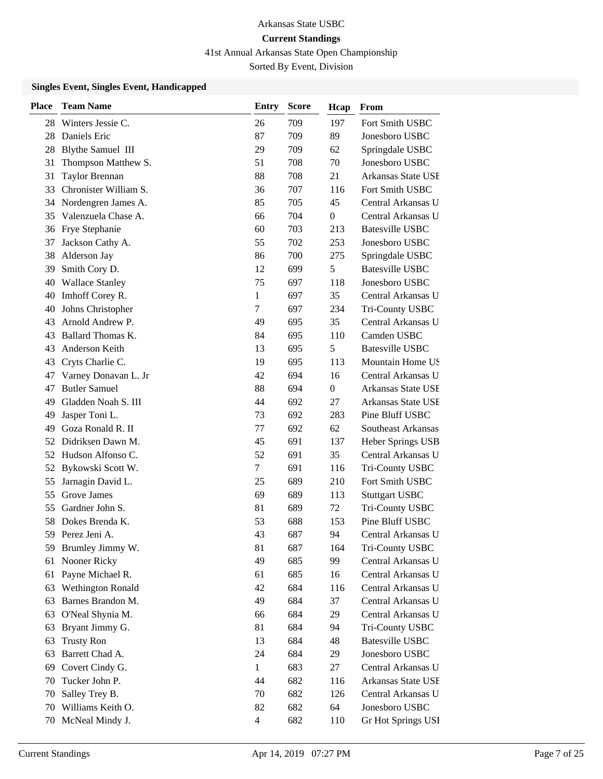41st Annual Arkansas State Open Championship

Sorted By Event, Division

| <b>Place</b> | <b>Team Name</b>         | Entry        | <b>Score</b> | Hcap             | From                   |
|--------------|--------------------------|--------------|--------------|------------------|------------------------|
| 28           | Winters Jessie C.        | 26           | 709          | 197              | Fort Smith USBC        |
| 28           | Daniels Eric             | 87           | 709          | 89               | Jonesboro USBC         |
| 28           | <b>Blythe Samuel III</b> | 29           | 709          | 62               | Springdale USBC        |
| 31           | Thompson Matthew S.      | 51           | 708          | 70               | Jonesboro USBC         |
| 31           | Taylor Brennan           | 88           | 708          | 21               | Arkansas State USE     |
| 33           | Chronister William S.    | 36           | 707          | 116              | Fort Smith USBC        |
| 34           | Nordengren James A.      | 85           | 705          | 45               | Central Arkansas U     |
| 35           | Valenzuela Chase A.      | 66           | 704          | $\boldsymbol{0}$ | Central Arkansas U     |
| 36           | Frye Stephanie           | 60           | 703          | 213              | <b>Batesville USBC</b> |
| 37           | Jackson Cathy A.         | 55           | 702          | 253              | Jonesboro USBC         |
| 38           | Alderson Jay             | 86           | 700          | 275              | Springdale USBC        |
| 39           | Smith Cory D.            | 12           | 699          | 5                | <b>Batesville USBC</b> |
| 40           | <b>Wallace Stanley</b>   | 75           | 697          | 118              | Jonesboro USBC         |
| 40           | Imhoff Corey R.          | 1            | 697          | 35               | Central Arkansas U     |
| 40           | Johns Christopher        | 7            | 697          | 234              | Tri-County USBC        |
| 43           | Arnold Andrew P.         | 49           | 695          | 35               | Central Arkansas U     |
| 43           | Ballard Thomas K.        | 84           | 695          | 110              | Camden USBC            |
| 43           | Anderson Keith           | 13           | 695          | 5                | <b>Batesville USBC</b> |
| 43           | Cryts Charlie C.         | 19           | 695          | 113              | Mountain Home US       |
| 47           | Varney Donavan L. Jr     | 42           | 694          | 16               | Central Arkansas U     |
| 47           | <b>Butler Samuel</b>     | 88           | 694          | 0                | Arkansas State USE     |
| 49           | Gladden Noah S. III      | 44           | 692          | 27               | Arkansas State USE     |
| 49           | Jasper Toni L.           | 73           | 692          | 283              | Pine Bluff USBC        |
| 49           | Goza Ronald R. II        | 77           | 692          | 62               | Southeast Arkansas     |
| 52           | Didriksen Dawn M.        | 45           | 691          | 137              | Heber Springs USB      |
| 52           | Hudson Alfonso C.        | 52           | 691          | 35               | Central Arkansas U     |
| 52           | Bykowski Scott W.        | 7            | 691          | 116              | Tri-County USBC        |
| 55           | Jarnagin David L.        | 25           | 689          | 210              | Fort Smith USBC        |
| 55           | Grove James              | 69           | 689          | 113              | <b>Stuttgart USBC</b>  |
| 55           | Gardner John S.          | 81           | 689          | 72               | Tri-County USBC        |
| 58           | Dokes Brenda K.          | 53           | 688          | 153              | Pine Bluff USBC        |
| 59           | Perez Jeni A.            | 43           | 687          | 94               | Central Arkansas U     |
| 59           | Brumley Jimmy W.         | 81           | 687          | 164              | Tri-County USBC        |
| 61           | Nooner Ricky             | 49           | 685          | 99               | Central Arkansas U     |
| 61           | Payne Michael R.         | 61           | 685          | 16               | Central Arkansas U     |
| 63           | Wethington Ronald        | 42           | 684          | 116              | Central Arkansas U     |
| 63           | Barnes Brandon M.        | 49           | 684          | 37               | Central Arkansas U     |
| 63           | O'Neal Shynia M.         | 66           | 684          | 29               | Central Arkansas U     |
| 63           | Bryant Jimmy G.          | 81           | 684          | 94               | Tri-County USBC        |
| 63           | <b>Trusty Ron</b>        | 13           | 684          | 48               | <b>Batesville USBC</b> |
| 63           | Barrett Chad A.          | 24           | 684          | 29               | Jonesboro USBC         |
| 69           | Covert Cindy G.          | $\mathbf{1}$ | 683          | 27               | Central Arkansas U     |
| 70           | Tucker John P.           | 44           | 682          | 116              | Arkansas State USE     |
| 70           | Salley Trey B.           | 70           | 682          | 126              | Central Arkansas U     |
| 70           | Williams Keith O.        | 82           | 682          | 64               | Jonesboro USBC         |
| 70           | McNeal Mindy J.          | 4            | 682          | 110              | Gr Hot Springs USI     |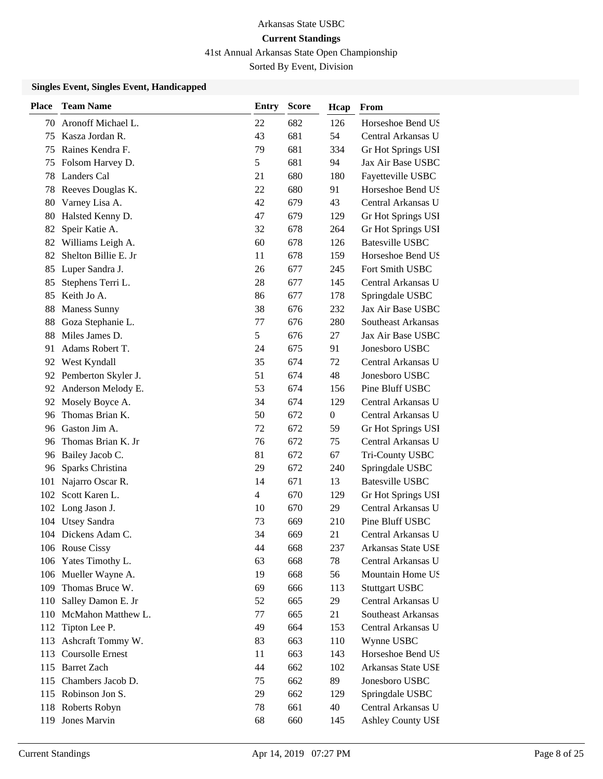41st Annual Arkansas State Open Championship

Sorted By Event, Division

| Place | <b>Team Name</b>     | <b>Entry</b> | <b>Score</b> | Hcap         | From                   |
|-------|----------------------|--------------|--------------|--------------|------------------------|
| 70    | Aronoff Michael L.   | 22           | 682          | 126          | Horseshoe Bend US      |
| 75    | Kasza Jordan R.      | 43           | 681          | 54           | Central Arkansas U     |
| 75    | Raines Kendra F.     | 79           | 681          | 334          | Gr Hot Springs USI     |
| 75    | Folsom Harvey D.     | 5            | 681          | 94           | Jax Air Base USBC      |
| 78    | Landers Cal          | 21           | 680          | 180          | Fayetteville USBC      |
| 78    | Reeves Douglas K.    | 22           | 680          | 91           | Horseshoe Bend US      |
| 80    | Varney Lisa A.       | 42           | 679          | 43           | Central Arkansas U     |
| 80    | Halsted Kenny D.     | 47           | 679          | 129          | Gr Hot Springs USI     |
| 82    | Speir Katie A.       | 32           | 678          | 264          | Gr Hot Springs USI     |
|       | 82 Williams Leigh A. | 60           | 678          | 126          | <b>Batesville USBC</b> |
| 82    | Shelton Billie E. Jr | 11           | 678          | 159          | Horseshoe Bend US      |
| 85    | Luper Sandra J.      | 26           | 677          | 245          | Fort Smith USBC        |
| 85    | Stephens Terri L.    | 28           | 677          | 145          | Central Arkansas U     |
| 85    | Keith Jo A.          | 86           | 677          | 178          | Springdale USBC        |
| 88    | <b>Maness Sunny</b>  | 38           | 676          | 232          | Jax Air Base USBC      |
| 88    | Goza Stephanie L.    | 77           | 676          | 280          | Southeast Arkansas     |
| 88    | Miles James D.       | 5            | 676          | 27           | Jax Air Base USBC      |
| 91    | Adams Robert T.      | 24           | 675          | 91           | Jonesboro USBC         |
| 92    | West Kyndall         | 35           | 674          | 72           | Central Arkansas U     |
| 92    | Pemberton Skyler J.  | 51           | 674          | 48           | Jonesboro USBC         |
| 92    | Anderson Melody E.   | 53           | 674          | 156          | Pine Bluff USBC        |
| 92    | Mosely Boyce A.      | 34           | 674          | 129          | Central Arkansas U     |
| 96    | Thomas Brian K.      | 50           | 672          | $\mathbf{0}$ | Central Arkansas U     |
| 96    | Gaston Jim A.        | 72           | 672          | 59           | Gr Hot Springs USI     |
| 96    | Thomas Brian K. Jr   | 76           | 672          | 75           | Central Arkansas U     |
| 96    | Bailey Jacob C.      | 81           | 672          | 67           | Tri-County USBC        |
| 96    | Sparks Christina     | 29           | 672          | 240          | Springdale USBC        |
| 101   | Najarro Oscar R.     | 14           | 671          | 13           | <b>Batesville USBC</b> |
| 102   | Scott Karen L.       | 4            | 670          | 129          | Gr Hot Springs USI     |
|       | 102 Long Jason J.    | 10           | 670          | 29           | Central Arkansas U     |
|       | 104 Utsey Sandra     | 73           | 669          | 210          | Pine Bluff USBC        |
|       | 104 Dickens Adam C.  | 34           | 669          | 21           | Central Arkansas U     |
|       | 106 Rouse Cissy      | 44           | 668          | 237          | Arkansas State USE     |
|       | 106 Yates Timothy L. | 63           | 668          | 78           | Central Arkansas U     |
|       | 106 Mueller Wayne A. | 19           | 668          | 56           | Mountain Home US       |
| 109   | Thomas Bruce W.      | 69           | 666          | 113          | <b>Stuttgart USBC</b>  |
| 110   | Salley Damon E. Jr   | 52           | 665          | 29           | Central Arkansas U     |
| 110   | McMahon Matthew L.   | 77           | 665          | 21           | Southeast Arkansas     |
| 112   | Tipton Lee P.        | 49           | 664          | 153          | Central Arkansas U     |
| 113   | Ashcraft Tommy W.    | 83           | 663          | 110          | Wynne USBC             |
| 113   | Coursolle Ernest     | 11           | 663          | 143          | Horseshoe Bend US      |
| 115   | <b>Barret Zach</b>   | 44           | 662          | 102          | Arkansas State USE     |
| 115   | Chambers Jacob D.    | 75           | 662          | 89           | Jonesboro USBC         |
| 115   | Robinson Jon S.      | 29           | 662          | 129          | Springdale USBC        |
|       | 118 Roberts Robyn    | 78           | 661          | 40           | Central Arkansas U     |
| 119   | Jones Marvin         | 68           | 660          | 145          | Ashley County USI      |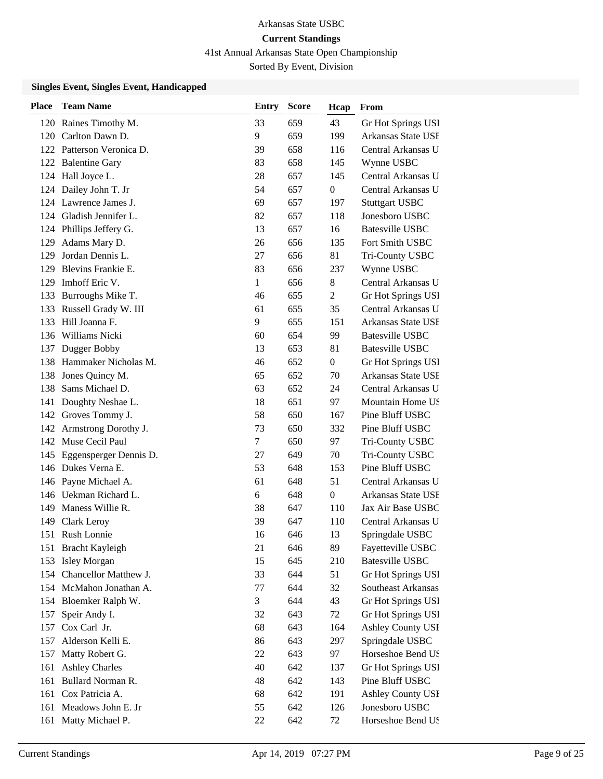41st Annual Arkansas State Open Championship

Sorted By Event, Division

| <b>Place</b> | <b>Team Name</b>          | Entry  | <b>Score</b> | Hcap           | From                   |
|--------------|---------------------------|--------|--------------|----------------|------------------------|
|              | 120 Raines Timothy M.     | 33     | 659          | 43             | Gr Hot Springs USI     |
| 120          | Carlton Dawn D.           | 9      | 659          | 199            | Arkansas State USE     |
| 122          | Patterson Veronica D.     | 39     | 658          | 116            | Central Arkansas U     |
| 122          | <b>Balentine Gary</b>     | 83     | 658          | 145            | Wynne USBC             |
| 124          | Hall Joyce L.             | 28     | 657          | 145            | Central Arkansas U     |
| 124          | Dailey John T. Jr         | 54     | 657          | $\mathbf{0}$   | Central Arkansas U     |
|              | 124 Lawrence James J.     | 69     | 657          | 197            | <b>Stuttgart USBC</b>  |
|              | 124 Gladish Jennifer L.   | 82     | 657          | 118            | Jonesboro USBC         |
| 124          | Phillips Jeffery G.       | 13     | 657          | 16             | <b>Batesville USBC</b> |
| 129          | Adams Mary D.             | 26     | 656          | 135            | Fort Smith USBC        |
| 129          | Jordan Dennis L.          | 27     | 656          | 81             | Tri-County USBC        |
| 129          | Blevins Frankie E.        | 83     | 656          | 237            | Wynne USBC             |
| 129          | Imhoff Eric V.            | 1      | 656          | 8              | Central Arkansas U     |
| 133          | Burroughs Mike T.         | 46     | 655          | $\overline{2}$ | Gr Hot Springs USI     |
|              | 133 Russell Grady W. III  | 61     | 655          | 35             | Central Arkansas U     |
| 133          | Hill Joanna F.            | 9      | 655          | 151            | Arkansas State USE     |
|              | 136 Williams Nicki        | 60     | 654          | 99             | <b>Batesville USBC</b> |
| 137          | Dugger Bobby              | 13     | 653          | 81             | <b>Batesville USBC</b> |
|              | 138 Hammaker Nicholas M.  | 46     | 652          | $\overline{0}$ | Gr Hot Springs USI     |
| 138          | Jones Quincy M.           | 65     | 652          | 70             | Arkansas State USE     |
| 138          | Sams Michael D.           | 63     | 652          | 24             | Central Arkansas U     |
| 141          | Doughty Neshae L.         | 18     | 651          | 97             | Mountain Home US       |
|              | 142 Groves Tommy J.       | 58     | 650          | 167            | Pine Bluff USBC        |
| 142          | Armstrong Dorothy J.      | 73     | 650          | 332            | Pine Bluff USBC        |
| 142          | Muse Cecil Paul           | $\tau$ | 650          | 97             | Tri-County USBC        |
| 145          | Eggensperger Dennis D.    | 27     | 649          | 70             | Tri-County USBC        |
|              | 146 Dukes Verna E.        | 53     | 648          | 153            | Pine Bluff USBC        |
|              | 146 Payne Michael A.      | 61     | 648          | 51             | Central Arkansas U     |
|              | 146 Uekman Richard L.     | 6      | 648          | $\overline{0}$ | Arkansas State USE     |
| 149          | Maness Willie R.          | 38     | 647          | 110            | Jax Air Base USBC      |
| 149          | <b>Clark Leroy</b>        | 39     | 647          | 110            | Central Arkansas U     |
| 151          | Rush Lonnie               | 16     | 646          | 13             | Springdale USBC        |
|              | 151 Bracht Kayleigh       | 21     | 646          | 89             | Fayetteville USBC      |
| 153          | <b>Isley Morgan</b>       | 15     | 645          | 210            | <b>Batesville USBC</b> |
|              | 154 Chancellor Matthew J. | 33     | 644          | 51             | Gr Hot Springs USI     |
|              | 154 McMahon Jonathan A.   | 77     | 644          | 32             | Southeast Arkansas     |
|              | 154 Bloemker Ralph W.     | 3      | 644          | 43             | Gr Hot Springs USI     |
| 157          | Speir Andy I.             | 32     | 643          | 72             | Gr Hot Springs USI     |
| 157          | Cox Carl Jr.              | 68     | 643          | 164            | Ashley County USI      |
| 157          | Alderson Kelli E.         | 86     | 643          | 297            | Springdale USBC        |
| 157          | Matty Robert G.           | 22     | 643          | 97             | Horseshoe Bend US      |
| 161          | <b>Ashley Charles</b>     | 40     | 642          | 137            | Gr Hot Springs USI     |
| 161          | Bullard Norman R.         | 48     | 642          | 143            | Pine Bluff USBC        |
| 161          | Cox Patricia A.           | 68     | 642          | 191            | Ashley County USI      |
| 161          | Meadows John E. Jr        | 55     | 642          | 126            | Jonesboro USBC         |
| 161          | Matty Michael P.          | $22\,$ | 642          | 72             | Horseshoe Bend US      |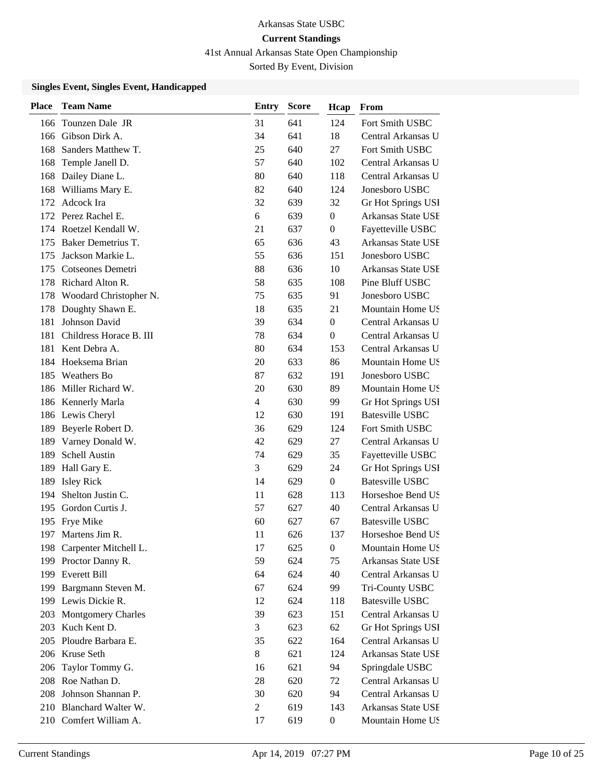41st Annual Arkansas State Open Championship

Sorted By Event, Division

| <b>Place</b> | <b>Team Name</b>          | Entry          | <b>Score</b> | Hcap             | From                      |
|--------------|---------------------------|----------------|--------------|------------------|---------------------------|
| 166          | Tounzen Dale JR           | 31             | 641          | 124              | Fort Smith USBC           |
| 166          | Gibson Dirk A.            | 34             | 641          | 18               | Central Arkansas U        |
| 168          | Sanders Matthew T.        | 25             | 640          | 27               | Fort Smith USBC           |
| 168          | Temple Janell D.          | 57             | 640          | 102              | Central Arkansas U        |
| 168          | Dailey Diane L.           | 80             | 640          | 118              | Central Arkansas U        |
| 168          | Williams Mary E.          | 82             | 640          | 124              | Jonesboro USBC            |
| 172          | Adcock Ira                | 32             | 639          | 32               | Gr Hot Springs USI        |
| 172          | Perez Rachel E.           | 6              | 639          | $\boldsymbol{0}$ | Arkansas State USE        |
| 174          | Roetzel Kendall W.        | 21             | 637          | $\boldsymbol{0}$ | Fayetteville USBC         |
| 175          | Baker Demetrius T.        | 65             | 636          | 43               | <b>Arkansas State USE</b> |
| 175          | Jackson Markie L.         | 55             | 636          | 151              | Jonesboro USBC            |
| 175          | Cotseones Demetri         | 88             | 636          | 10               | Arkansas State USE        |
| 178          | Richard Alton R.          | 58             | 635          | 108              | Pine Bluff USBC           |
| 178          | Woodard Christopher N.    | 75             | 635          | 91               | Jonesboro USBC            |
| 178          | Doughty Shawn E.          | 18             | 635          | 21               | Mountain Home US          |
| 181          | Johnson David             | 39             | 634          | $\boldsymbol{0}$ | Central Arkansas U        |
| 181          | Childress Horace B. III   | 78             | 634          | $\theta$         | Central Arkansas U        |
| 181          | Kent Debra A.             | 80             | 634          | 153              | Central Arkansas U        |
| 184          | Hoeksema Brian            | 20             | 633          | 86               | Mountain Home US          |
| 185          | <b>Weathers Bo</b>        | 87             | 632          | 191              | Jonesboro USBC            |
| 186          | Miller Richard W.         | 20             | 630          | 89               | Mountain Home US          |
| 186          | <b>Kennerly Marla</b>     | $\overline{4}$ | 630          | 99               | Gr Hot Springs USI        |
|              | 186 Lewis Cheryl          | 12             | 630          | 191              | <b>Batesville USBC</b>    |
| 189          | Beyerle Robert D.         | 36             | 629          | 124              | Fort Smith USBC           |
| 189          | Varney Donald W.          | 42             | 629          | 27               | Central Arkansas U        |
| 189          | Schell Austin             | 74             | 629          | 35               | Fayetteville USBC         |
| 189          | Hall Gary E.              | 3              | 629          | 24               | Gr Hot Springs USI        |
| 189          | <b>Isley Rick</b>         | 14             | 629          | $\boldsymbol{0}$ | <b>Batesville USBC</b>    |
| 194          | Shelton Justin C.         | 11             | 628          | 113              | Horseshoe Bend US         |
| 195          | Gordon Curtis J.          | 57             | 627          | 40               | Central Arkansas U        |
| 195          | Frye Mike                 | 60             | 627          | 67               | <b>Batesville USBC</b>    |
| 197          | Martens Jim R.            | 11             | 626          | 137              | Horseshoe Bend US         |
|              | 198 Carpenter Mitchell L. | 17             | 625          | $\boldsymbol{0}$ | Mountain Home US          |
| 199          | Proctor Danny R.          | 59             | 624          | 75               | Arkansas State USE        |
|              | 199 Everett Bill          | 64             | 624          | 40               | Central Arkansas U        |
|              | 199 Bargmann Steven M.    | 67             | 624          | 99               | Tri-County USBC           |
|              | 199 Lewis Dickie R.       | 12             | 624          | 118              | <b>Batesville USBC</b>    |
| 203          | <b>Montgomery Charles</b> | 39             | 623          | 151              | Central Arkansas U        |
|              | 203 Kuch Kent D.          | 3              | 623          | 62               | Gr Hot Springs USI        |
|              | 205 Ploudre Barbara E.    | 35             | 622          | 164              | Central Arkansas U        |
| 206          | Kruse Seth                | 8              | 621          | 124              | <b>Arkansas State USE</b> |
| 206          | Taylor Tommy G.           | 16             | 621          | 94               | Springdale USBC           |
| 208          | Roe Nathan D.             | 28             | 620          | 72               | Central Arkansas U        |
|              | 208 Johnson Shannan P.    | 30             | 620          | 94               | Central Arkansas U        |
|              | 210 Blanchard Walter W.   | $\overline{c}$ | 619          | 143              | Arkansas State USE        |
|              | 210 Comfert William A.    | 17             | 619          | $\boldsymbol{0}$ | Mountain Home US          |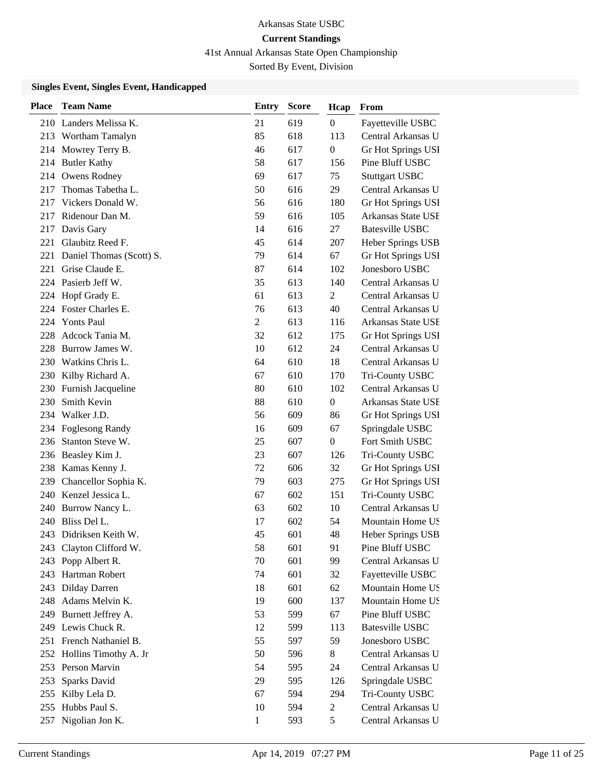41st Annual Arkansas State Open Championship

Sorted By Event, Division

| 619<br>210 Landers Melissa K.<br>21<br>$\boldsymbol{0}$<br>Fayetteville USBC<br>618<br>213 Wortham Tamalyn<br>85<br>113<br>Central Arkansas U<br>617<br>Mowrey Terry B.<br>46<br>$\boldsymbol{0}$<br>Gr Hot Springs USI<br>214<br>58<br>Pine Bluff USBC<br><b>Butler Kathy</b><br>617<br>156<br>214<br>Owens Rodney<br>69<br>617<br>75<br><b>Stuttgart USBC</b><br>214<br>Thomas Tabetha L.<br>50<br>616<br>29<br>Central Arkansas U<br>217<br>Vickers Donald W.<br>56<br>616<br>Gr Hot Springs USI<br>180<br>217<br>Ridenour Dan M.<br>59<br>616<br>Arkansas State USE<br>105<br>217<br>Davis Gary<br>616<br><b>Batesville USBC</b><br>14<br>27<br>217<br>Glaubitz Reed F.<br>45<br>614<br>221<br>207<br>Heber Springs USB<br>79<br>614<br>Daniel Thomas (Scott) S.<br>67<br>Gr Hot Springs USI<br>221<br>Grise Claude E.<br>87<br>Jonesboro USBC<br>221<br>614<br>102<br>Pasierb Jeff W.<br>35<br>Central Arkansas U<br>613<br>140<br>224<br>Hopf Grady E.<br>61<br>613<br>Central Arkansas U<br>2<br>224<br>Foster Charles E.<br>76<br>Central Arkansas U<br>613<br>40<br>224<br>Yonts Paul<br>$\overline{c}$<br>613<br>116<br>Arkansas State USE<br>224<br>Adcock Tania M.<br>612<br>32<br>175<br>Gr Hot Springs USI<br>228<br>Burrow James W.<br>10<br>612<br>Central Arkansas U<br>24<br>228<br>Watkins Chris L.<br>64<br>610<br>18<br>230<br>Central Arkansas U<br>Kilby Richard A.<br>67<br>610<br>170<br>Tri-County USBC<br>230<br>80<br>Central Arkansas U<br>Furnish Jacqueline<br>610<br>102<br>230<br>Smith Kevin<br>88<br>610<br>Arkansas State USE<br>230<br>$\boldsymbol{0}$<br>Walker J.D.<br>56<br>234<br>609<br>86<br>Gr Hot Springs USI<br><b>Foglesong Randy</b><br>16<br>609<br>67<br>Springdale USBC<br>234<br>Stanton Steve W.<br>25<br>607<br>Fort Smith USBC<br>236<br>$\boldsymbol{0}$<br>23<br>607<br>Beasley Kim J.<br>126<br>236<br>Tri-County USBC<br>238 Kamas Kenny J.<br>72<br>606<br>32<br>Gr Hot Springs USI<br>Chancellor Sophia K.<br>79<br>Gr Hot Springs USI<br>603<br>275<br>239<br>Kenzel Jessica L.<br>602<br>Tri-County USBC<br>67<br>151<br>240<br>63<br>602<br>Central Arkansas U<br>Burrow Nancy L.<br>10<br>240<br>Bliss Del L.<br>17<br>602<br>Mountain Home US<br>240<br>54<br>45<br>601<br>48<br>243<br>Didriksen Keith W.<br>Heber Springs USB<br>58<br>243 Clayton Clifford W.<br>601<br>91<br>Pine Bluff USBC<br>601<br>243 Popp Albert R.<br>70<br>99<br>Central Arkansas U<br>243 Hartman Robert<br>74<br>601<br>Fayetteville USBC<br>32<br>18<br>601<br>Mountain Home US<br>Dilday Darren<br>62<br>243<br>Adams Melvin K.<br>600<br>Mountain Home US<br>248<br>19<br>137<br>Burnett Jeffrey A.<br>53<br>599<br>67<br>Pine Bluff USBC<br>249<br>Lewis Chuck R.<br>12<br><b>Batesville USBC</b><br>249<br>599<br>113<br>251 French Nathaniel B.<br>55<br>59<br>Jonesboro USBC<br>597<br>Hollins Timothy A. Jr<br>50<br>Central Arkansas U<br>252<br>596<br>8<br>Person Marvin<br>Central Arkansas U<br>253<br>54<br>595<br>24<br>29<br>253<br>Sparks David<br>595<br>126<br>Springdale USBC<br>594<br>255<br>Kilby Lela D.<br>67<br>294<br>Tri-County USBC<br>Hubbs Paul S.<br>10<br>Central Arkansas U<br>255<br>594<br>$\overline{c}$ | <b>Place</b> | <b>Team Name</b> | <b>Entry</b> | <b>Score</b> | Hcap | From |
|------------------------------------------------------------------------------------------------------------------------------------------------------------------------------------------------------------------------------------------------------------------------------------------------------------------------------------------------------------------------------------------------------------------------------------------------------------------------------------------------------------------------------------------------------------------------------------------------------------------------------------------------------------------------------------------------------------------------------------------------------------------------------------------------------------------------------------------------------------------------------------------------------------------------------------------------------------------------------------------------------------------------------------------------------------------------------------------------------------------------------------------------------------------------------------------------------------------------------------------------------------------------------------------------------------------------------------------------------------------------------------------------------------------------------------------------------------------------------------------------------------------------------------------------------------------------------------------------------------------------------------------------------------------------------------------------------------------------------------------------------------------------------------------------------------------------------------------------------------------------------------------------------------------------------------------------------------------------------------------------------------------------------------------------------------------------------------------------------------------------------------------------------------------------------------------------------------------------------------------------------------------------------------------------------------------------------------------------------------------------------------------------------------------------------------------------------------------------------------------------------------------------------------------------------------------------------------------------------------------------------------------------------------------------------------------------------------------------------------------------------------------------------------------------------------------------------------------------------------------------------------------------------------------------------------------------------------------------------------------------------------------------------------------------------------------------------------------------------------------------------------------------------------------------------------------------|--------------|------------------|--------------|--------------|------|------|
|                                                                                                                                                                                                                                                                                                                                                                                                                                                                                                                                                                                                                                                                                                                                                                                                                                                                                                                                                                                                                                                                                                                                                                                                                                                                                                                                                                                                                                                                                                                                                                                                                                                                                                                                                                                                                                                                                                                                                                                                                                                                                                                                                                                                                                                                                                                                                                                                                                                                                                                                                                                                                                                                                                                                                                                                                                                                                                                                                                                                                                                                                                                                                                                                |              |                  |              |              |      |      |
|                                                                                                                                                                                                                                                                                                                                                                                                                                                                                                                                                                                                                                                                                                                                                                                                                                                                                                                                                                                                                                                                                                                                                                                                                                                                                                                                                                                                                                                                                                                                                                                                                                                                                                                                                                                                                                                                                                                                                                                                                                                                                                                                                                                                                                                                                                                                                                                                                                                                                                                                                                                                                                                                                                                                                                                                                                                                                                                                                                                                                                                                                                                                                                                                |              |                  |              |              |      |      |
|                                                                                                                                                                                                                                                                                                                                                                                                                                                                                                                                                                                                                                                                                                                                                                                                                                                                                                                                                                                                                                                                                                                                                                                                                                                                                                                                                                                                                                                                                                                                                                                                                                                                                                                                                                                                                                                                                                                                                                                                                                                                                                                                                                                                                                                                                                                                                                                                                                                                                                                                                                                                                                                                                                                                                                                                                                                                                                                                                                                                                                                                                                                                                                                                |              |                  |              |              |      |      |
|                                                                                                                                                                                                                                                                                                                                                                                                                                                                                                                                                                                                                                                                                                                                                                                                                                                                                                                                                                                                                                                                                                                                                                                                                                                                                                                                                                                                                                                                                                                                                                                                                                                                                                                                                                                                                                                                                                                                                                                                                                                                                                                                                                                                                                                                                                                                                                                                                                                                                                                                                                                                                                                                                                                                                                                                                                                                                                                                                                                                                                                                                                                                                                                                |              |                  |              |              |      |      |
|                                                                                                                                                                                                                                                                                                                                                                                                                                                                                                                                                                                                                                                                                                                                                                                                                                                                                                                                                                                                                                                                                                                                                                                                                                                                                                                                                                                                                                                                                                                                                                                                                                                                                                                                                                                                                                                                                                                                                                                                                                                                                                                                                                                                                                                                                                                                                                                                                                                                                                                                                                                                                                                                                                                                                                                                                                                                                                                                                                                                                                                                                                                                                                                                |              |                  |              |              |      |      |
|                                                                                                                                                                                                                                                                                                                                                                                                                                                                                                                                                                                                                                                                                                                                                                                                                                                                                                                                                                                                                                                                                                                                                                                                                                                                                                                                                                                                                                                                                                                                                                                                                                                                                                                                                                                                                                                                                                                                                                                                                                                                                                                                                                                                                                                                                                                                                                                                                                                                                                                                                                                                                                                                                                                                                                                                                                                                                                                                                                                                                                                                                                                                                                                                |              |                  |              |              |      |      |
|                                                                                                                                                                                                                                                                                                                                                                                                                                                                                                                                                                                                                                                                                                                                                                                                                                                                                                                                                                                                                                                                                                                                                                                                                                                                                                                                                                                                                                                                                                                                                                                                                                                                                                                                                                                                                                                                                                                                                                                                                                                                                                                                                                                                                                                                                                                                                                                                                                                                                                                                                                                                                                                                                                                                                                                                                                                                                                                                                                                                                                                                                                                                                                                                |              |                  |              |              |      |      |
|                                                                                                                                                                                                                                                                                                                                                                                                                                                                                                                                                                                                                                                                                                                                                                                                                                                                                                                                                                                                                                                                                                                                                                                                                                                                                                                                                                                                                                                                                                                                                                                                                                                                                                                                                                                                                                                                                                                                                                                                                                                                                                                                                                                                                                                                                                                                                                                                                                                                                                                                                                                                                                                                                                                                                                                                                                                                                                                                                                                                                                                                                                                                                                                                |              |                  |              |              |      |      |
|                                                                                                                                                                                                                                                                                                                                                                                                                                                                                                                                                                                                                                                                                                                                                                                                                                                                                                                                                                                                                                                                                                                                                                                                                                                                                                                                                                                                                                                                                                                                                                                                                                                                                                                                                                                                                                                                                                                                                                                                                                                                                                                                                                                                                                                                                                                                                                                                                                                                                                                                                                                                                                                                                                                                                                                                                                                                                                                                                                                                                                                                                                                                                                                                |              |                  |              |              |      |      |
|                                                                                                                                                                                                                                                                                                                                                                                                                                                                                                                                                                                                                                                                                                                                                                                                                                                                                                                                                                                                                                                                                                                                                                                                                                                                                                                                                                                                                                                                                                                                                                                                                                                                                                                                                                                                                                                                                                                                                                                                                                                                                                                                                                                                                                                                                                                                                                                                                                                                                                                                                                                                                                                                                                                                                                                                                                                                                                                                                                                                                                                                                                                                                                                                |              |                  |              |              |      |      |
|                                                                                                                                                                                                                                                                                                                                                                                                                                                                                                                                                                                                                                                                                                                                                                                                                                                                                                                                                                                                                                                                                                                                                                                                                                                                                                                                                                                                                                                                                                                                                                                                                                                                                                                                                                                                                                                                                                                                                                                                                                                                                                                                                                                                                                                                                                                                                                                                                                                                                                                                                                                                                                                                                                                                                                                                                                                                                                                                                                                                                                                                                                                                                                                                |              |                  |              |              |      |      |
|                                                                                                                                                                                                                                                                                                                                                                                                                                                                                                                                                                                                                                                                                                                                                                                                                                                                                                                                                                                                                                                                                                                                                                                                                                                                                                                                                                                                                                                                                                                                                                                                                                                                                                                                                                                                                                                                                                                                                                                                                                                                                                                                                                                                                                                                                                                                                                                                                                                                                                                                                                                                                                                                                                                                                                                                                                                                                                                                                                                                                                                                                                                                                                                                |              |                  |              |              |      |      |
|                                                                                                                                                                                                                                                                                                                                                                                                                                                                                                                                                                                                                                                                                                                                                                                                                                                                                                                                                                                                                                                                                                                                                                                                                                                                                                                                                                                                                                                                                                                                                                                                                                                                                                                                                                                                                                                                                                                                                                                                                                                                                                                                                                                                                                                                                                                                                                                                                                                                                                                                                                                                                                                                                                                                                                                                                                                                                                                                                                                                                                                                                                                                                                                                |              |                  |              |              |      |      |
|                                                                                                                                                                                                                                                                                                                                                                                                                                                                                                                                                                                                                                                                                                                                                                                                                                                                                                                                                                                                                                                                                                                                                                                                                                                                                                                                                                                                                                                                                                                                                                                                                                                                                                                                                                                                                                                                                                                                                                                                                                                                                                                                                                                                                                                                                                                                                                                                                                                                                                                                                                                                                                                                                                                                                                                                                                                                                                                                                                                                                                                                                                                                                                                                |              |                  |              |              |      |      |
|                                                                                                                                                                                                                                                                                                                                                                                                                                                                                                                                                                                                                                                                                                                                                                                                                                                                                                                                                                                                                                                                                                                                                                                                                                                                                                                                                                                                                                                                                                                                                                                                                                                                                                                                                                                                                                                                                                                                                                                                                                                                                                                                                                                                                                                                                                                                                                                                                                                                                                                                                                                                                                                                                                                                                                                                                                                                                                                                                                                                                                                                                                                                                                                                |              |                  |              |              |      |      |
|                                                                                                                                                                                                                                                                                                                                                                                                                                                                                                                                                                                                                                                                                                                                                                                                                                                                                                                                                                                                                                                                                                                                                                                                                                                                                                                                                                                                                                                                                                                                                                                                                                                                                                                                                                                                                                                                                                                                                                                                                                                                                                                                                                                                                                                                                                                                                                                                                                                                                                                                                                                                                                                                                                                                                                                                                                                                                                                                                                                                                                                                                                                                                                                                |              |                  |              |              |      |      |
|                                                                                                                                                                                                                                                                                                                                                                                                                                                                                                                                                                                                                                                                                                                                                                                                                                                                                                                                                                                                                                                                                                                                                                                                                                                                                                                                                                                                                                                                                                                                                                                                                                                                                                                                                                                                                                                                                                                                                                                                                                                                                                                                                                                                                                                                                                                                                                                                                                                                                                                                                                                                                                                                                                                                                                                                                                                                                                                                                                                                                                                                                                                                                                                                |              |                  |              |              |      |      |
|                                                                                                                                                                                                                                                                                                                                                                                                                                                                                                                                                                                                                                                                                                                                                                                                                                                                                                                                                                                                                                                                                                                                                                                                                                                                                                                                                                                                                                                                                                                                                                                                                                                                                                                                                                                                                                                                                                                                                                                                                                                                                                                                                                                                                                                                                                                                                                                                                                                                                                                                                                                                                                                                                                                                                                                                                                                                                                                                                                                                                                                                                                                                                                                                |              |                  |              |              |      |      |
|                                                                                                                                                                                                                                                                                                                                                                                                                                                                                                                                                                                                                                                                                                                                                                                                                                                                                                                                                                                                                                                                                                                                                                                                                                                                                                                                                                                                                                                                                                                                                                                                                                                                                                                                                                                                                                                                                                                                                                                                                                                                                                                                                                                                                                                                                                                                                                                                                                                                                                                                                                                                                                                                                                                                                                                                                                                                                                                                                                                                                                                                                                                                                                                                |              |                  |              |              |      |      |
|                                                                                                                                                                                                                                                                                                                                                                                                                                                                                                                                                                                                                                                                                                                                                                                                                                                                                                                                                                                                                                                                                                                                                                                                                                                                                                                                                                                                                                                                                                                                                                                                                                                                                                                                                                                                                                                                                                                                                                                                                                                                                                                                                                                                                                                                                                                                                                                                                                                                                                                                                                                                                                                                                                                                                                                                                                                                                                                                                                                                                                                                                                                                                                                                |              |                  |              |              |      |      |
|                                                                                                                                                                                                                                                                                                                                                                                                                                                                                                                                                                                                                                                                                                                                                                                                                                                                                                                                                                                                                                                                                                                                                                                                                                                                                                                                                                                                                                                                                                                                                                                                                                                                                                                                                                                                                                                                                                                                                                                                                                                                                                                                                                                                                                                                                                                                                                                                                                                                                                                                                                                                                                                                                                                                                                                                                                                                                                                                                                                                                                                                                                                                                                                                |              |                  |              |              |      |      |
|                                                                                                                                                                                                                                                                                                                                                                                                                                                                                                                                                                                                                                                                                                                                                                                                                                                                                                                                                                                                                                                                                                                                                                                                                                                                                                                                                                                                                                                                                                                                                                                                                                                                                                                                                                                                                                                                                                                                                                                                                                                                                                                                                                                                                                                                                                                                                                                                                                                                                                                                                                                                                                                                                                                                                                                                                                                                                                                                                                                                                                                                                                                                                                                                |              |                  |              |              |      |      |
|                                                                                                                                                                                                                                                                                                                                                                                                                                                                                                                                                                                                                                                                                                                                                                                                                                                                                                                                                                                                                                                                                                                                                                                                                                                                                                                                                                                                                                                                                                                                                                                                                                                                                                                                                                                                                                                                                                                                                                                                                                                                                                                                                                                                                                                                                                                                                                                                                                                                                                                                                                                                                                                                                                                                                                                                                                                                                                                                                                                                                                                                                                                                                                                                |              |                  |              |              |      |      |
|                                                                                                                                                                                                                                                                                                                                                                                                                                                                                                                                                                                                                                                                                                                                                                                                                                                                                                                                                                                                                                                                                                                                                                                                                                                                                                                                                                                                                                                                                                                                                                                                                                                                                                                                                                                                                                                                                                                                                                                                                                                                                                                                                                                                                                                                                                                                                                                                                                                                                                                                                                                                                                                                                                                                                                                                                                                                                                                                                                                                                                                                                                                                                                                                |              |                  |              |              |      |      |
|                                                                                                                                                                                                                                                                                                                                                                                                                                                                                                                                                                                                                                                                                                                                                                                                                                                                                                                                                                                                                                                                                                                                                                                                                                                                                                                                                                                                                                                                                                                                                                                                                                                                                                                                                                                                                                                                                                                                                                                                                                                                                                                                                                                                                                                                                                                                                                                                                                                                                                                                                                                                                                                                                                                                                                                                                                                                                                                                                                                                                                                                                                                                                                                                |              |                  |              |              |      |      |
|                                                                                                                                                                                                                                                                                                                                                                                                                                                                                                                                                                                                                                                                                                                                                                                                                                                                                                                                                                                                                                                                                                                                                                                                                                                                                                                                                                                                                                                                                                                                                                                                                                                                                                                                                                                                                                                                                                                                                                                                                                                                                                                                                                                                                                                                                                                                                                                                                                                                                                                                                                                                                                                                                                                                                                                                                                                                                                                                                                                                                                                                                                                                                                                                |              |                  |              |              |      |      |
|                                                                                                                                                                                                                                                                                                                                                                                                                                                                                                                                                                                                                                                                                                                                                                                                                                                                                                                                                                                                                                                                                                                                                                                                                                                                                                                                                                                                                                                                                                                                                                                                                                                                                                                                                                                                                                                                                                                                                                                                                                                                                                                                                                                                                                                                                                                                                                                                                                                                                                                                                                                                                                                                                                                                                                                                                                                                                                                                                                                                                                                                                                                                                                                                |              |                  |              |              |      |      |
|                                                                                                                                                                                                                                                                                                                                                                                                                                                                                                                                                                                                                                                                                                                                                                                                                                                                                                                                                                                                                                                                                                                                                                                                                                                                                                                                                                                                                                                                                                                                                                                                                                                                                                                                                                                                                                                                                                                                                                                                                                                                                                                                                                                                                                                                                                                                                                                                                                                                                                                                                                                                                                                                                                                                                                                                                                                                                                                                                                                                                                                                                                                                                                                                |              |                  |              |              |      |      |
|                                                                                                                                                                                                                                                                                                                                                                                                                                                                                                                                                                                                                                                                                                                                                                                                                                                                                                                                                                                                                                                                                                                                                                                                                                                                                                                                                                                                                                                                                                                                                                                                                                                                                                                                                                                                                                                                                                                                                                                                                                                                                                                                                                                                                                                                                                                                                                                                                                                                                                                                                                                                                                                                                                                                                                                                                                                                                                                                                                                                                                                                                                                                                                                                |              |                  |              |              |      |      |
|                                                                                                                                                                                                                                                                                                                                                                                                                                                                                                                                                                                                                                                                                                                                                                                                                                                                                                                                                                                                                                                                                                                                                                                                                                                                                                                                                                                                                                                                                                                                                                                                                                                                                                                                                                                                                                                                                                                                                                                                                                                                                                                                                                                                                                                                                                                                                                                                                                                                                                                                                                                                                                                                                                                                                                                                                                                                                                                                                                                                                                                                                                                                                                                                |              |                  |              |              |      |      |
|                                                                                                                                                                                                                                                                                                                                                                                                                                                                                                                                                                                                                                                                                                                                                                                                                                                                                                                                                                                                                                                                                                                                                                                                                                                                                                                                                                                                                                                                                                                                                                                                                                                                                                                                                                                                                                                                                                                                                                                                                                                                                                                                                                                                                                                                                                                                                                                                                                                                                                                                                                                                                                                                                                                                                                                                                                                                                                                                                                                                                                                                                                                                                                                                |              |                  |              |              |      |      |
|                                                                                                                                                                                                                                                                                                                                                                                                                                                                                                                                                                                                                                                                                                                                                                                                                                                                                                                                                                                                                                                                                                                                                                                                                                                                                                                                                                                                                                                                                                                                                                                                                                                                                                                                                                                                                                                                                                                                                                                                                                                                                                                                                                                                                                                                                                                                                                                                                                                                                                                                                                                                                                                                                                                                                                                                                                                                                                                                                                                                                                                                                                                                                                                                |              |                  |              |              |      |      |
|                                                                                                                                                                                                                                                                                                                                                                                                                                                                                                                                                                                                                                                                                                                                                                                                                                                                                                                                                                                                                                                                                                                                                                                                                                                                                                                                                                                                                                                                                                                                                                                                                                                                                                                                                                                                                                                                                                                                                                                                                                                                                                                                                                                                                                                                                                                                                                                                                                                                                                                                                                                                                                                                                                                                                                                                                                                                                                                                                                                                                                                                                                                                                                                                |              |                  |              |              |      |      |
|                                                                                                                                                                                                                                                                                                                                                                                                                                                                                                                                                                                                                                                                                                                                                                                                                                                                                                                                                                                                                                                                                                                                                                                                                                                                                                                                                                                                                                                                                                                                                                                                                                                                                                                                                                                                                                                                                                                                                                                                                                                                                                                                                                                                                                                                                                                                                                                                                                                                                                                                                                                                                                                                                                                                                                                                                                                                                                                                                                                                                                                                                                                                                                                                |              |                  |              |              |      |      |
|                                                                                                                                                                                                                                                                                                                                                                                                                                                                                                                                                                                                                                                                                                                                                                                                                                                                                                                                                                                                                                                                                                                                                                                                                                                                                                                                                                                                                                                                                                                                                                                                                                                                                                                                                                                                                                                                                                                                                                                                                                                                                                                                                                                                                                                                                                                                                                                                                                                                                                                                                                                                                                                                                                                                                                                                                                                                                                                                                                                                                                                                                                                                                                                                |              |                  |              |              |      |      |
|                                                                                                                                                                                                                                                                                                                                                                                                                                                                                                                                                                                                                                                                                                                                                                                                                                                                                                                                                                                                                                                                                                                                                                                                                                                                                                                                                                                                                                                                                                                                                                                                                                                                                                                                                                                                                                                                                                                                                                                                                                                                                                                                                                                                                                                                                                                                                                                                                                                                                                                                                                                                                                                                                                                                                                                                                                                                                                                                                                                                                                                                                                                                                                                                |              |                  |              |              |      |      |
|                                                                                                                                                                                                                                                                                                                                                                                                                                                                                                                                                                                                                                                                                                                                                                                                                                                                                                                                                                                                                                                                                                                                                                                                                                                                                                                                                                                                                                                                                                                                                                                                                                                                                                                                                                                                                                                                                                                                                                                                                                                                                                                                                                                                                                                                                                                                                                                                                                                                                                                                                                                                                                                                                                                                                                                                                                                                                                                                                                                                                                                                                                                                                                                                |              |                  |              |              |      |      |
|                                                                                                                                                                                                                                                                                                                                                                                                                                                                                                                                                                                                                                                                                                                                                                                                                                                                                                                                                                                                                                                                                                                                                                                                                                                                                                                                                                                                                                                                                                                                                                                                                                                                                                                                                                                                                                                                                                                                                                                                                                                                                                                                                                                                                                                                                                                                                                                                                                                                                                                                                                                                                                                                                                                                                                                                                                                                                                                                                                                                                                                                                                                                                                                                |              |                  |              |              |      |      |
|                                                                                                                                                                                                                                                                                                                                                                                                                                                                                                                                                                                                                                                                                                                                                                                                                                                                                                                                                                                                                                                                                                                                                                                                                                                                                                                                                                                                                                                                                                                                                                                                                                                                                                                                                                                                                                                                                                                                                                                                                                                                                                                                                                                                                                                                                                                                                                                                                                                                                                                                                                                                                                                                                                                                                                                                                                                                                                                                                                                                                                                                                                                                                                                                |              |                  |              |              |      |      |
|                                                                                                                                                                                                                                                                                                                                                                                                                                                                                                                                                                                                                                                                                                                                                                                                                                                                                                                                                                                                                                                                                                                                                                                                                                                                                                                                                                                                                                                                                                                                                                                                                                                                                                                                                                                                                                                                                                                                                                                                                                                                                                                                                                                                                                                                                                                                                                                                                                                                                                                                                                                                                                                                                                                                                                                                                                                                                                                                                                                                                                                                                                                                                                                                |              |                  |              |              |      |      |
|                                                                                                                                                                                                                                                                                                                                                                                                                                                                                                                                                                                                                                                                                                                                                                                                                                                                                                                                                                                                                                                                                                                                                                                                                                                                                                                                                                                                                                                                                                                                                                                                                                                                                                                                                                                                                                                                                                                                                                                                                                                                                                                                                                                                                                                                                                                                                                                                                                                                                                                                                                                                                                                                                                                                                                                                                                                                                                                                                                                                                                                                                                                                                                                                |              |                  |              |              |      |      |
|                                                                                                                                                                                                                                                                                                                                                                                                                                                                                                                                                                                                                                                                                                                                                                                                                                                                                                                                                                                                                                                                                                                                                                                                                                                                                                                                                                                                                                                                                                                                                                                                                                                                                                                                                                                                                                                                                                                                                                                                                                                                                                                                                                                                                                                                                                                                                                                                                                                                                                                                                                                                                                                                                                                                                                                                                                                                                                                                                                                                                                                                                                                                                                                                |              |                  |              |              |      |      |
|                                                                                                                                                                                                                                                                                                                                                                                                                                                                                                                                                                                                                                                                                                                                                                                                                                                                                                                                                                                                                                                                                                                                                                                                                                                                                                                                                                                                                                                                                                                                                                                                                                                                                                                                                                                                                                                                                                                                                                                                                                                                                                                                                                                                                                                                                                                                                                                                                                                                                                                                                                                                                                                                                                                                                                                                                                                                                                                                                                                                                                                                                                                                                                                                |              |                  |              |              |      |      |
|                                                                                                                                                                                                                                                                                                                                                                                                                                                                                                                                                                                                                                                                                                                                                                                                                                                                                                                                                                                                                                                                                                                                                                                                                                                                                                                                                                                                                                                                                                                                                                                                                                                                                                                                                                                                                                                                                                                                                                                                                                                                                                                                                                                                                                                                                                                                                                                                                                                                                                                                                                                                                                                                                                                                                                                                                                                                                                                                                                                                                                                                                                                                                                                                |              |                  |              |              |      |      |
|                                                                                                                                                                                                                                                                                                                                                                                                                                                                                                                                                                                                                                                                                                                                                                                                                                                                                                                                                                                                                                                                                                                                                                                                                                                                                                                                                                                                                                                                                                                                                                                                                                                                                                                                                                                                                                                                                                                                                                                                                                                                                                                                                                                                                                                                                                                                                                                                                                                                                                                                                                                                                                                                                                                                                                                                                                                                                                                                                                                                                                                                                                                                                                                                |              |                  |              |              |      |      |
| Nigolian Jon K.<br>5<br>Central Arkansas U<br>$\mathbf{1}$<br>593<br>257                                                                                                                                                                                                                                                                                                                                                                                                                                                                                                                                                                                                                                                                                                                                                                                                                                                                                                                                                                                                                                                                                                                                                                                                                                                                                                                                                                                                                                                                                                                                                                                                                                                                                                                                                                                                                                                                                                                                                                                                                                                                                                                                                                                                                                                                                                                                                                                                                                                                                                                                                                                                                                                                                                                                                                                                                                                                                                                                                                                                                                                                                                                       |              |                  |              |              |      |      |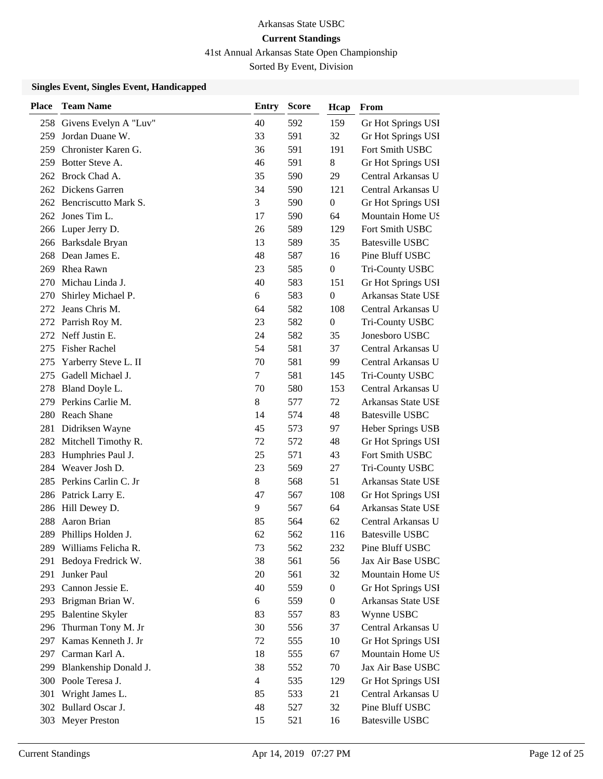41st Annual Arkansas State Open Championship

Sorted By Event, Division

| <b>Place</b> | <b>Team Name</b>          | Entry          | <b>Score</b> | Hcap             | From                   |
|--------------|---------------------------|----------------|--------------|------------------|------------------------|
|              | 258 Givens Evelyn A "Luv" | 40             | 592          | 159              | Gr Hot Springs USI     |
| 259          | Jordan Duane W.           | 33             | 591          | 32               | Gr Hot Springs USI     |
| 259          | Chronister Karen G.       | 36             | 591          | 191              | Fort Smith USBC        |
| 259          | Botter Steve A.           | 46             | 591          | 8                | Gr Hot Springs USI     |
| 262          | Brock Chad A.             | 35             | 590          | 29               | Central Arkansas U     |
| 262          | Dickens Garren            | 34             | 590          | 121              | Central Arkansas U     |
| 262          | Bencriscutto Mark S.      | 3              | 590          | $\boldsymbol{0}$ | Gr Hot Springs USI     |
|              | 262 Jones Tim L.          | 17             | 590          | 64               | Mountain Home US       |
|              | 266 Luper Jerry D.        | 26             | 589          | 129              | Fort Smith USBC        |
|              | 266 Barksdale Bryan       | 13             | 589          | 35               | <b>Batesville USBC</b> |
| 268          | Dean James E.             | 48             | 587          | 16               | Pine Bluff USBC        |
| 269          | Rhea Rawn                 | 23             | 585          | $\boldsymbol{0}$ | Tri-County USBC        |
| 270          | Michau Linda J.           | 40             | 583          | 151              | Gr Hot Springs USI     |
| 270          | Shirley Michael P.        | 6              | 583          | $\boldsymbol{0}$ | Arkansas State USE     |
| 272          | Jeans Chris M.            | 64             | 582          | 108              | Central Arkansas U     |
| 272          | Parrish Roy M.            | 23             | 582          | $\boldsymbol{0}$ | Tri-County USBC        |
| 272          | Neff Justin E.            | 24             | 582          | 35               | Jonesboro USBC         |
| 275          | <b>Fisher Rachel</b>      | 54             | 581          | 37               | Central Arkansas U     |
| 275          | Yarberry Steve L. II      | 70             | 581          | 99               | Central Arkansas U     |
| 275          | Gadell Michael J.         | 7              | 581          | 145              | Tri-County USBC        |
| 278          | Bland Doyle L.            | 70             | 580          | 153              | Central Arkansas U     |
| 279          | Perkins Carlie M.         | 8              | 577          | 72               | Arkansas State USE     |
|              | 280 Reach Shane           | 14             | 574          | 48               | Batesville USBC        |
| 281          | Didriksen Wayne           | 45             | 573          | 97               | Heber Springs USB      |
| 282          | Mitchell Timothy R.       | 72             | 572          | 48               | Gr Hot Springs USI     |
| 283          | Humphries Paul J.         | 25             | 571          | 43               | Fort Smith USBC        |
| 284          | Weaver Josh D.            | 23             | 569          | 27               | Tri-County USBC        |
| 285          | Perkins Carlin C. Jr      | $8\,$          | 568          | 51               | Arkansas State USE     |
|              | 286 Patrick Larry E.      | 47             | 567          | 108              | Gr Hot Springs USI     |
| 286          | Hill Dewey D.             | 9              | 567          | 64               | Arkansas State USE     |
| 288          | Aaron Brian               | 85             | 564          | 62               | Central Arkansas U     |
| 289          | Phillips Holden J.        | 62             | 562          | 116              | <b>Batesville USBC</b> |
|              | 289 Williams Felicha R.   | 73             | 562          | 232              | Pine Bluff USBC        |
| 291          | Bedoya Fredrick W.        | 38             | 561          | 56               | Jax Air Base USBC      |
| 291          | Junker Paul               | 20             | 561          | 32               | Mountain Home US       |
|              | 293 Cannon Jessie E.      | 40             | 559          | $\boldsymbol{0}$ | Gr Hot Springs USI     |
| 293          | Brigman Brian W.          | 6              | 559          | $\boldsymbol{0}$ | Arkansas State USE     |
| 295          | <b>Balentine Skyler</b>   | 83             | 557          | 83               | Wynne USBC             |
| 296          | Thurman Tony M. Jr        | 30             | 556          | 37               | Central Arkansas U     |
| 297          | Kamas Kenneth J. Jr       | 72             | 555          | 10               | Gr Hot Springs USI     |
| 297          | Carman Karl A.            | 18             | 555          | 67               | Mountain Home US       |
| 299          | Blankenship Donald J.     | 38             | 552          | 70               | Jax Air Base USBC      |
|              | 300 Poole Teresa J.       | $\overline{4}$ | 535          | 129              | Gr Hot Springs USI     |
| 301          | Wright James L.           | 85             | 533          | 21               | Central Arkansas U     |
| 302          | Bullard Oscar J.          | 48             | 527          | 32               | Pine Bluff USBC        |
| 303          | <b>Meyer Preston</b>      | 15             | 521          | 16               | <b>Batesville USBC</b> |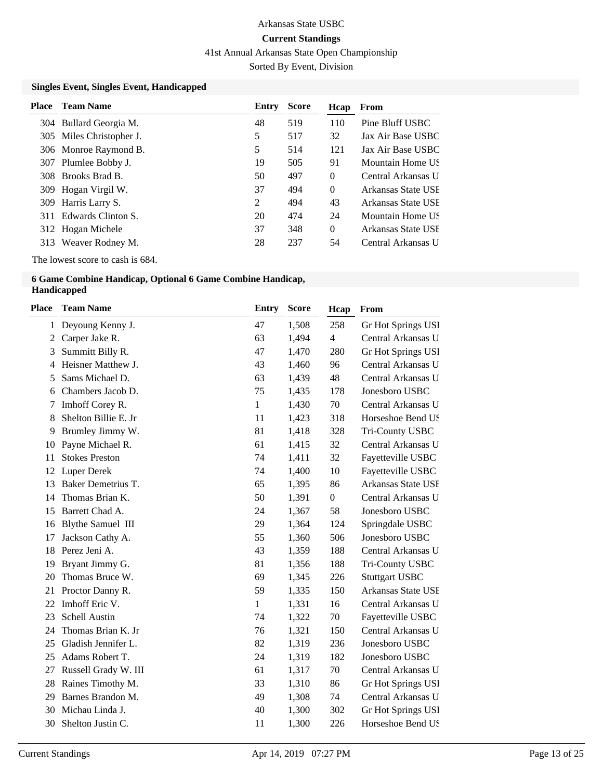41st Annual Arkansas State Open Championship

Sorted By Event, Division

### **Singles Event, Singles Event, Handicapped**

| 519<br>110<br>Pine Bluff USBC<br>48<br>304 Bullard Georgia M.<br>5<br>517<br>32<br>305 Miles Christopher J.<br>5<br>514<br>121<br>306 Monroe Raymond B.<br>505<br>19<br>91<br>Plumlee Bobby J.<br>307<br>497<br>308 Brooks Brad B.<br>50<br>$\theta$<br>37<br>$\overline{0}$<br>494<br>309 Hogan Virgil W.<br>2<br>43<br>494<br>Harris Larry S.<br>309<br>474<br>Edwards Clinton S.<br>20<br>24<br>311<br>37<br>348<br>$\Omega$<br>312 Hogan Michele<br>237<br>28<br>54<br>313 | Place | <b>Team Name</b> | Entry | <b>Score</b> | Hcap | From               |
|--------------------------------------------------------------------------------------------------------------------------------------------------------------------------------------------------------------------------------------------------------------------------------------------------------------------------------------------------------------------------------------------------------------------------------------------------------------------------------|-------|------------------|-------|--------------|------|--------------------|
|                                                                                                                                                                                                                                                                                                                                                                                                                                                                                |       |                  |       |              |      |                    |
|                                                                                                                                                                                                                                                                                                                                                                                                                                                                                |       |                  |       |              |      | Jax Air Base USBC  |
|                                                                                                                                                                                                                                                                                                                                                                                                                                                                                |       |                  |       |              |      | Jax Air Base USBC  |
|                                                                                                                                                                                                                                                                                                                                                                                                                                                                                |       |                  |       |              |      | Mountain Home US   |
|                                                                                                                                                                                                                                                                                                                                                                                                                                                                                |       |                  |       |              |      | Central Arkansas U |
|                                                                                                                                                                                                                                                                                                                                                                                                                                                                                |       |                  |       |              |      | Arkansas State USE |
|                                                                                                                                                                                                                                                                                                                                                                                                                                                                                |       |                  |       |              |      | Arkansas State USE |
|                                                                                                                                                                                                                                                                                                                                                                                                                                                                                |       |                  |       |              |      | Mountain Home US   |
|                                                                                                                                                                                                                                                                                                                                                                                                                                                                                |       |                  |       |              |      | Arkansas State USE |
|                                                                                                                                                                                                                                                                                                                                                                                                                                                                                |       | Weaver Rodney M. |       |              |      | Central Arkansas U |

The lowest score to cash is 684.

#### **6 Game Combine Handicap, Optional 6 Game Combine Handicap, Handicapped**

| Place        | <b>Team Name</b>         | <b>Entry</b> | <b>Score</b> | Hcap             | From                  |
|--------------|--------------------------|--------------|--------------|------------------|-----------------------|
| $\mathbf{1}$ | Deyoung Kenny J.         | 47           | 1,508        | 258              | Gr Hot Springs USI    |
| 2            | Carper Jake R.           | 63           | 1,494        | $\overline{4}$   | Central Arkansas U    |
| 3            | Summitt Billy R.         | 47           | 1,470        | 280              | Gr Hot Springs USI    |
| 4            | Heisner Matthew J.       | 43           | 1,460        | 96               | Central Arkansas U    |
| 5            | Sams Michael D.          | 63           | 1,439        | 48               | Central Arkansas U    |
| 6            | Chambers Jacob D.        | 75           | 1,435        | 178              | Jonesboro USBC        |
| 7            | Imhoff Corey R.          | $\mathbf{1}$ | 1,430        | 70               | Central Arkansas U    |
| 8            | Shelton Billie E. Jr     | 11           | 1,423        | 318              | Horseshoe Bend US     |
| 9            | Brumley Jimmy W.         | 81           | 1,418        | 328              | Tri-County USBC       |
| 10           | Payne Michael R.         | 61           | 1,415        | 32               | Central Arkansas U    |
| 11           | <b>Stokes Preston</b>    | 74           | 1,411        | 32               | Fayetteville USBC     |
| 12           | Luper Derek              | 74           | 1,400        | 10               | Fayetteville USBC     |
| 13           | Baker Demetrius T.       | 65           | 1,395        | 86               | Arkansas State USE    |
| 14           | Thomas Brian K.          | 50           | 1,391        | $\boldsymbol{0}$ | Central Arkansas U    |
| 15           | Barrett Chad A.          | 24           | 1,367        | 58               | Jonesboro USBC        |
| 16           | <b>Blythe Samuel III</b> | 29           | 1,364        | 124              | Springdale USBC       |
| 17           | Jackson Cathy A.         | 55           | 1,360        | 506              | Jonesboro USBC        |
| 18           | Perez Jeni A.            | 43           | 1,359        | 188              | Central Arkansas U    |
| 19           | Bryant Jimmy G.          | 81           | 1,356        | 188              | Tri-County USBC       |
| 20           | Thomas Bruce W.          | 69           | 1,345        | 226              | <b>Stuttgart USBC</b> |
| 21           | Proctor Danny R.         | 59           | 1,335        | 150              | Arkansas State USE    |
| 22           | Imhoff Eric V.           | 1            | 1,331        | 16               | Central Arkansas U    |
| 23           | Schell Austin            | 74           | 1,322        | 70               | Fayetteville USBC     |
| 24           | Thomas Brian K. Jr       | 76           | 1,321        | 150              | Central Arkansas U    |
| 25           | Gladish Jennifer L.      | 82           | 1,319        | 236              | Jonesboro USBC        |
| 25           | Adams Robert T.          | 24           | 1,319        | 182              | Jonesboro USBC        |
| 27           | Russell Grady W. III     | 61           | 1,317        | 70               | Central Arkansas U    |
| 28           | Raines Timothy M.        | 33           | 1,310        | 86               | Gr Hot Springs USI    |
| 29           | Barnes Brandon M.        | 49           | 1,308        | 74               | Central Arkansas U    |
| 30           | Michau Linda J.          | 40           | 1,300        | 302              | Gr Hot Springs USI    |
| 30           | Shelton Justin C.        | 11           | 1,300        | 226              | Horseshoe Bend US     |
|              |                          |              |              |                  |                       |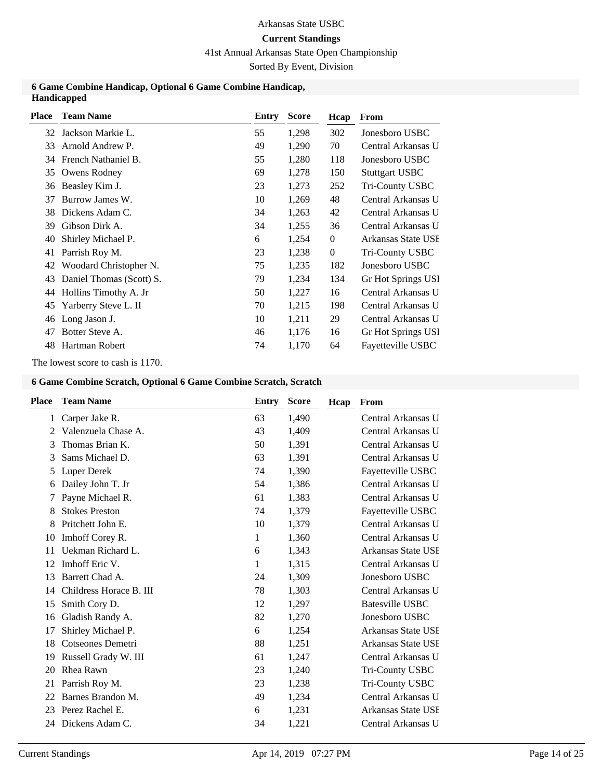# 41st Annual Arkansas State Open Championship

Sorted By Event, Division

#### **6 Game Combine Handicap, Optional 6 Game Combine Handicap, Handicapped**

| <b>Place</b> | <b>Team Name</b>         | Entry | <b>Score</b> | Hcap             | From                  |
|--------------|--------------------------|-------|--------------|------------------|-----------------------|
| 32           | Jackson Markie L.        | 55    | 1,298        | 302              | Jonesboro USBC        |
| 33           | Arnold Andrew P.         | 49    | 1,290        | 70               | Central Arkansas U    |
| 34           | French Nathaniel B.      | 55    | 1,280        | 118              | Jonesboro USBC        |
| 35           | Owens Rodney             | 69    | 1,278        | 150              | <b>Stuttgart USBC</b> |
| 36           | Beasley Kim J.           | 23    | 1,273        | 252              | Tri-County USBC       |
| 37           | Burrow James W.          | 10    | 1,269        | 48               | Central Arkansas U    |
| 38           | Dickens Adam C.          | 34    | 1,263        | 42               | Central Arkansas U    |
| 39           | Gibson Dirk A.           | 34    | 1,255        | 36               | Central Arkansas U    |
| 40           | Shirley Michael P.       | 6     | 1,254        | $\boldsymbol{0}$ | Arkansas State USE    |
| 41           | Parrish Roy M.           | 23    | 1,238        | $\boldsymbol{0}$ | Tri-County USBC       |
| 42           | Woodard Christopher N.   | 75    | 1,235        | 182              | Jonesboro USBC        |
| 43           | Daniel Thomas (Scott) S. | 79    | 1,234        | 134              | Gr Hot Springs USI    |
| 44           | Hollins Timothy A. Jr    | 50    | 1,227        | 16               | Central Arkansas U    |
| 45           | Yarberry Steve L. II     | 70    | 1,215        | 198              | Central Arkansas U    |
| 46           | Long Jason J.            | 10    | 1,211        | 29               | Central Arkansas U    |
| 47           | Botter Steve A.          | 46    | 1,176        | 16               | Gr Hot Springs USI    |
| 48           | Hartman Robert           | 74    | 1,170        | 64               | Fayetteville USBC     |
|              |                          |       |              |                  |                       |

The lowest score to cash is 1170.

#### **6 Game Combine Scratch, Optional 6 Game Combine Scratch, Scratch**

| <b>Place</b> | <b>Team Name</b>        | Entry | <b>Score</b> | Hcap | From               |
|--------------|-------------------------|-------|--------------|------|--------------------|
| $\mathbf{1}$ | Carper Jake R.          | 63    | 1,490        |      | Central Arkansas U |
| 2            | Valenzuela Chase A.     | 43    | 1,409        |      | Central Arkansas U |
| 3            | Thomas Brian K.         | 50    | 1,391        |      | Central Arkansas U |
| 3            | Sams Michael D.         | 63    | 1,391        |      | Central Arkansas U |
| 5            | Luper Derek             | 74    | 1,390        |      | Fayetteville USBC  |
| 6            | Dailey John T. Jr       | 54    | 1,386        |      | Central Arkansas U |
| 7            | Payne Michael R.        | 61    | 1,383        |      | Central Arkansas U |
| 8            | <b>Stokes Preston</b>   | 74    | 1,379        |      | Fayetteville USBC  |
| 8            | Pritchett John E.       | 10    | 1,379        |      | Central Arkansas U |
| 10           | Imhoff Corey R.         | 1     | 1,360        |      | Central Arkansas U |
| 11           | Uekman Richard L.       | 6     | 1,343        |      | Arkansas State USE |
| 12           | Imhoff Eric V.          | 1     | 1,315        |      | Central Arkansas U |
| 13           | Barrett Chad A.         | 24    | 1,309        |      | Jonesboro USBC     |
| 14           | Childress Horace B. III | 78    | 1,303        |      | Central Arkansas U |
| 15           | Smith Cory D.           | 12    | 1,297        |      | Batesville USBC    |
| 16           | Gladish Randy A.        | 82    | 1,270        |      | Jonesboro USBC     |
| 17           | Shirley Michael P.      | 6     | 1,254        |      | Arkansas State USE |
| 18           | Cotseones Demetri       | 88    | 1,251        |      | Arkansas State USE |
| 19           | Russell Grady W. III    | 61    | 1,247        |      | Central Arkansas U |
| 20           | Rhea Rawn               | 23    | 1,240        |      | Tri-County USBC    |
| 21           | Parrish Roy M.          | 23    | 1,238        |      | Tri-County USBC    |
| 22           | Barnes Brandon M.       | 49    | 1,234        |      | Central Arkansas U |
| 23           | Perez Rachel E.         | 6     | 1,231        |      | Arkansas State USE |
| 24           | Dickens Adam C.         | 34    | 1,221        |      | Central Arkansas U |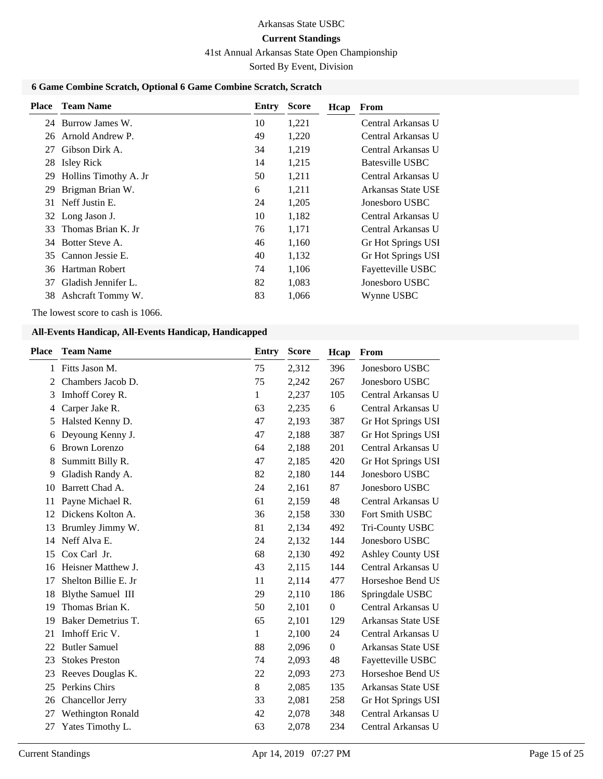# Arkansas State USBC

# **Current Standings**

41st Annual Arkansas State Open Championship

Sorted By Event, Division

# **6 Game Combine Scratch, Optional 6 Game Combine Scratch, Scratch**

| <b>Place</b> | <b>Team Name</b>      | Entry | <b>Score</b> | Hcap | From               |
|--------------|-----------------------|-------|--------------|------|--------------------|
| 24           | Burrow James W.       | 10    | 1,221        |      | Central Arkansas U |
| 26           | Arnold Andrew P.      | 49    | 1,220        |      | Central Arkansas U |
| 27           | Gibson Dirk A.        | 34    | 1,219        |      | Central Arkansas U |
| 28           | <b>Isley Rick</b>     | 14    | 1,215        |      | Batesville USBC    |
| 29           | Hollins Timothy A. Jr | 50    | 1,211        |      | Central Arkansas U |
| 29           | Brigman Brian W.      | 6     | 1,211        |      | Arkansas State USE |
| 31           | Neff Justin E.        | 24    | 1,205        |      | Jonesboro USBC     |
|              | 32 Long Jason J.      | 10    | 1,182        |      | Central Arkansas U |
| 33           | Thomas Brian K. Jr.   | 76    | 1,171        |      | Central Arkansas U |
| 34           | Botter Steve A.       | 46    | 1,160        |      | Gr Hot Springs USI |
| 35           | Cannon Jessie E.      | 40    | 1,132        |      | Gr Hot Springs USI |
| 36           | Hartman Robert        | 74    | 1,106        |      | Fayetteville USBC  |
| 37           | Gladish Jennifer L.   | 82    | 1,083        |      | Jonesboro USBC     |
| 38           | Ashcraft Tommy W.     | 83    | 1,066        |      | Wynne USBC         |

The lowest score to cash is 1066.

| <b>Place</b> | <b>Team Name</b>         | <b>Entry</b> | <b>Score</b> | Hcap             | From                     |
|--------------|--------------------------|--------------|--------------|------------------|--------------------------|
| 1            | Fitts Jason M.           | 75           | 2,312        | 396              | Jonesboro USBC           |
| 2            | Chambers Jacob D.        | 75           | 2,242        | 267              | Jonesboro USBC           |
| 3            | Imhoff Corey R.          | 1            | 2,237        | 105              | Central Arkansas U       |
| 4            | Carper Jake R.           | 63           | 2,235        | 6                | Central Arkansas U       |
| 5            | Halsted Kenny D.         | 47           | 2,193        | 387              | Gr Hot Springs USI       |
| 6            | Deyoung Kenny J.         | 47           | 2,188        | 387              | Gr Hot Springs USI       |
| 6            | <b>Brown Lorenzo</b>     | 64           | 2,188        | 201              | Central Arkansas U       |
| 8            | Summitt Billy R.         | 47           | 2,185        | 420              | Gr Hot Springs USI       |
| 9            | Gladish Randy A.         | 82           | 2,180        | 144              | Jonesboro USBC           |
| 10           | Barrett Chad A.          | 24           | 2,161        | 87               | Jonesboro USBC           |
| 11           | Payne Michael R.         | 61           | 2,159        | 48               | Central Arkansas U       |
| 12           | Dickens Kolton A.        | 36           | 2,158        | 330              | Fort Smith USBC          |
| 13           | Brumley Jimmy W.         | 81           | 2,134        | 492              | Tri-County USBC          |
| 14           | Neff Alva E.             | 24           | 2,132        | 144              | Jonesboro USBC           |
| 15           | Cox Carl Jr.             | 68           | 2,130        | 492              | <b>Ashley County USI</b> |
| 16           | Heisner Matthew J.       | 43           | 2,115        | 144              | Central Arkansas U       |
| 17           | Shelton Billie E. Jr     | 11           | 2,114        | 477              | Horseshoe Bend US        |
| 18           | <b>Blythe Samuel III</b> | 29           | 2,110        | 186              | Springdale USBC          |
| 19           | Thomas Brian K.          | 50           | 2,101        | $\boldsymbol{0}$ | Central Arkansas U       |
| 19           | Baker Demetrius T.       | 65           | 2,101        | 129              | Arkansas State USE       |
| 21           | Imhoff Eric V.           | 1            | 2,100        | 24               | Central Arkansas U       |
| 22           | <b>Butler Samuel</b>     | 88           | 2,096        | $\boldsymbol{0}$ | Arkansas State USE       |
| 23           | <b>Stokes Preston</b>    | 74           | 2,093        | 48               | Fayetteville USBC        |
| 23           | Reeves Douglas K.        | 22           | 2,093        | 273              | Horseshoe Bend US        |
| 25           | Perkins Chirs            | 8            | 2,085        | 135              | Arkansas State USE       |
| 26           | Chancellor Jerry         | 33           | 2,081        | 258              | Gr Hot Springs USI       |
| 27           | Wethington Ronald        | 42           | 2,078        | 348              | Central Arkansas U       |
| 27           | Yates Timothy L.         | 63           | 2,078        | 234              | Central Arkansas U       |
|              |                          |              |              |                  |                          |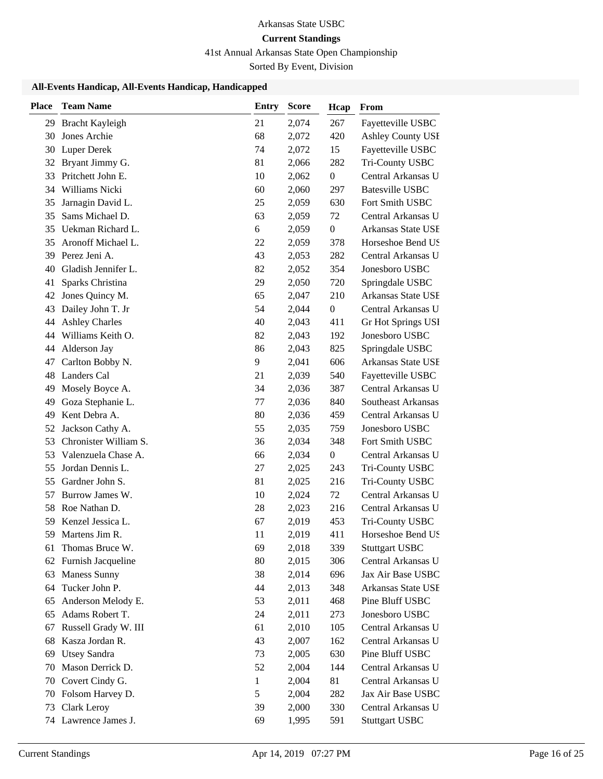# 41st Annual Arkansas State Open Championship

Sorted By Event, Division

| <b>Place</b> | <b>Team Name</b>      | Entry | <b>Score</b> | Hcap             | From                     |
|--------------|-----------------------|-------|--------------|------------------|--------------------------|
|              | 29 Bracht Kayleigh    | 21    | 2,074        | 267              | Fayetteville USBC        |
| 30           | Jones Archie          | 68    | 2,072        | 420              | <b>Ashley County USI</b> |
| 30           | <b>Luper Derek</b>    | 74    | 2,072        | 15               | Fayetteville USBC        |
| 32           | Bryant Jimmy G.       | 81    | 2,066        | 282              | Tri-County USBC          |
| 33           | Pritchett John E.     | 10    | 2,062        | $\boldsymbol{0}$ | Central Arkansas U       |
| 34           | Williams Nicki        | 60    | 2,060        | 297              | <b>Batesville USBC</b>   |
| 35           | Jarnagin David L.     | 25    | 2,059        | 630              | Fort Smith USBC          |
| 35           | Sams Michael D.       | 63    | 2,059        | 72               | Central Arkansas U       |
| 35           | Uekman Richard L.     | 6     | 2,059        | $\boldsymbol{0}$ | Arkansas State USE       |
| 35           | Aronoff Michael L.    | 22    | 2,059        | 378              | Horseshoe Bend US        |
| 39           | Perez Jeni A.         | 43    | 2,053        | 282              | Central Arkansas U       |
| 40           | Gladish Jennifer L.   | 82    | 2,052        | 354              | Jonesboro USBC           |
| 41           | Sparks Christina      | 29    | 2,050        | 720              | Springdale USBC          |
| 42           | Jones Quincy M.       | 65    | 2,047        | 210              | Arkansas State USE       |
| 43           | Dailey John T. Jr     | 54    | 2,044        | $\boldsymbol{0}$ | Central Arkansas U       |
| 44           | <b>Ashley Charles</b> | 40    | 2,043        | 411              | Gr Hot Springs USI       |
| 44           | Williams Keith O.     | 82    | 2,043        | 192              | Jonesboro USBC           |
| 44           | Alderson Jay          | 86    | 2,043        | 825              | Springdale USBC          |
| 47           | Carlton Bobby N.      | 9     | 2,041        | 606              | Arkansas State USE       |
| 48           | <b>Landers Cal</b>    | 21    | 2,039        | 540              | Fayetteville USBC        |
| 49           | Mosely Boyce A.       | 34    | 2,036        | 387              | Central Arkansas U       |
| 49           | Goza Stephanie L.     | 77    | 2,036        | 840              | Southeast Arkansas       |
| 49           | Kent Debra A.         | 80    | 2,036        | 459              | Central Arkansas U       |
| 52           | Jackson Cathy A.      | 55    | 2,035        | 759              | Jonesboro USBC           |
| 53           | Chronister William S. | 36    | 2,034        | 348              | Fort Smith USBC          |
| 53           | Valenzuela Chase A.   | 66    | 2,034        | $\boldsymbol{0}$ | Central Arkansas U       |
| 55           | Jordan Dennis L.      | 27    | 2,025        | 243              | Tri-County USBC          |
| 55           | Gardner John S.       | 81    | 2,025        | 216              | Tri-County USBC          |
| 57           | Burrow James W.       | 10    | 2,024        | 72               | Central Arkansas U       |
| 58           | Roe Nathan D.         | 28    | 2,023        | 216              | Central Arkansas U       |
| 59           | Kenzel Jessica L.     | 67    | 2,019        | 453              | Tri-County USBC          |
| 59           | Martens Jim R.        | 11    | 2,019        | 411              | Horseshoe Bend US        |
| 61           | Thomas Bruce W.       | 69    | 2,018        | 339              | <b>Stuttgart USBC</b>    |
| 62           | Furnish Jacqueline    | 80    | 2,015        | 306              | Central Arkansas U       |
| 63           | <b>Maness Sunny</b>   | 38    | 2,014        | 696              | Jax Air Base USBC        |
| 64           | Tucker John P.        | 44    | 2,013        | 348              | Arkansas State USE       |
| 65           | Anderson Melody E.    | 53    | 2,011        | 468              | Pine Bluff USBC          |
| 65           | Adams Robert T.       | 24    | 2,011        | 273              | Jonesboro USBC           |
| 67           | Russell Grady W. III  | 61    | 2,010        | 105              | Central Arkansas U       |
| 68           | Kasza Jordan R.       | 43    | 2,007        | 162              | Central Arkansas U       |
| 69           | <b>Utsey Sandra</b>   | 73    | 2,005        | 630              | Pine Bluff USBC          |
| 70           | Mason Derrick D.      | 52    | 2,004        | 144              | Central Arkansas U       |
| 70           | Covert Cindy G.       | 1     | 2,004        | 81               | Central Arkansas U       |
| 70           | Folsom Harvey D.      | 5     | 2,004        | 282              | Jax Air Base USBC        |
| 73           | Clark Leroy           | 39    | 2,000        | 330              | Central Arkansas U       |
| 74           | Lawrence James J.     | 69    | 1,995        | 591              | <b>Stuttgart USBC</b>    |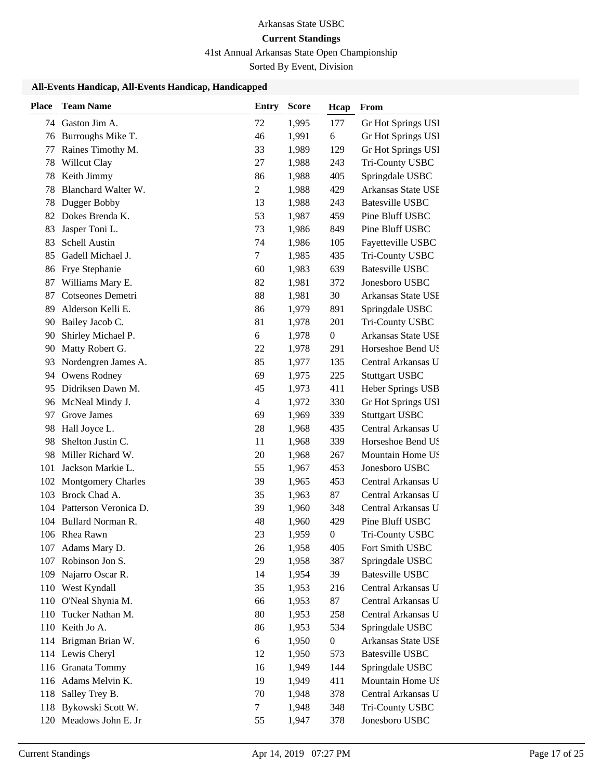# 41st Annual Arkansas State Open Championship

Sorted By Event, Division

| <b>Place</b> | <b>Team Name</b>       | <b>Entry</b>   | <b>Score</b> | Hcap             | From                   |
|--------------|------------------------|----------------|--------------|------------------|------------------------|
|              | 74 Gaston Jim A.       | 72             | 1,995        | 177              | Gr Hot Springs USI     |
|              | 76 Burroughs Mike T.   | 46             | 1,991        | 6                | Gr Hot Springs USI     |
| 77           | Raines Timothy M.      | 33             | 1,989        | 129              | Gr Hot Springs USI     |
| 78           | Willcut Clay           | 27             | 1,988        | 243              | Tri-County USBC        |
| 78           | Keith Jimmy            | 86             | 1,988        | 405              | Springdale USBC        |
| 78           | Blanchard Walter W.    | $\overline{2}$ | 1,988        | 429              | Arkansas State USE     |
| 78           | Dugger Bobby           | 13             | 1,988        | 243              | <b>Batesville USBC</b> |
| 82           | Dokes Brenda K.        | 53             | 1,987        | 459              | Pine Bluff USBC        |
| 83           | Jasper Toni L.         | 73             | 1,986        | 849              | Pine Bluff USBC        |
| 83           | Schell Austin          | 74             | 1,986        | 105              | Fayetteville USBC      |
| 85           | Gadell Michael J.      | $\tau$         | 1,985        | 435              | Tri-County USBC        |
| 86           | Frye Stephanie         | 60             | 1,983        | 639              | <b>Batesville USBC</b> |
| 87           | Williams Mary E.       | 82             | 1,981        | 372              | Jonesboro USBC         |
| 87           | Cotseones Demetri      | 88             | 1,981        | 30               | Arkansas State USE     |
| 89           | Alderson Kelli E.      | 86             | 1,979        | 891              | Springdale USBC        |
| 90           | Bailey Jacob C.        | 81             | 1,978        | 201              | Tri-County USBC        |
| 90           | Shirley Michael P.     | 6              | 1,978        | $\boldsymbol{0}$ | Arkansas State USE     |
| 90           | Matty Robert G.        | 22             | 1,978        | 291              | Horseshoe Bend US      |
| 93           | Nordengren James A.    | 85             | 1,977        | 135              | Central Arkansas U     |
|              | 94 Owens Rodney        | 69             | 1,975        | 225              | <b>Stuttgart USBC</b>  |
| 95           | Didriksen Dawn M.      | 45             | 1,973        | 411              | Heber Springs USB      |
| 96           | McNeal Mindy J.        | 4              | 1,972        | 330              | Gr Hot Springs USI     |
| 97           | Grove James            | 69             | 1,969        | 339              | <b>Stuttgart USBC</b>  |
| 98           | Hall Joyce L.          | 28             | 1,968        | 435              | Central Arkansas U     |
| 98           | Shelton Justin C.      | 11             | 1,968        | 339              | Horseshoe Bend US      |
| 98           | Miller Richard W.      | 20             | 1,968        | 267              | Mountain Home US       |
| 101          | Jackson Markie L.      | 55             | 1,967        | 453              | Jonesboro USBC         |
|              | 102 Montgomery Charles | 39             | 1,965        | 453              | Central Arkansas U     |
| 103          | Brock Chad A.          | 35             | 1,963        | 87               | Central Arkansas U     |
| 104          | Patterson Veronica D.  | 39             | 1,960        | 348              | Central Arkansas U     |
| 104          | Bullard Norman R.      | 48             | 1,960        | 429              | Pine Bluff USBC        |
|              | 106 Rhea Rawn          | 23             | 1,959        | 0                | Tri-County USBC        |
| 107          | Adams Mary D.          | 26             | 1,958        | 405              | Fort Smith USBC        |
| 107          | Robinson Jon S.        | 29             | 1,958        | 387              | Springdale USBC        |
| 109          | Najarro Oscar R.       | 14             | 1,954        | 39               | <b>Batesville USBC</b> |
| 110          | West Kyndall           | 35             | 1,953        | 216              | Central Arkansas U     |
| 110          | O'Neal Shynia M.       | 66             | 1,953        | 87               | Central Arkansas U     |
| 110          | Tucker Nathan M.       | 80             | 1,953        | 258              | Central Arkansas U     |
| 110          | Keith Jo A.            | 86             | 1,953        | 534              | Springdale USBC        |
|              | 114 Brigman Brian W.   | 6              | 1,950        | $\boldsymbol{0}$ | Arkansas State USE     |
|              | 114 Lewis Cheryl       | 12             | 1,950        | 573              | <b>Batesville USBC</b> |
|              | 116 Granata Tommy      | 16             | 1,949        | 144              | Springdale USBC        |
|              | 116 Adams Melvin K.    | 19             | 1,949        | 411              | Mountain Home US       |
| 118          | Salley Trey B.         | 70             | 1,948        | 378              | Central Arkansas U     |
| 118          | Bykowski Scott W.      | 7              | 1,948        | 348              | Tri-County USBC        |
| 120          | Meadows John E. Jr     | 55             | 1,947        | 378              | Jonesboro USBC         |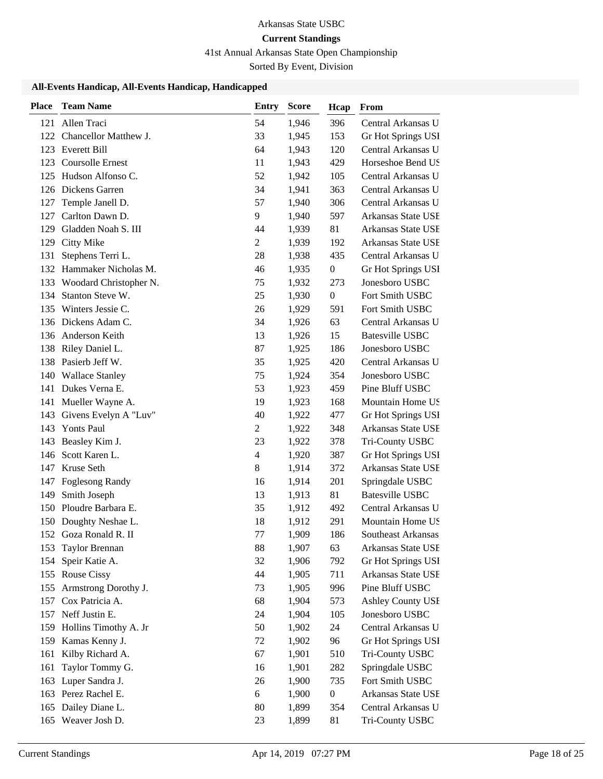# 41st Annual Arkansas State Open Championship

Sorted By Event, Division

| <b>Place</b> | <b>Team Name</b>           | <b>Entry</b>   | <b>Score</b> | Hcap             | From                     |
|--------------|----------------------------|----------------|--------------|------------------|--------------------------|
| 121          | Allen Traci                | 54             | 1,946        | 396              | Central Arkansas U       |
| 122          | Chancellor Matthew J.      | 33             | 1,945        | 153              | Gr Hot Springs USI       |
| 123          | <b>Everett Bill</b>        | 64             | 1,943        | 120              | Central Arkansas U       |
| 123          | Coursolle Ernest           | 11             | 1,943        | 429              | Horseshoe Bend US        |
| 125          | Hudson Alfonso C.          | 52             | 1,942        | 105              | Central Arkansas U       |
| 126          | Dickens Garren             | 34             | 1,941        | 363              | Central Arkansas U       |
| 127          | Temple Janell D.           | 57             | 1,940        | 306              | Central Arkansas U       |
| 127          | Carlton Dawn D.            | 9              | 1,940        | 597              | Arkansas State USE       |
| 129          | Gladden Noah S. III        | 44             | 1,939        | 81               | Arkansas State USE       |
| 129          | <b>Citty Mike</b>          | $\overline{2}$ | 1,939        | 192              | Arkansas State USE       |
| 131          | Stephens Terri L.          | 28             | 1,938        | 435              | Central Arkansas U       |
| 132          | Hammaker Nicholas M.       | 46             | 1,935        | $\boldsymbol{0}$ | Gr Hot Springs USI       |
|              | 133 Woodard Christopher N. | 75             | 1,932        | 273              | Jonesboro USBC           |
| 134          | Stanton Steve W.           | 25             | 1,930        | $\boldsymbol{0}$ | Fort Smith USBC          |
|              | 135 Winters Jessie C.      | 26             | 1,929        | 591              | Fort Smith USBC          |
| 136          | Dickens Adam C.            | 34             | 1,926        | 63               | Central Arkansas U       |
| 136          | Anderson Keith             | 13             | 1,926        | 15               | <b>Batesville USBC</b>   |
| 138          | Riley Daniel L.            | 87             | 1,925        | 186              | Jonesboro USBC           |
| 138          | Pasierb Jeff W.            | 35             | 1,925        | 420              | Central Arkansas U       |
| 140          | <b>Wallace Stanley</b>     | 75             | 1,924        | 354              | Jonesboro USBC           |
| 141          | Dukes Verna E.             | 53             | 1,923        | 459              | Pine Bluff USBC          |
| 141          | Mueller Wayne A.           | 19             | 1,923        | 168              | Mountain Home US         |
| 143          | Givens Evelyn A "Luv"      | 40             | 1,922        | 477              | Gr Hot Springs USI       |
| 143          | Yonts Paul                 | $\overline{2}$ | 1,922        | 348              | Arkansas State USE       |
| 143          | Beasley Kim J.             | 23             | 1,922        | 378              | Tri-County USBC          |
| 146          | Scott Karen L.             | $\overline{4}$ | 1,920        | 387              | Gr Hot Springs USI       |
| 147          | Kruse Seth                 | $\,8\,$        | 1,914        | 372              | Arkansas State USE       |
| 147          | <b>Foglesong Randy</b>     | 16             | 1,914        | 201              | Springdale USBC          |
| 149          | Smith Joseph               | 13             | 1,913        | 81               | <b>Batesville USBC</b>   |
| 150          | Ploudre Barbara E.         | 35             | 1,912        | 492              | Central Arkansas U       |
| 150          | Doughty Neshae L.          | 18             | 1,912        | 291              | Mountain Home US         |
|              | 152 Goza Ronald R. II      | 77             | 1,909        | 186              | Southeast Arkansas       |
| 153          | Taylor Brennan             | 88             | 1,907        | 63               | Arkansas State USE       |
| 154          | Speir Katie A.             | 32             | 1,906        | 792              | Gr Hot Springs USI       |
| 155          | <b>Rouse Cissy</b>         | 44             | 1,905        | 711              | Arkansas State USE       |
| 155          | Armstrong Dorothy J.       | 73             | 1,905        | 996              | Pine Bluff USBC          |
| 157          | Cox Patricia A.            | 68             | 1,904        | 573              | <b>Ashley County USI</b> |
| 157          | Neff Justin E.             | 24             | 1,904        | 105              | Jonesboro USBC           |
|              | 159 Hollins Timothy A. Jr  | 50             | 1,902        | 24               | Central Arkansas U       |
| 159          | Kamas Kenny J.             | 72             | 1,902        | 96               | Gr Hot Springs USI       |
| 161          | Kilby Richard A.           | 67             | 1,901        | 510              | Tri-County USBC          |
| 161          | Taylor Tommy G.            | 16             | 1,901        | 282              | Springdale USBC          |
| 163          | Luper Sandra J.            | 26             | 1,900        | 735              | Fort Smith USBC          |
| 163          | Perez Rachel E.            | 6              | 1,900        | $\boldsymbol{0}$ | Arkansas State USE       |
| 165          | Dailey Diane L.            | 80             | 1,899        | 354              | Central Arkansas U       |
| 165          | Weaver Josh D.             | 23             | 1,899        | 81               | Tri-County USBC          |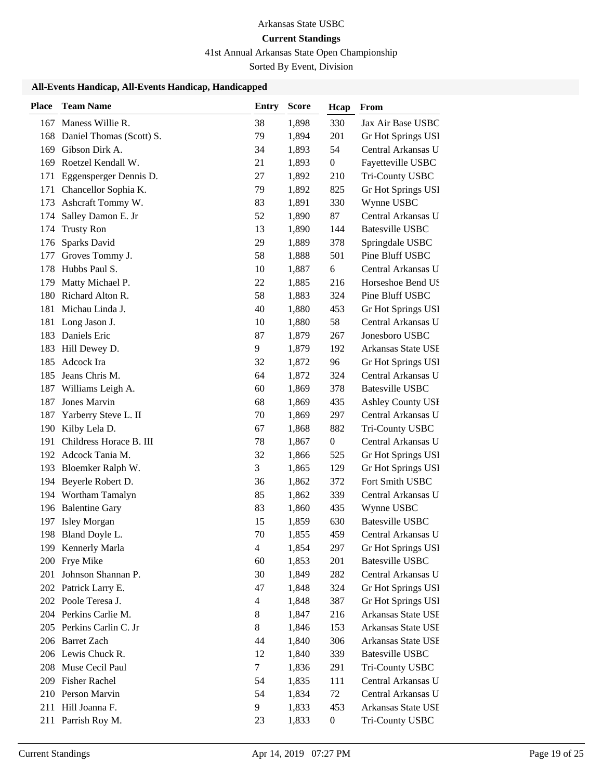# 41st Annual Arkansas State Open Championship

Sorted By Event, Division

| <b>Place</b> | <b>Team Name</b>         | Entry                    | <b>Score</b> | Hcap             | From                     |
|--------------|--------------------------|--------------------------|--------------|------------------|--------------------------|
| 167          | Maness Willie R.         | 38                       | 1,898        | 330              | Jax Air Base USBC        |
| 168          | Daniel Thomas (Scott) S. | 79                       | 1,894        | 201              | Gr Hot Springs USI       |
| 169          | Gibson Dirk A.           | 34                       | 1,893        | 54               | Central Arkansas U       |
| 169          | Roetzel Kendall W.       | 21                       | 1,893        | $\boldsymbol{0}$ | Fayetteville USBC        |
| 171          | Eggensperger Dennis D.   | 27                       | 1,892        | 210              | Tri-County USBC          |
| 171          | Chancellor Sophia K.     | 79                       | 1,892        | 825              | Gr Hot Springs USI       |
| 173          | Ashcraft Tommy W.        | 83                       | 1,891        | 330              | Wynne USBC               |
| 174          | Salley Damon E. Jr       | 52                       | 1,890        | 87               | Central Arkansas U       |
| 174          | <b>Trusty Ron</b>        | 13                       | 1,890        | 144              | <b>Batesville USBC</b>   |
| 176          | Sparks David             | 29                       | 1,889        | 378              | Springdale USBC          |
| 177          | Groves Tommy J.          | 58                       | 1,888        | 501              | Pine Bluff USBC          |
| 178          | Hubbs Paul S.            | 10                       | 1,887        | 6                | Central Arkansas U       |
| 179          | Matty Michael P.         | 22                       | 1,885        | 216              | Horseshoe Bend US        |
| 180          | Richard Alton R.         | 58                       | 1,883        | 324              | Pine Bluff USBC          |
| 181          | Michau Linda J.          | 40                       | 1,880        | 453              | Gr Hot Springs USI       |
| 181          | Long Jason J.            | 10                       | 1,880        | 58               | Central Arkansas U       |
| 183          | Daniels Eric             | 87                       | 1,879        | 267              | Jonesboro USBC           |
| 183          | Hill Dewey D.            | 9                        | 1,879        | 192              | Arkansas State USE       |
| 185          | Adcock Ira               | 32                       | 1,872        | 96               | Gr Hot Springs USI       |
| 185          | Jeans Chris M.           | 64                       | 1,872        | 324              | Central Arkansas U       |
| 187          | Williams Leigh A.        | 60                       | 1,869        | 378              | <b>Batesville USBC</b>   |
| 187          | Jones Marvin             | 68                       | 1,869        | 435              | <b>Ashley County USI</b> |
| 187          | Yarberry Steve L. II     | 70                       | 1,869        | 297              | Central Arkansas U       |
| 190          | Kilby Lela D.            | 67                       | 1,868        | 882              | Tri-County USBC          |
| 191          | Childress Horace B. III  | 78                       | 1,867        | $\boldsymbol{0}$ | Central Arkansas U       |
| 192          | Adcock Tania M.          | 32                       | 1,866        | 525              | Gr Hot Springs USI       |
| 193          | Bloemker Ralph W.        | 3                        | 1,865        | 129              | Gr Hot Springs USI       |
| 194          | Beyerle Robert D.        | 36                       | 1,862        | 372              | Fort Smith USBC          |
|              | 194 Wortham Tamalyn      | 85                       | 1,862        | 339              | Central Arkansas U       |
| 196          | <b>Balentine Gary</b>    | 83                       | 1,860        | 435              | Wynne USBC               |
| 197          | Isley Morgan             | 15                       | 1,859        | 630              | Batesville USBC          |
| 198          | Bland Doyle L.           | 70                       | 1,855        | 459              | Central Arkansas U       |
|              | 199 Kennerly Marla       | $\overline{4}$           | 1,854        | 297              | Gr Hot Springs USI       |
| 200          | Frye Mike                | 60                       | 1,853        | 201              | <b>Batesville USBC</b>   |
| 201          | Johnson Shannan P.       | 30                       | 1,849        | 282              | Central Arkansas U       |
|              | 202 Patrick Larry E.     | 47                       | 1,848        | 324              | Gr Hot Springs USI       |
|              | 202 Poole Teresa J.      | $\overline{\mathcal{L}}$ | 1,848        | 387              | Gr Hot Springs USI       |
|              | 204 Perkins Carlie M.    | 8                        | 1,847        | 216              | Arkansas State USE       |
| 205          | Perkins Carlin C. Jr     | 8                        | 1,846        | 153              | Arkansas State USE       |
|              | 206 Barret Zach          | 44                       | 1,840        | 306              | Arkansas State USE       |
|              | 206 Lewis Chuck R.       | 12                       | 1,840        | 339              | <b>Batesville USBC</b>   |
| 208          | Muse Cecil Paul          | 7                        | 1,836        | 291              | Tri-County USBC          |
| 209          | <b>Fisher Rachel</b>     | 54                       | 1,835        | 111              | Central Arkansas U       |
| 210          | Person Marvin            | 54                       | 1,834        | 72               | Central Arkansas U       |
| 211          | Hill Joanna F.           | 9                        | 1,833        | 453              | Arkansas State USE       |
|              | 211 Parrish Roy M.       | 23                       | 1,833        | $\boldsymbol{0}$ | Tri-County USBC          |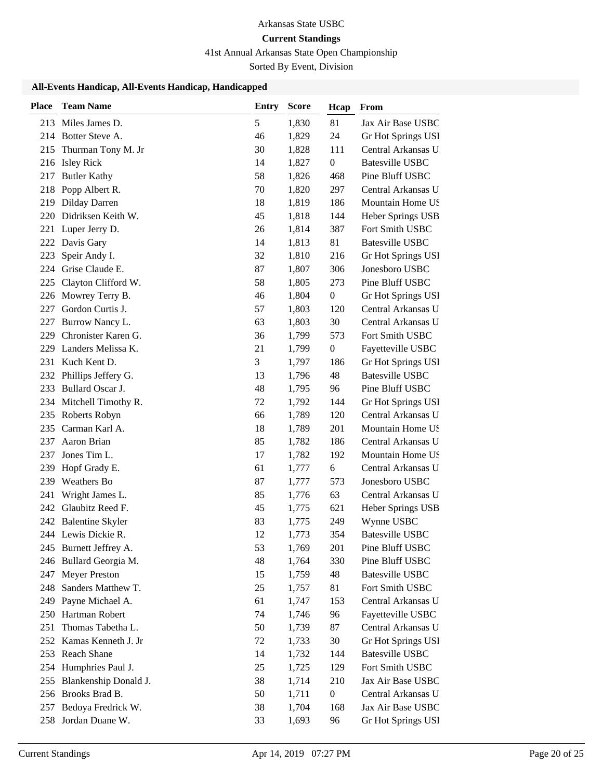# 41st Annual Arkansas State Open Championship

Sorted By Event, Division

| <b>Place</b> | <b>Team Name</b>        | <b>Entry</b> | <b>Score</b> | Hcap             | From                   |
|--------------|-------------------------|--------------|--------------|------------------|------------------------|
| 213          | Miles James D.          | 5            | 1,830        | 81               | Jax Air Base USBC      |
|              | 214 Botter Steve A.     | 46           | 1,829        | 24               | Gr Hot Springs USI     |
| 215          | Thurman Tony M. Jr      | 30           | 1,828        | 111              | Central Arkansas U     |
| 216          | <b>Isley Rick</b>       | 14           | 1,827        | $\boldsymbol{0}$ | <b>Batesville USBC</b> |
| 217          | <b>Butler Kathy</b>     | 58           | 1,826        | 468              | Pine Bluff USBC        |
| 218          | Popp Albert R.          | 70           | 1,820        | 297              | Central Arkansas U     |
| 219          | Dilday Darren           | 18           | 1,819        | 186              | Mountain Home US       |
| 220          | Didriksen Keith W.      | 45           | 1,818        | 144              | Heber Springs USB      |
| 221          | Luper Jerry D.          | 26           | 1,814        | 387              | Fort Smith USBC        |
| 222          | Davis Gary              | 14           | 1,813        | 81               | <b>Batesville USBC</b> |
| 223          | Speir Andy I.           | 32           | 1,810        | 216              | Gr Hot Springs USI     |
| 224          | Grise Claude E.         | 87           | 1,807        | 306              | Jonesboro USBC         |
| 225          | Clayton Clifford W.     | 58           | 1,805        | 273              | Pine Bluff USBC        |
| 226          | Mowrey Terry B.         | 46           | 1,804        | $\boldsymbol{0}$ | Gr Hot Springs USI     |
| 227          | Gordon Curtis J.        | 57           | 1,803        | 120              | Central Arkansas U     |
| 227          | Burrow Nancy L.         | 63           | 1,803        | 30               | Central Arkansas U     |
| 229          | Chronister Karen G.     | 36           | 1,799        | 573              | Fort Smith USBC        |
| 229          | Landers Melissa K.      | 21           | 1,799        | $\boldsymbol{0}$ | Fayetteville USBC      |
| 231          | Kuch Kent D.            | 3            | 1,797        | 186              | Gr Hot Springs USI     |
| 232          | Phillips Jeffery G.     | 13           | 1,796        | 48               | <b>Batesville USBC</b> |
| 233          | Bullard Oscar J.        | 48           | 1,795        | 96               | Pine Bluff USBC        |
| 234          | Mitchell Timothy R.     | 72           | 1,792        | 144              | Gr Hot Springs USI     |
| 235          | Roberts Robyn           | 66           | 1,789        | 120              | Central Arkansas U     |
| 235          | Carman Karl A.          | 18           | 1,789        | 201              | Mountain Home US       |
| 237          | Aaron Brian             | 85           | 1,782        | 186              | Central Arkansas U     |
| 237          | Jones Tim L.            | 17           | 1,782        | 192              | Mountain Home US       |
| 239          | Hopf Grady E.           | 61           | 1,777        | 6                | Central Arkansas U     |
| 239          | Weathers Bo             | 87           | 1,777        | 573              | Jonesboro USBC         |
| 241          | Wright James L.         | 85           | 1,776        | 63               | Central Arkansas U     |
| 242          | Glaubitz Reed F.        | 45           | 1,775        | 621              | Heber Springs USB      |
| 242          | <b>Balentine Skyler</b> | 83           | 1,775        | 249              | Wynne USBC             |
|              | 244 Lewis Dickie R.     | 12           | 1,773        | 354              | <b>Batesville USBC</b> |
|              | 245 Burnett Jeffrey A.  | 53           | 1,769        | 201              | Pine Bluff USBC        |
| 246          | Bullard Georgia M.      | 48           | 1,764        | 330              | Pine Bluff USBC        |
| 247          | <b>Meyer Preston</b>    | 15           | 1,759        | 48               | <b>Batesville USBC</b> |
| 248          | Sanders Matthew T.      | 25           | 1,757        | 81               | Fort Smith USBC        |
| 249          | Payne Michael A.        | 61           | 1,747        | 153              | Central Arkansas U     |
| 250          | Hartman Robert          | 74           | 1,746        | 96               | Fayetteville USBC      |
| 251          | Thomas Tabetha L.       | 50           | 1,739        | 87               | Central Arkansas U     |
|              | 252 Kamas Kenneth J. Jr | 72           | 1,733        | 30               | Gr Hot Springs USI     |
| 253          | Reach Shane             | 14           | 1,732        | 144              | <b>Batesville USBC</b> |
| 254          | Humphries Paul J.       | 25           | 1,725        | 129              | Fort Smith USBC        |
| 255          | Blankenship Donald J.   | 38           | 1,714        | 210              | Jax Air Base USBC      |
| 256          | Brooks Brad B.          | 50           | 1,711        | $\boldsymbol{0}$ | Central Arkansas U     |
| 257          | Bedoya Fredrick W.      | 38           | 1,704        | 168              | Jax Air Base USBC      |
| 258          | Jordan Duane W.         | 33           | 1,693        | 96               | Gr Hot Springs USI     |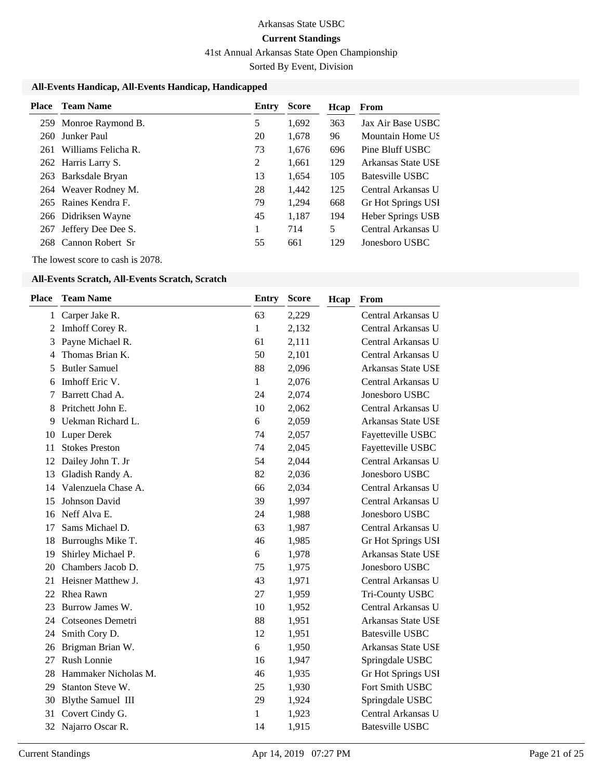41st Annual Arkansas State Open Championship

Sorted By Event, Division

### **All-Events Handicap, All-Events Handicap, Handicapped**

| Place | <b>Team Name</b>      | Entry | <b>Score</b> | <b>H</b> cap | From               |
|-------|-----------------------|-------|--------------|--------------|--------------------|
|       | 259 Monroe Raymond B. | 5     | 1.692        | 363          | Jax Air Base USBC  |
| 260   | Junker Paul           | 20    | 1,678        | 96           | Mountain Home US   |
| 261   | Williams Felicha R.   | 73    | 1.676        | 696          | Pine Bluff USBC    |
|       | 262 Harris Larry S.   | 2     | 1.661        | 129          | Arkansas State USE |
|       | 263 Barksdale Bryan   | 13    | 1.654        | 105          | Batesville USBC    |
|       | 264 Weaver Rodney M.  | 28    | 1,442        | 125          | Central Arkansas U |
|       | 265 Raines Kendra F.  | 79    | 1.294        | 668          | Gr Hot Springs USI |
|       | 266 Didriksen Wayne   | 45    | 1.187        | 194          | Heber Springs USB  |
| 267   | Jeffery Dee Dee S.    | 1     | 714          | 5            | Central Arkansas U |
|       | 268 Cannon Robert Sr  | 55    | 661          | 129          | Jonesboro USBC     |

The lowest score to cash is 2078.

#### **All-Events Scratch, All-Events Scratch, Scratch**

| Place        | <b>Team Name</b>         | <b>Entry</b> | <b>Score</b> | Hcap | From                      |
|--------------|--------------------------|--------------|--------------|------|---------------------------|
| $\mathbf{1}$ | Carper Jake R.           | 63           | 2,229        |      | Central Arkansas U        |
| 2            | Imhoff Corey R.          | 1            | 2,132        |      | Central Arkansas U        |
| 3            | Payne Michael R.         | 61           | 2,111        |      | Central Arkansas U        |
| 4            | Thomas Brian K.          | 50           | 2,101        |      | Central Arkansas U        |
| 5            | <b>Butler Samuel</b>     | 88           | 2,096        |      | Arkansas State USE        |
| 6            | Imhoff Eric V.           | $\mathbf{1}$ | 2,076        |      | Central Arkansas U        |
| 7            | Barrett Chad A.          | 24           | 2,074        |      | Jonesboro USBC            |
| 8            | Pritchett John E.        | 10           | 2,062        |      | Central Arkansas U        |
| 9            | Uekman Richard L.        | 6            | 2,059        |      | Arkansas State USE        |
| 10           | <b>Luper Derek</b>       | 74           | 2,057        |      | Fayetteville USBC         |
| 11           | <b>Stokes Preston</b>    | 74           | 2,045        |      | Fayetteville USBC         |
| 12           | Dailey John T. Jr        | 54           | 2,044        |      | Central Arkansas U        |
| 13           | Gladish Randy A.         | 82           | 2,036        |      | Jonesboro USBC            |
| 14           | Valenzuela Chase A.      | 66           | 2,034        |      | Central Arkansas U        |
| 15           | Johnson David            | 39           | 1,997        |      | Central Arkansas U        |
| 16           | Neff Alva E.             | 24           | 1,988        |      | Jonesboro USBC            |
| 17           | Sams Michael D.          | 63           | 1,987        |      | Central Arkansas U        |
| 18           | Burroughs Mike T.        | 46           | 1,985        |      | Gr Hot Springs USI        |
| 19           | Shirley Michael P.       | 6            | 1,978        |      | <b>Arkansas State USE</b> |
| 20           | Chambers Jacob D.        | 75           | 1,975        |      | Jonesboro USBC            |
| 21           | Heisner Matthew J.       | 43           | 1,971        |      | Central Arkansas U        |
| 22           | Rhea Rawn                | 27           | 1,959        |      | Tri-County USBC           |
| 23           | Burrow James W.          | 10           | 1,952        |      | Central Arkansas U        |
| 24           | Cotseones Demetri        | 88           | 1,951        |      | Arkansas State USE        |
| 24           | Smith Cory D.            | 12           | 1,951        |      | <b>Batesville USBC</b>    |
| 26           | Brigman Brian W.         | 6            | 1,950        |      | Arkansas State USE        |
| 27           | Rush Lonnie              | 16           | 1,947        |      | Springdale USBC           |
| 28           | Hammaker Nicholas M.     | 46           | 1,935        |      | Gr Hot Springs USI        |
| 29           | Stanton Steve W.         | 25           | 1,930        |      | Fort Smith USBC           |
| 30           | <b>Blythe Samuel III</b> | 29           | 1,924        |      | Springdale USBC           |
| 31           | Covert Cindy G.          | 1            | 1,923        |      | Central Arkansas U        |
| 32           | Najarro Oscar R.         | 14           | 1,915        |      | <b>Batesville USBC</b>    |
|              |                          |              |              |      |                           |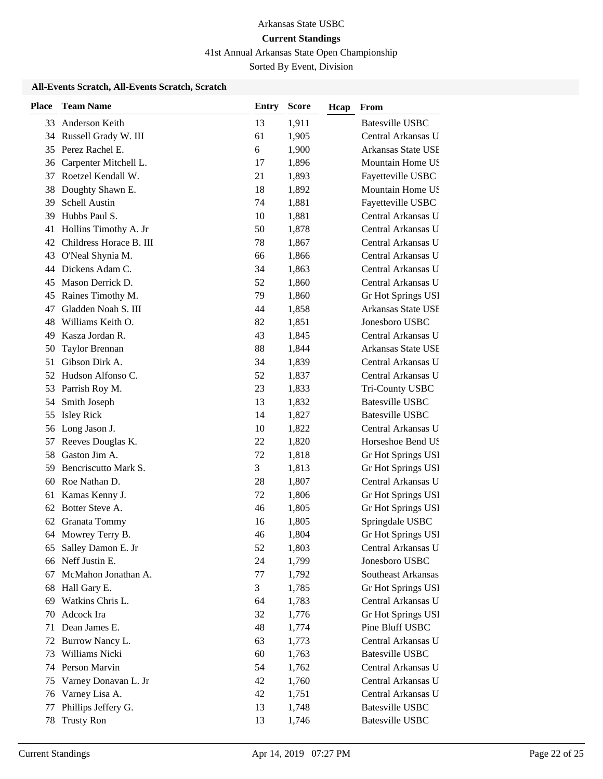41st Annual Arkansas State Open Championship

Sorted By Event, Division

### **All-Events Scratch, All-Events Scratch, Scratch**

| <b>Place</b> | <b>Team Name</b>        | <b>Entry</b> | <b>Score</b> | Hcap | From                   |
|--------------|-------------------------|--------------|--------------|------|------------------------|
| 33           | Anderson Keith          | 13           | 1,911        |      | <b>Batesville USBC</b> |
| 34           | Russell Grady W. III    | 61           | 1,905        |      | Central Arkansas U     |
| 35           | Perez Rachel E.         | 6            | 1,900        |      | Arkansas State USE     |
| 36           | Carpenter Mitchell L.   | 17           | 1,896        |      | Mountain Home US       |
| 37           | Roetzel Kendall W.      | 21           | 1,893        |      | Fayetteville USBC      |
| 38           | Doughty Shawn E.        | 18           | 1,892        |      | Mountain Home US       |
| 39           | Schell Austin           | 74           | 1,881        |      | Fayetteville USBC      |
| 39           | Hubbs Paul S.           | 10           | 1,881        |      | Central Arkansas U     |
| 41           | Hollins Timothy A. Jr   | 50           | 1,878        |      | Central Arkansas U     |
| 42           | Childress Horace B. III | 78           | 1,867        |      | Central Arkansas U     |
| 43           | O'Neal Shynia M.        | 66           | 1,866        |      | Central Arkansas U     |
| 44           | Dickens Adam C.         | 34           | 1,863        |      | Central Arkansas U     |
| 45           | Mason Derrick D.        | 52           | 1,860        |      | Central Arkansas U     |
| 45           | Raines Timothy M.       | 79           | 1,860        |      | Gr Hot Springs USI     |
| 47           | Gladden Noah S. III     | 44           | 1,858        |      | Arkansas State USE     |
| 48           | Williams Keith O.       | 82           | 1,851        |      | Jonesboro USBC         |
| 49           | Kasza Jordan R.         | 43           | 1,845        |      | Central Arkansas U     |
| 50           | <b>Taylor Brennan</b>   | 88           | 1,844        |      | Arkansas State USE     |
| 51           | Gibson Dirk A.          | 34           | 1,839        |      | Central Arkansas U     |
| 52           | Hudson Alfonso C.       | 52           | 1,837        |      | Central Arkansas U     |
| 53           | Parrish Roy M.          | 23           | 1,833        |      | Tri-County USBC        |
| 54           | Smith Joseph            | 13           | 1,832        |      | <b>Batesville USBC</b> |
| 55           | <b>Isley Rick</b>       | 14           | 1,827        |      | <b>Batesville USBC</b> |
| 56           | Long Jason J.           | 10           | 1,822        |      | Central Arkansas U     |
| 57           | Reeves Douglas K.       | 22           | 1,820        |      | Horseshoe Bend US      |
| 58           | Gaston Jim A.           | 72           | 1,818        |      | Gr Hot Springs USI     |
| 59           | Bencriscutto Mark S.    | 3            | 1,813        |      | Gr Hot Springs USI     |
| 60           | Roe Nathan D.           | 28           | 1,807        |      | Central Arkansas U     |
| 61           | Kamas Kenny J.          | 72           | 1,806        |      | Gr Hot Springs USI     |
| 62           | Botter Steve A.         | 46           | 1,805        |      | Gr Hot Springs USI     |
| 62           | Granata Tommy           | 16           | 1,805        |      | Springdale USBC        |
|              | 64 Mowrey Terry B.      | 46           | 1,804        |      | Gr Hot Springs USI     |
| 65           | Salley Damon E. Jr      | 52           | 1,803        |      | Central Arkansas U     |
| 66           | Neff Justin E.          | 24           | 1,799        |      | Jonesboro USBC         |
| 67           | McMahon Jonathan A.     | 77           | 1,792        |      | Southeast Arkansas     |
| 68           | Hall Gary E.            | 3            | 1,785        |      | Gr Hot Springs USI     |
| 69           | Watkins Chris L.        | 64           | 1,783        |      | Central Arkansas U     |
| 70           | Adcock Ira              | 32           | 1,776        |      | Gr Hot Springs USI     |
| 71           | Dean James E.           | 48           | 1,774        |      | Pine Bluff USBC        |
| 72           | Burrow Nancy L.         | 63           | 1,773        |      | Central Arkansas U     |
| 73           | Williams Nicki          | 60           | 1,763        |      | <b>Batesville USBC</b> |
| 74           | Person Marvin           | 54           | 1,762        |      | Central Arkansas U     |
| 75           | Varney Donavan L. Jr    | 42           | 1,760        |      | Central Arkansas U     |
| 76           | Varney Lisa A.          | 42           | 1,751        |      | Central Arkansas U     |
| 77           | Phillips Jeffery G.     | 13           | 1,748        |      | <b>Batesville USBC</b> |
| 78           | <b>Trusty Ron</b>       | 13           | 1,746        |      | <b>Batesville USBC</b> |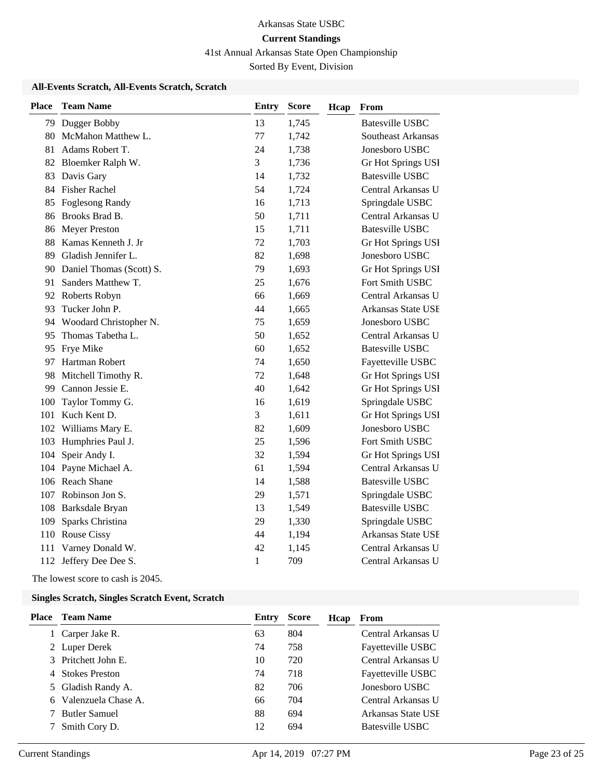41st Annual Arkansas State Open Championship

Sorted By Event, Division

### **All-Events Scratch, All-Events Scratch, Scratch**

| Place | <b>Team Name</b>            | <b>Entry</b> | <b>Score</b> | Hcap | From                      |
|-------|-----------------------------|--------------|--------------|------|---------------------------|
|       | 79 Dugger Bobby             | 13           | 1,745        |      | <b>Batesville USBC</b>    |
|       | 80 McMahon Matthew L.       | 77           | 1,742        |      | Southeast Arkansas        |
| 81    | Adams Robert T.             | 24           | 1,738        |      | Jonesboro USBC            |
|       | 82 Bloemker Ralph W.        | 3            | 1,736        |      | Gr Hot Springs USI        |
| 83    | Davis Gary                  | 14           | 1,732        |      | <b>Batesville USBC</b>    |
|       | 84 Fisher Rachel            | 54           | 1,724        |      | Central Arkansas U        |
| 85    | <b>Foglesong Randy</b>      | 16           | 1,713        |      | Springdale USBC           |
|       | 86 Brooks Brad B.           | 50           | 1,711        |      | Central Arkansas U        |
|       | 86 Meyer Preston            | 15           | 1,711        |      | <b>Batesville USBC</b>    |
|       | 88 Kamas Kenneth J. Jr      | 72           | 1,703        |      | Gr Hot Springs USI        |
| 89    | Gladish Jennifer L.         | 82           | 1,698        |      | Jonesboro USBC            |
|       | 90 Daniel Thomas (Scott) S. | 79           | 1,693        |      | Gr Hot Springs USI        |
| 91    | Sanders Matthew T.          | 25           | 1,676        |      | Fort Smith USBC           |
|       | 92 Roberts Robyn            | 66           | 1,669        |      | Central Arkansas U        |
| 93    | Tucker John P.              | 44           | 1,665        |      | <b>Arkansas State USE</b> |
|       | 94 Woodard Christopher N.   | 75           | 1,659        |      | Jonesboro USBC            |
|       | 95 Thomas Tabetha L.        | 50           | 1,652        |      | Central Arkansas U        |
|       | 95 Frye Mike                | 60           | 1,652        |      | <b>Batesville USBC</b>    |
|       | 97 Hartman Robert           | 74           | 1,650        |      | Fayetteville USBC         |
|       | 98 Mitchell Timothy R.      | 72           | 1,648        |      | Gr Hot Springs USI        |
|       | 99 Cannon Jessie E.         | 40           | 1,642        |      | Gr Hot Springs USI        |
| 100   | Taylor Tommy G.             | 16           | 1,619        |      | Springdale USBC           |
|       | 101 Kuch Kent D.            | 3            | 1,611        |      | Gr Hot Springs USI        |
|       | 102 Williams Mary E.        | 82           | 1,609        |      | Jonesboro USBC            |
|       | 103 Humphries Paul J.       | 25           | 1,596        |      | Fort Smith USBC           |
| 104   | Speir Andy I.               | 32           | 1,594        |      | Gr Hot Springs USI        |
|       | 104 Payne Michael A.        | 61           | 1,594        |      | Central Arkansas U        |
|       | 106 Reach Shane             | 14           | 1,588        |      | <b>Batesville USBC</b>    |
|       | 107 Robinson Jon S.         | 29           | 1,571        |      | Springdale USBC           |
|       | 108 Barksdale Bryan         | 13           | 1,549        |      | <b>Batesville USBC</b>    |
| 109   | Sparks Christina            | 29           | 1,330        |      | Springdale USBC           |
|       | 110 Rouse Cissy             | 44           | 1,194        |      | Arkansas State USE        |
|       | 111 Varney Donald W.        | 42           | 1,145        |      | Central Arkansas U        |
|       | 112 Jeffery Dee Dee S.      | $\mathbf{1}$ | 709          |      | Central Arkansas U        |

The lowest score to cash is 2045.

#### **Singles Scratch, Singles Scratch Event, Scratch**

| <b>Place</b> Team Name | Entry | <b>Score</b> | Hcap | From               |
|------------------------|-------|--------------|------|--------------------|
| 1 Carper Jake R.       | 63    | 804          |      | Central Arkansas U |
| 2 Luper Derek          | 74    | 758          |      | Fayetteville USBC  |
| 3 Pritchett John E.    | 10    | 720          |      | Central Arkansas U |
| 4 Stokes Preston       | 74    | 718          |      | Fayetteville USBC  |
| 5 Gladish Randy A.     | 82    | 706          |      | Jonesboro USBC     |
| 6 Valenzuela Chase A.  | 66    | 704          |      | Central Arkansas U |
| 7 Butler Samuel        | 88    | 694          |      | Arkansas State USE |
| Smith Cory D.          | 12    | 694          |      | Batesville USBC    |
|                        |       |              |      |                    |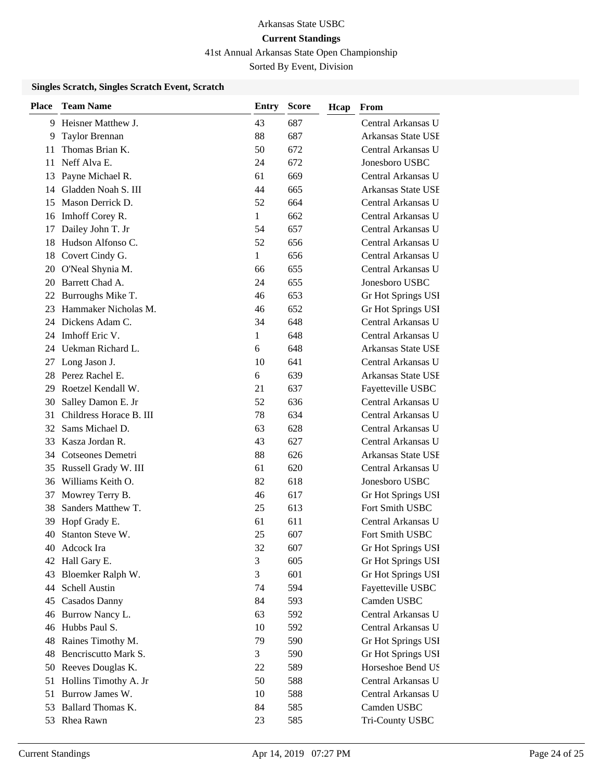41st Annual Arkansas State Open Championship

Sorted By Event, Division

### **Singles Scratch, Singles Scratch Event, Scratch**

| <b>Place</b> | <b>Team Name</b>        | Entry | <b>Score</b> | Hcap | From                      |
|--------------|-------------------------|-------|--------------|------|---------------------------|
| 9            | Heisner Matthew J.      | 43    | 687          |      | Central Arkansas U        |
| 9            | Taylor Brennan          | 88    | 687          |      | Arkansas State USE        |
| 11           | Thomas Brian K.         | 50    | 672          |      | Central Arkansas U        |
| 11           | Neff Alva E.            | 24    | 672          |      | Jonesboro USBC            |
| 13           | Payne Michael R.        | 61    | 669          |      | Central Arkansas U        |
| 14           | Gladden Noah S. III     | 44    | 665          |      | Arkansas State USE        |
| 15           | Mason Derrick D.        | 52    | 664          |      | Central Arkansas U        |
| 16           | Imhoff Corey R.         | 1     | 662          |      | Central Arkansas U        |
| 17           | Dailey John T. Jr       | 54    | 657          |      | Central Arkansas U        |
| 18           | Hudson Alfonso C.       | 52    | 656          |      | Central Arkansas U        |
| 18           | Covert Cindy G.         | 1     | 656          |      | Central Arkansas U        |
| 20           | O'Neal Shynia M.        | 66    | 655          |      | Central Arkansas U        |
| 20           | Barrett Chad A.         | 24    | 655          |      | Jonesboro USBC            |
| 22           | Burroughs Mike T.       | 46    | 653          |      | Gr Hot Springs USI        |
| 23           | Hammaker Nicholas M.    | 46    | 652          |      | Gr Hot Springs USI        |
| 24           | Dickens Adam C.         | 34    | 648          |      | Central Arkansas U        |
| 24           | Imhoff Eric V.          | 1     | 648          |      | Central Arkansas U        |
| 24           | Uekman Richard L.       | 6     | 648          |      | <b>Arkansas State USE</b> |
| 27           | Long Jason J.           | 10    | 641          |      | Central Arkansas U        |
| 28           | Perez Rachel E.         | 6     | 639          |      | Arkansas State USE        |
| 29           | Roetzel Kendall W.      | 21    | 637          |      | Fayetteville USBC         |
| 30           | Salley Damon E. Jr      | 52    | 636          |      | Central Arkansas U        |
| 31           | Childress Horace B. III | 78    | 634          |      | Central Arkansas U        |
| 32           | Sams Michael D.         | 63    | 628          |      | Central Arkansas U        |
| 33           | Kasza Jordan R.         | 43    | 627          |      | Central Arkansas U        |
| 34           | Cotseones Demetri       | 88    | 626          |      | Arkansas State USE        |
| 35           | Russell Grady W. III    | 61    | 620          |      | Central Arkansas U        |
| 36           | Williams Keith O.       | 82    | 618          |      | Jonesboro USBC            |
| 37           | Mowrey Terry B.         | 46    | 617          |      | Gr Hot Springs USI        |
| 38           | Sanders Matthew T.      | 25    | 613          |      | Fort Smith USBC           |
| 39           | Hopf Grady E.           | 61    | 611          |      | Central Arkansas U        |
| 40           | Stanton Steve W.        | 25    | 607          |      | Fort Smith USBC           |
| 40           | Adcock Ira              | 32    | 607          |      | Gr Hot Springs USI        |
| 42           | Hall Gary E.            | 3     | 605          |      | Gr Hot Springs USI        |
| 43           | Bloemker Ralph W.       | 3     | 601          |      | Gr Hot Springs USI        |
| 44           | Schell Austin           | 74    | 594          |      | Fayetteville USBC         |
| 45           | <b>Casados Danny</b>    | 84    | 593          |      | Camden USBC               |
| 46           | Burrow Nancy L.         | 63    | 592          |      | Central Arkansas U        |
| 46           | Hubbs Paul S.           | 10    | 592          |      | Central Arkansas U        |
| 48           | Raines Timothy M.       | 79    | 590          |      | Gr Hot Springs USI        |
| 48           | Bencriscutto Mark S.    | 3     | 590          |      | Gr Hot Springs USI        |
| 50           | Reeves Douglas K.       | 22    | 589          |      | Horseshoe Bend US         |
| 51           | Hollins Timothy A. Jr   | 50    | 588          |      | Central Arkansas U        |
| 51           | Burrow James W.         | 10    | 588          |      | Central Arkansas U        |
| 53           | Ballard Thomas K.       | 84    | 585          |      | Camden USBC               |
|              | 53 Rhea Rawn            | 23    | 585          |      | Tri-County USBC           |